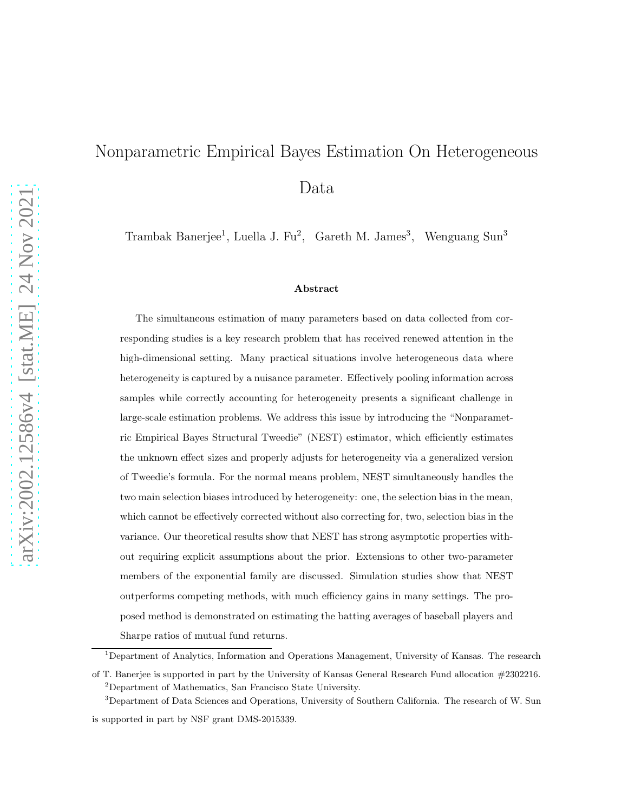# Nonparametric Empirical Bayes Estimation On Heterogeneous Data

Trambak Banerjee<sup>1</sup>, Luella J. Fu<sup>2</sup>, Gareth M. James<sup>3</sup>, Wenguang Sun<sup>3</sup>

#### Abstract

The simultaneous estimation of many parameters based on data collected from corresponding studies is a key research problem that has received renewed attention in the high-dimensional setting. Many practical situations involve heterogeneous data where heterogeneity is captured by a nuisance parameter. Effectively pooling information across samples while correctly accounting for heterogeneity presents a significant challenge in large-scale estimation problems. We address this issue by introducing the "Nonparametric Empirical Bayes Structural Tweedie" (NEST) estimator, which efficiently estimates the unknown effect sizes and properly adjusts for heterogeneity via a generalized version of Tweedie's formula. For the normal means problem, NEST simultaneously handles the two main selection biases introduced by heterogeneity: one, the selection bias in the mean, which cannot be effectively corrected without also correcting for, two, selection bias in the variance. Our theoretical results show that NEST has strong asymptotic properties without requiring explicit assumptions about the prior. Extensions to other two-parameter members of the exponential family are discussed. Simulation studies show that NEST outperforms competing methods, with much efficiency gains in many settings. The proposed method is demonstrated on estimating the batting averages of baseball players and Sharpe ratios of mutual fund returns.

<sup>&</sup>lt;sup>1</sup>Department of Analytics, Information and Operations Management, University of Kansas. The research

of T. Banerjee is supported in part by the University of Kansas General Research Fund allocation #2302216. <sup>2</sup>Department of Mathematics, San Francisco State University.

<sup>&</sup>lt;sup>3</sup>Department of Data Sciences and Operations, University of Southern California. The research of W. Sun is supported in part by NSF grant DMS-2015339.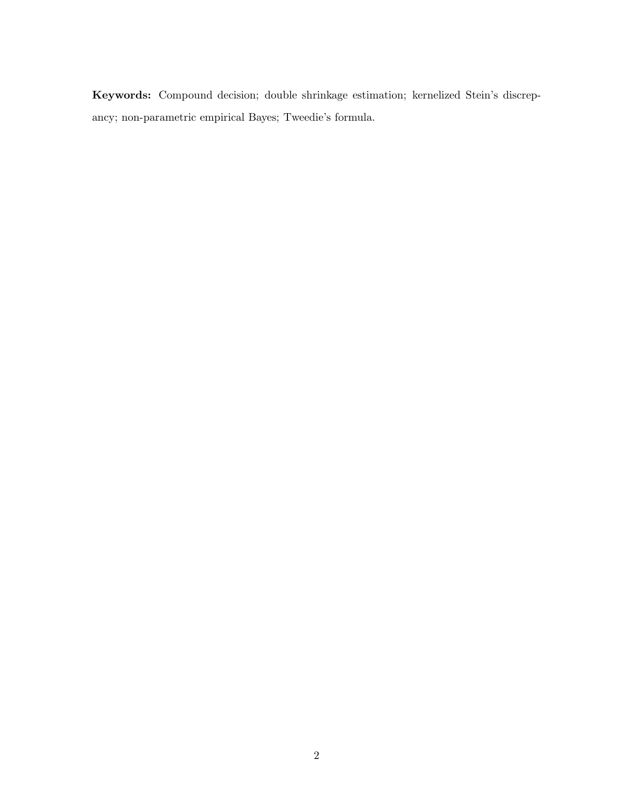Keywords: Compound decision; double shrinkage estimation; kernelized Stein's discrepancy; non-parametric empirical Bayes; Tweedie's formula.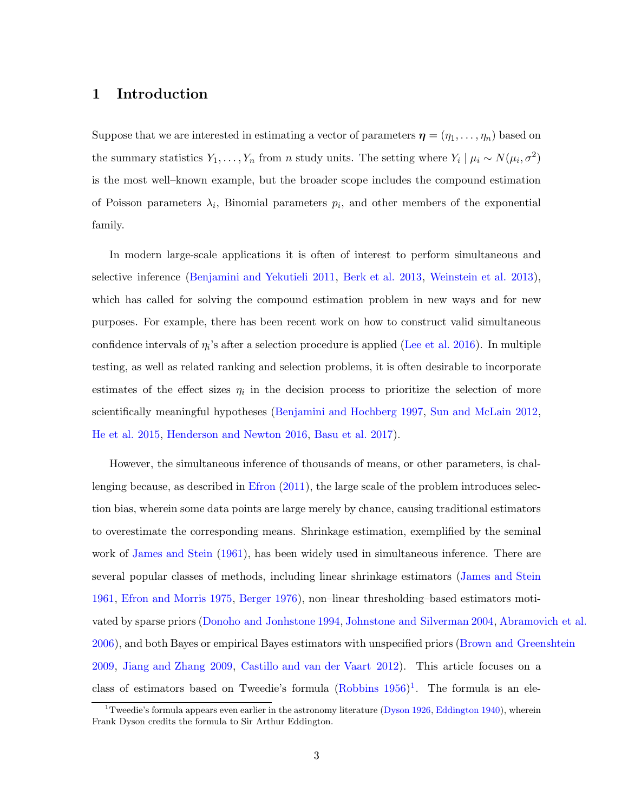## 1 Introduction

Suppose that we are interested in estimating a vector of parameters  $\boldsymbol{\eta} = (\eta_1, \dots, \eta_n)$  based on the summary statistics  $Y_1, \ldots, Y_n$  from n study units. The setting where  $Y_i | \mu_i \sim N(\mu_i, \sigma^2)$ is the most well–known example, but the broader scope includes the compound estimation of Poisson parameters  $\lambda_i$ , Binomial parameters  $p_i$ , and other members of the exponential family.

In modern large-scale applications it is often of interest to perform simultaneous and selective inference [\(Benjamini and Yekutieli 2011](#page-32-0), [Berk et al. 2013](#page-33-0), [Weinstein et al. 2013](#page-36-0)), which has called for solving the compound estimation problem in new ways and for new purposes. For example, there has been recent work on how to construct valid simultaneous confidence intervals of  $\eta_i$ 's after a selection procedure is applied [\(Lee et al. 2016\)](#page-35-0). In multiple testing, as well as related ranking and selection problems, it is often desirable to incorporate estimates of the effect sizes  $\eta_i$  in the decision process to prioritize the selection of more scientifically meaningful hypotheses [\(Benjamini and Hochberg 1997,](#page-32-1) [Sun and McLain 2012](#page-36-1), [He et al. 2015](#page-34-0), [Henderson and Newton 2016,](#page-34-1) [Basu et al. 2017](#page-32-2)).

However, the simultaneous inference of thousands of means, or other parameters, is challenging because, as described in  $E$  fron  $(2011)$ , the large scale of the problem introduces selection bias, wherein some data points are large merely by chance, causing traditional estimators to overestimate the corresponding means. Shrinkage estimation, exemplified by the seminal work of [James and Stein](#page-34-3) [\(1961](#page-34-3)), has been widely used in simultaneous inference. There are several popular classes of methods, including linear shrinkage estimators [\(James and Stein](#page-34-3) [1961](#page-34-3), [Efron and Morris 1975](#page-34-4), [Berger 1976](#page-32-3)), non–linear thresholding–based estimators motivated by sparse priors [\(Donoho and Jonhstone 1994](#page-33-1), [Johnstone and Silverman 2004](#page-35-1), [Abramovich et al.](#page-32-4) [2006](#page-32-4)), and both Bayes or empirical Bayes estimators with unspecified priors [\(Brown and Greenshtein](#page-33-2) [2009](#page-33-2), [Jiang and Zhang 2009,](#page-34-5) [Castillo and van der Vaart 2012](#page-33-3)). This article focuses on a class of estimators based on Tweedie's formula  $(Robbins 1956)^{1}$ . The formula is an ele-

<sup>&</sup>lt;sup>1</sup>Tweedie's formula appears even earlier in the astronomy literature [\(Dyson 1926](#page-33-4), [Eddington 1940\)](#page-33-5), wherein Frank Dyson credits the formula to Sir Arthur Eddington.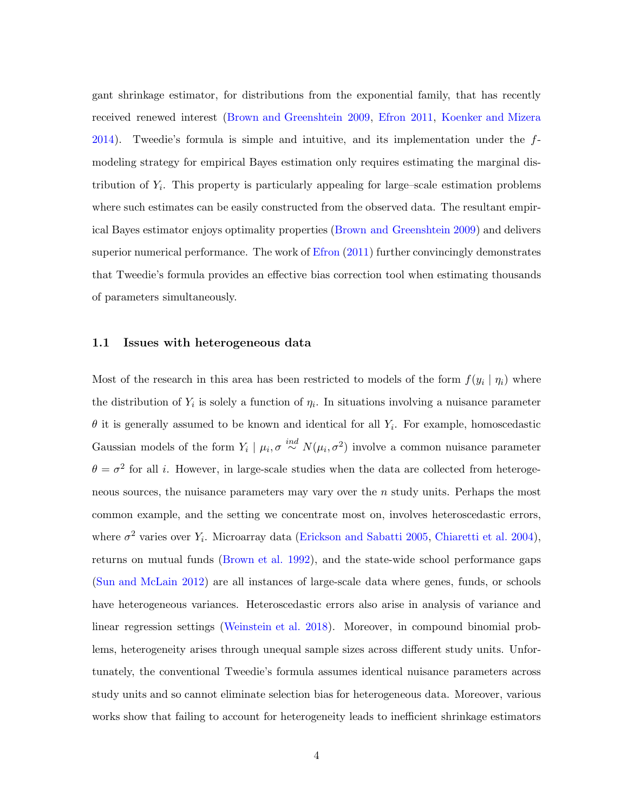gant shrinkage estimator, for distributions from the exponential family, that has recently received renewed interest [\(Brown and Greenshtein 2009](#page-33-2), [Efron 2011](#page-34-2), [Koenker and Mizera](#page-35-3)  $2014$ ). Tweedie's formula is simple and intuitive, and its implementation under the  $f$ modeling strategy for empirical Bayes estimation only requires estimating the marginal distribution of  $Y_i$ . This property is particularly appealing for large–scale estimation problems where such estimates can be easily constructed from the observed data. The resultant empirical Bayes estimator enjoys optimality properties [\(Brown and Greenshtein 2009](#page-33-2)) and delivers superior numerical performance. The work of [Efron](#page-34-2) [\(2011](#page-34-2)) further convincingly demonstrates that Tweedie's formula provides an effective bias correction tool when estimating thousands of parameters simultaneously.

#### 1.1 Issues with heterogeneous data

Most of the research in this area has been restricted to models of the form  $f(y_i | \eta_i)$  where the distribution of  $Y_i$  is solely a function of  $\eta_i$ . In situations involving a nuisance parameter  $\theta$  it is generally assumed to be known and identical for all  $Y_i$ . For example, homoscedastic Gaussian models of the form  $Y_i | \mu_i, \sigma \stackrel{ind}{\sim} N(\mu_i, \sigma^2)$  involve a common nuisance parameter  $\theta = \sigma^2$  for all *i*. However, in large-scale studies when the data are collected from heterogeneous sources, the nuisance parameters may vary over the  $n$  study units. Perhaps the most common example, and the setting we concentrate most on, involves heteroscedastic errors, where  $\sigma^2$  varies over  $Y_i$ . Microarray data [\(Erickson and Sabatti 2005](#page-34-6), [Chiaretti et al. 2004](#page-33-6)), returns on mutual funds [\(Brown et al. 1992](#page-33-7)), and the state-wide school performance gaps [\(Sun and McLain 2012](#page-36-1)) are all instances of large-scale data where genes, funds, or schools have heterogeneous variances. Heteroscedastic errors also arise in analysis of variance and linear regression settings [\(Weinstein et al. 2018\)](#page-36-2). Moreover, in compound binomial problems, heterogeneity arises through unequal sample sizes across different study units. Unfortunately, the conventional Tweedie's formula assumes identical nuisance parameters across study units and so cannot eliminate selection bias for heterogeneous data. Moreover, various works show that failing to account for heterogeneity leads to inefficient shrinkage estimators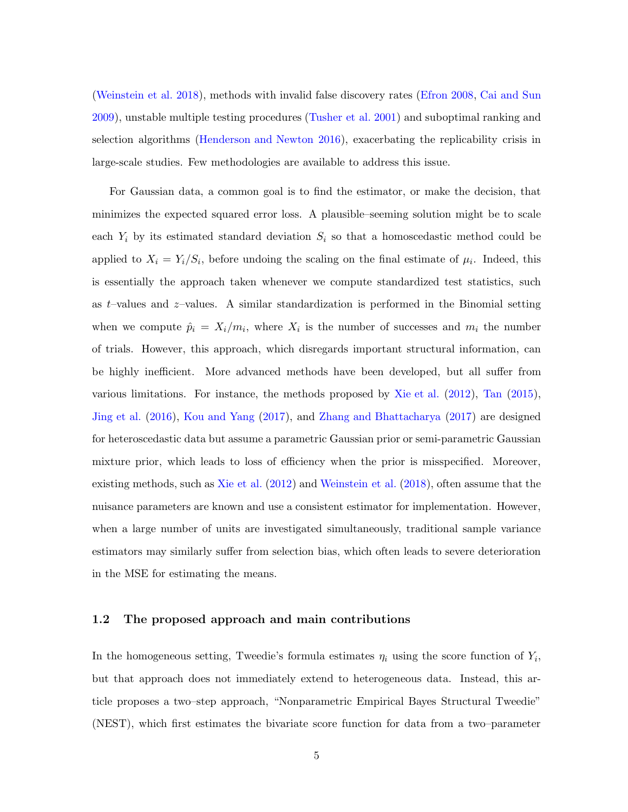[\(Weinstein et al. 2018\)](#page-36-2), methods with invalid false discovery rates [\(Efron 2008,](#page-33-8) [Cai and Sun](#page-33-9) [2009](#page-33-9)), unstable multiple testing procedures [\(Tusher et al. 2001\)](#page-36-3) and suboptimal ranking and selection algorithms [\(Henderson and Newton 2016](#page-34-1)), exacerbating the replicability crisis in large-scale studies. Few methodologies are available to address this issue.

For Gaussian data, a common goal is to find the estimator, or make the decision, that minimizes the expected squared error loss. A plausible–seeming solution might be to scale each  $Y_i$  by its estimated standard deviation  $S_i$  so that a homoscedastic method could be applied to  $X_i = Y_i/S_i$ , before undoing the scaling on the final estimate of  $\mu_i$ . Indeed, this is essentially the approach taken whenever we compute standardized test statistics, such as  $t$ -values and  $z$ -values. A similar standardization is performed in the Binomial setting when we compute  $\hat{p}_i = X_i/m_i$ , where  $X_i$  is the number of successes and  $m_i$  the number of trials. However, this approach, which disregards important structural information, can be highly inefficient. More advanced methods have been developed, but all suffer from various limitations. For instance, the methods proposed by [Xie et al.](#page-36-4) [\(2012](#page-36-4)), [Tan](#page-36-5) [\(2015](#page-36-5)), [Jing et al.](#page-34-7) [\(2016\)](#page-34-7), [Kou and Yang](#page-35-4) [\(2017](#page-35-4)), and [Zhang and Bhattacharya](#page-36-6) [\(2017](#page-36-6)) are designed for heteroscedastic data but assume a parametric Gaussian prior or semi-parametric Gaussian mixture prior, which leads to loss of efficiency when the prior is misspecified. Moreover, existing methods, such as [Xie et al.](#page-36-4) [\(2012\)](#page-36-4) and [Weinstein et al.](#page-36-2) [\(2018\)](#page-36-2), often assume that the nuisance parameters are known and use a consistent estimator for implementation. However, when a large number of units are investigated simultaneously, traditional sample variance estimators may similarly suffer from selection bias, which often leads to severe deterioration in the MSE for estimating the means.

#### 1.2 The proposed approach and main contributions

In the homogeneous setting, Tweedie's formula estimates  $\eta_i$  using the score function of  $Y_i$ , but that approach does not immediately extend to heterogeneous data. Instead, this article proposes a two–step approach, "Nonparametric Empirical Bayes Structural Tweedie" (NEST), which first estimates the bivariate score function for data from a two–parameter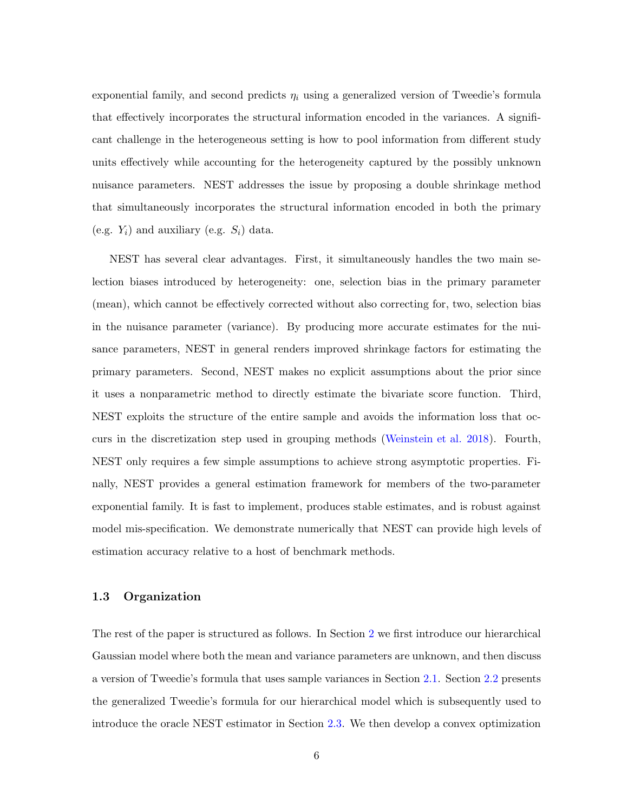exponential family, and second predicts  $\eta_i$  using a generalized version of Tweedie's formula that effectively incorporates the structural information encoded in the variances. A significant challenge in the heterogeneous setting is how to pool information from different study units effectively while accounting for the heterogeneity captured by the possibly unknown nuisance parameters. NEST addresses the issue by proposing a double shrinkage method that simultaneously incorporates the structural information encoded in both the primary (e.g.  $Y_i$ ) and auxiliary (e.g.  $S_i$ ) data.

NEST has several clear advantages. First, it simultaneously handles the two main selection biases introduced by heterogeneity: one, selection bias in the primary parameter (mean), which cannot be effectively corrected without also correcting for, two, selection bias in the nuisance parameter (variance). By producing more accurate estimates for the nuisance parameters, NEST in general renders improved shrinkage factors for estimating the primary parameters. Second, NEST makes no explicit assumptions about the prior since it uses a nonparametric method to directly estimate the bivariate score function. Third, NEST exploits the structure of the entire sample and avoids the information loss that occurs in the discretization step used in grouping methods [\(Weinstein et al. 2018](#page-36-2)). Fourth, NEST only requires a few simple assumptions to achieve strong asymptotic properties. Finally, NEST provides a general estimation framework for members of the two-parameter exponential family. It is fast to implement, produces stable estimates, and is robust against model mis-specification. We demonstrate numerically that NEST can provide high levels of estimation accuracy relative to a host of benchmark methods.

#### 1.3 Organization

The rest of the paper is structured as follows. In Section [2](#page-6-0) we first introduce our hierarchical Gaussian model where both the mean and variance parameters are unknown, and then discuss a version of Tweedie's formula that uses sample variances in Section [2.1.](#page-7-0) Section [2.2](#page-9-0) presents the generalized Tweedie's formula for our hierarchical model which is subsequently used to introduce the oracle NEST estimator in Section [2.3.](#page-10-0) We then develop a convex optimization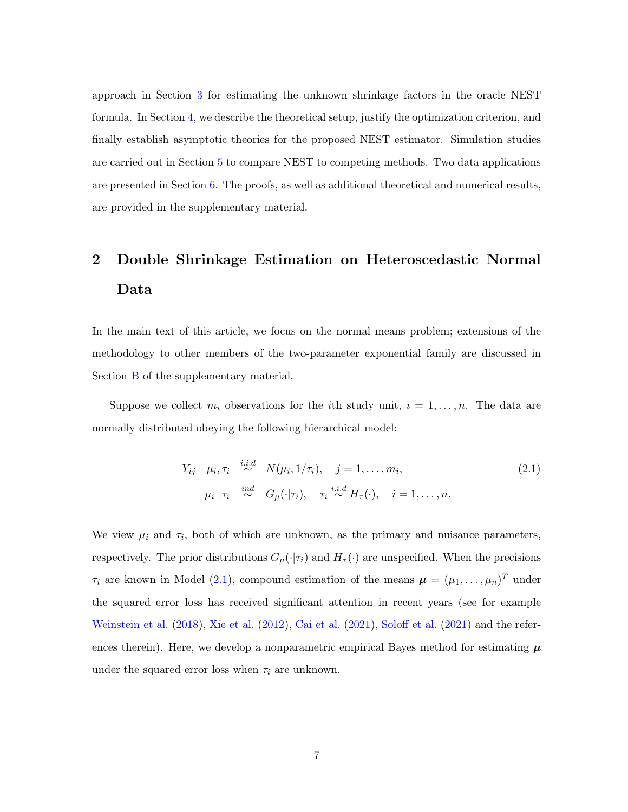approach in Section [3](#page-13-0) for estimating the unknown shrinkage factors in the oracle NEST formula. In Section [4,](#page-17-0) we describe the theoretical setup, justify the optimization criterion, and finally establish asymptotic theories for the proposed NEST estimator. Simulation studies are carried out in Section [5](#page-22-0) to compare NEST to competing methods. Two data applications are presented in Section [6.](#page-29-0) The proofs, as well as additional theoretical and numerical results, are provided in the supplementary material.

## <span id="page-6-0"></span>2 Double Shrinkage Estimation on Heteroscedastic Normal Data

In the main text of this article, we focus on the normal means problem; extensions of the methodology to other members of the two-parameter exponential family are discussed in Section **[B](#page-55-0)** of the supplementary material.

Suppose we collect  $m_i$  observations for the *i*th study unit,  $i = 1, ..., n$ . The data are normally distributed obeying the following hierarchical model:

<span id="page-6-1"></span>
$$
Y_{ij} \mid \mu_i, \tau_i \stackrel{i.i.d}{\sim} N(\mu_i, 1/\tau_i), \quad j = 1, \dots, m_i,
$$
  
\n
$$
\mu_i \mid \tau_i \stackrel{ind}{\sim} G_\mu(\cdot | \tau_i), \quad \tau_i \stackrel{i.i.d}{\sim} H_\tau(\cdot), \quad i = 1, \dots, n.
$$
\n(2.1)

We view  $\mu_i$  and  $\tau_i$ , both of which are unknown, as the primary and nuisance parameters, respectively. The prior distributions  $G_{\mu}(\cdot|\tau_i)$  and  $H_{\tau}(\cdot)$  are unspecified. When the precisions  $\tau_i$  are known in Model [\(2.1\)](#page-6-1), compound estimation of the means  $\boldsymbol{\mu} = (\mu_1, \dots, \mu_n)^T$  under the squared error loss has received significant attention in recent years (see for example [Weinstein et al.](#page-36-2) [\(2018](#page-36-2)), [Xie et al.](#page-36-4) [\(2012](#page-36-4)), [Cai et al.](#page-33-10) [\(2021](#page-33-10)), [Soloff et al.](#page-36-7) [\(2021](#page-36-7)) and the references therein). Here, we develop a nonparametric empirical Bayes method for estimating  $\mu$ under the squared error loss when  $\tau_i$  are unknown.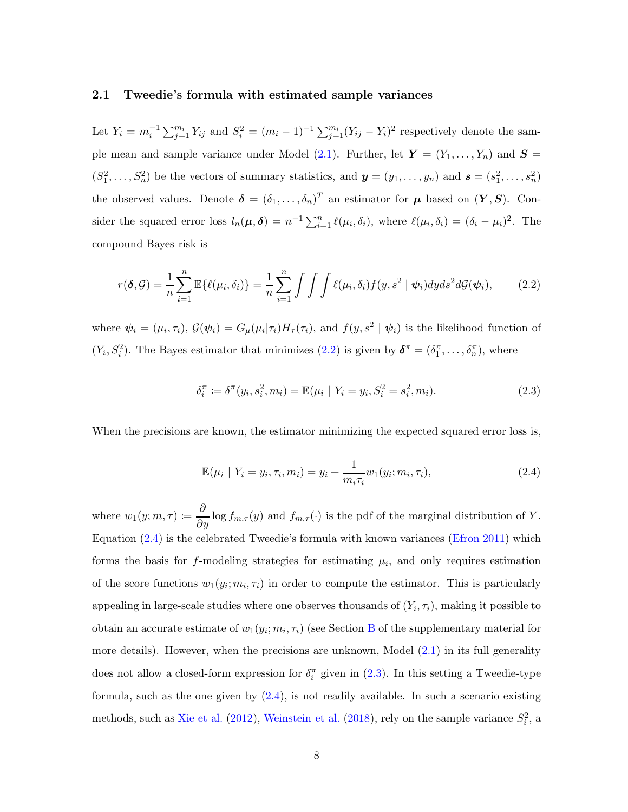#### <span id="page-7-0"></span>2.1 Tweedie's formula with estimated sample variances

Let  $Y_i = m_i^{-1} \sum_{j=1}^{m_i} Y_{ij}$  and  $S_i^2 = (m_i - 1)^{-1} \sum_{j=1}^{m_i} (Y_{ij} - Y_i)^2$  respectively denote the sam-ple mean and sample variance under Model [\(2.1\)](#page-6-1). Further, let  $Y = (Y_1, \ldots, Y_n)$  and  $S =$  $(S_1^2, \ldots, S_n^2)$  be the vectors of summary statistics, and  $\mathbf{y} = (y_1, \ldots, y_n)$  and  $\mathbf{s} = (s_1^2, \ldots, s_n^2)$ the observed values. Denote  $\boldsymbol{\delta} = (\delta_1, \ldots, \delta_n)^T$  an estimator for  $\boldsymbol{\mu}$  based on  $(\boldsymbol{Y}, \boldsymbol{S})$ . Consider the squared error loss  $l_n(\mu, \delta) = n^{-1} \sum_{i=1}^n \ell(\mu_i, \delta_i)$ , where  $\ell(\mu_i, \delta_i) = (\delta_i - \mu_i)^2$ . The compound Bayes risk is

<span id="page-7-1"></span>
$$
r(\boldsymbol{\delta}, \mathcal{G}) = \frac{1}{n} \sum_{i=1}^{n} \mathbb{E}\{\ell(\mu_i, \delta_i)\} = \frac{1}{n} \sum_{i=1}^{n} \int \int \int \ell(\mu_i, \delta_i) f(y, s^2 \mid \boldsymbol{\psi}_i) dy ds^2 d\mathcal{G}(\boldsymbol{\psi}_i), \qquad (2.2)
$$

where  $\psi_i = (\mu_i, \tau_i)$ ,  $\mathcal{G}(\psi_i) = G_\mu(\mu_i|\tau_i)H_\tau(\tau_i)$ , and  $f(y, s^2 | \psi_i)$  is the likelihood function of  $(Y_i, S_i^2)$ . The Bayes estimator that minimizes  $(2.2)$  is given by  $\boldsymbol{\delta}^{\pi} = (\delta_1^{\pi}, \ldots, \delta_n^{\pi})$ , where

<span id="page-7-3"></span>
$$
\delta_i^{\pi} := \delta^{\pi}(y_i, s_i^2, m_i) = \mathbb{E}(\mu_i \mid Y_i = y_i, S_i^2 = s_i^2, m_i).
$$
 (2.3)

When the precisions are known, the estimator minimizing the expected squared error loss is,

<span id="page-7-2"></span>
$$
\mathbb{E}(\mu_i \mid Y_i = y_i, \tau_i, m_i) = y_i + \frac{1}{m_i \tau_i} w_1(y_i; m_i, \tau_i), \tag{2.4}
$$

where  $w_1(y; m, \tau) \coloneqq \frac{\partial}{\partial y} \log f_{m,\tau}(y)$  and  $f_{m,\tau}(\cdot)$  is the pdf of the marginal distribution of Y. Equation [\(2.4\)](#page-7-2) is the celebrated Tweedie's formula with known variances [\(Efron 2011](#page-34-2)) which forms the basis for  $f$ -modeling strategies for estimating  $\mu_i$ , and only requires estimation of the score functions  $w_1(y_i; m_i, \tau_i)$  in order to compute the estimator. This is particularly appealing in large-scale studies where one observes thousands of  $(Y_i, \tau_i)$ , making it possible to obtain an accurate estimate of  $w_1(y_i; m_i, \tau_i)$  (see Section [B](#page-55-0) of the supplementary material for more details). However, when the precisions are unknown, Model  $(2.1)$  in its full generality does not allow a closed-form expression for  $\delta_i^{\pi}$  given in [\(2.3\)](#page-7-3). In this setting a Tweedie-type formula, such as the one given by [\(2.4\)](#page-7-2), is not readily available. In such a scenario existing methods, such as [Xie et al.](#page-36-4) [\(2012](#page-36-4)), [Weinstein et al.](#page-36-2) [\(2018\)](#page-36-2), rely on the sample variance  $S_i^2$ , a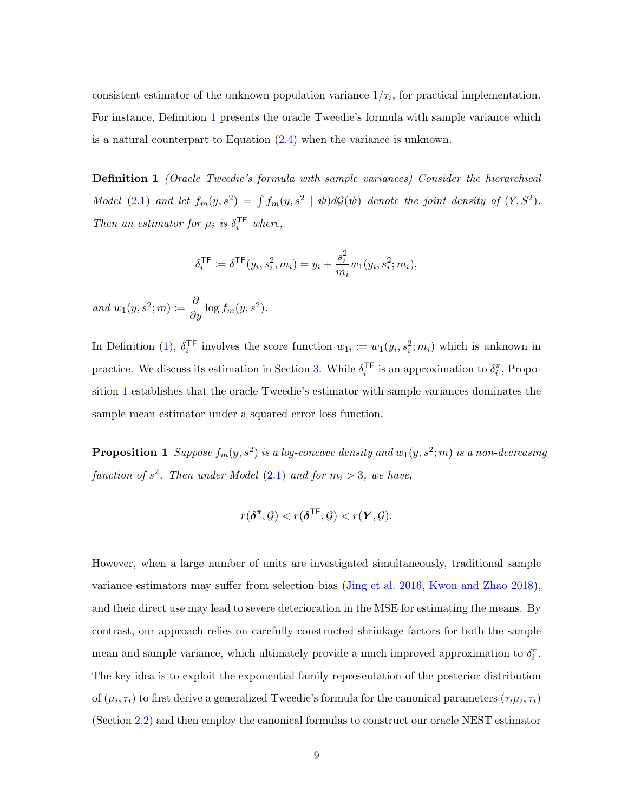consistent estimator of the unknown population variance  $1/\tau_i$ , for practical implementation. For instance, Definition [1](#page-8-0) presents the oracle Tweedie's formula with sample variance which is a natural counterpart to Equation [\(2.4\)](#page-7-2) when the variance is unknown.

**Definition 1** (Oracle Tweedie's formula with sample variances) Consider the hierarchical Model [\(2.1\)](#page-6-1) and let  $f_m(y, s^2) = \int f_m(y, s^2 \mid \boldsymbol{\psi}) d\mathcal{G}(\boldsymbol{\psi})$  denote the joint density of  $(Y, S^2)$ . Then an estimator for  $\mu_i$  is  $\delta_i^{\mathsf{TF}}$  where,

<span id="page-8-0"></span>
$$
\delta_i^{\mathsf{TF}} \coloneqq \delta^{\mathsf{TF}}(y_i, s_i^2, m_i) = y_i + \frac{s_i^2}{m_i} w_1(y_i, s_i^2; m_i),
$$

and  $w_1(y, s^2; m) \coloneqq \frac{\partial}{\partial y} \log f_m(y, s^2)$ .

In Definition [\(1\)](#page-8-0),  $\delta_i^{\text{TF}}$ <sup>TF</sup> involves the score function  $w_{1i} := w_1(y_i, s_i^2; m_i)$  which is unknown in practice. We discuss its estimation in Section [3.](#page-13-0) While  $\delta_i^{\mathsf{TF}}$  $i^{\text{TF}}$  is an approximation to  $\delta_i^{\pi}$ , Proposition [1](#page-8-1) establishes that the oracle Tweedie's estimator with sample variances dominates the sample mean estimator under a squared error loss function.

**Proposition 1** Suppose  $f_m(y, s^2)$  is a log-concave density and  $w_1(y, s^2; m)$  is a non-decreasing function of  $s^2$ . Then under Model [\(2.1\)](#page-6-1) and for  $m_i > 3$ , we have,

<span id="page-8-1"></span>
$$
r(\pmb\delta^{\pi},\mathcal{G}) < r(\pmb\delta^{\mathsf{TF}},\mathcal{G}) < r(\pmb Y,\mathcal{G}).
$$

However, when a large number of units are investigated simultaneously, traditional sample variance estimators may suffer from selection bias [\(Jing et al. 2016](#page-34-7), [Kwon and Zhao 2018](#page-35-5)), and their direct use may lead to severe deterioration in the MSE for estimating the means. By contrast, our approach relies on carefully constructed shrinkage factors for both the sample mean and sample variance, which ultimately provide a much improved approximation to  $\delta_i^{\pi}$ . The key idea is to exploit the exponential family representation of the posterior distribution of  $(\mu_i, \tau_i)$  to first derive a generalized Tweedie's formula for the canonical parameters  $(\tau_i \mu_i, \tau_i)$ (Section [2.2\)](#page-9-0) and then employ the canonical formulas to construct our oracle NEST estimator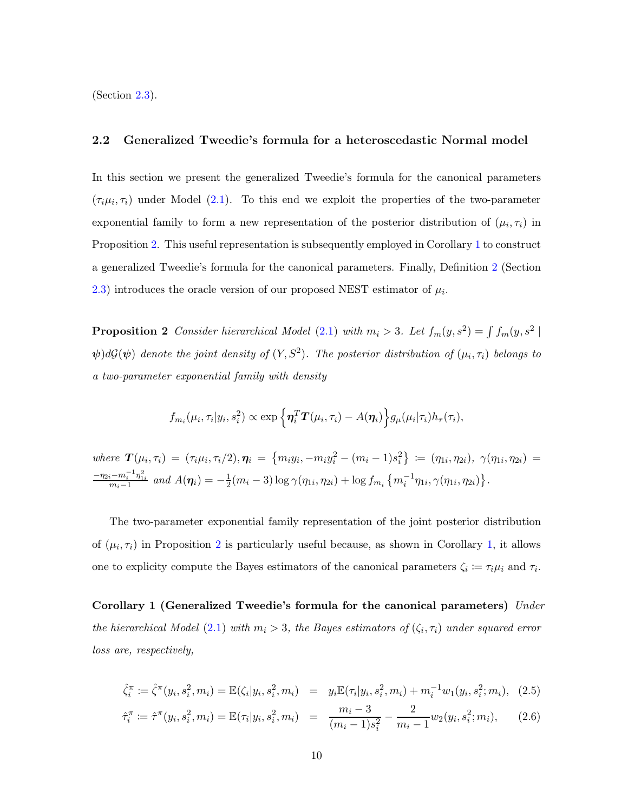<span id="page-9-0"></span>(Section [2.3\)](#page-10-0).

#### 2.2 Generalized Tweedie's formula for a heteroscedastic Normal model

In this section we present the generalized Tweedie's formula for the canonical parameters  $(\tau_i\mu_i, \tau_i)$  under Model [\(2.1\)](#page-6-1). To this end we exploit the properties of the two-parameter exponential family to form a new representation of the posterior distribution of  $(\mu_i, \tau_i)$  in Proposition [2.](#page-9-1) This useful representation is subsequently employed in Corollary [1](#page-9-2) to construct a generalized Tweedie's formula for the canonical parameters. Finally, Definition [2](#page-10-1) (Section [2.3\)](#page-10-0) introduces the oracle version of our proposed NEST estimator of  $\mu_i$ .

<span id="page-9-1"></span>**Proposition 2** Consider hierarchical Model [\(2.1\)](#page-6-1) with  $m_i > 3$ . Let  $f_m(y, s^2) = \int f_m(y, s^2)$  $\psi)d\mathcal{G}(\psi)$  denote the joint density of  $(Y,S^2).$  The posterior distribution of  $(\mu_i,\tau_i)$  belongs to a two-parameter exponential family with density

<span id="page-9-2"></span>
$$
f_{m_i}(\mu_i, \tau_i | y_i, s_i^2) \propto \exp \left\{ \eta_i^T \mathbf{T}(\mu_i, \tau_i) - A(\eta_i) \right\} g_{\mu}(\mu_i | \tau_i) h_{\tau}(\tau_i),
$$

where  $\mathbf{T}(\mu_i, \tau_i) = (\tau_i \mu_i, \tau_i/2), \eta_i = \{m_i y_i, -m_i y_i^2 - (m_i - 1)s_i^2\} := (\eta_{1i}, \eta_{2i}), \gamma(\eta_{1i}, \eta_{2i}) =$  $\frac{-\eta_{2i}-m_{i}^{-1}\eta_{1i}^{2}}{m_{i}-1}$  and  $A(\eta_{i})=-\frac{1}{2}$  $\frac{1}{2}(m_i-3)\log\gamma(\eta_{1i},\eta_{2i})+\log f_{m_i}\left\{m_i^{-1}\eta_{1i},\gamma(\eta_{1i},\eta_{2i})\right\}.$ 

The two-parameter exponential family representation of the joint posterior distribution of  $(\mu_i, \tau_i)$  in Proposition [2](#page-9-1) is particularly useful because, as shown in Corollary [1,](#page-9-2) it allows one to explicity compute the Bayes estimators of the canonical parameters  $\zeta_i := \tau_i \mu_i$  and  $\tau_i$ .

Corollary 1 (Generalized Tweedie's formula for the canonical parameters) Under the hierarchical Model  $(2.1)$  with  $m_i > 3$ , the Bayes estimators of  $(\zeta_i, \tau_i)$  under squared error loss are, respectively,

<span id="page-9-3"></span>
$$
\hat{\zeta}_i^{\pi} := \hat{\zeta}^{\pi}(y_i, s_i^2, m_i) = \mathbb{E}(\zeta_i | y_i, s_i^2, m_i) = y_i \mathbb{E}(\tau_i | y_i, s_i^2, m_i) + m_i^{-1} w_1(y_i, s_i^2; m_i), \tag{2.5}
$$

$$
\hat{\tau}_i^{\pi} \coloneqq \hat{\tau}^{\pi}(y_i, s_i^2, m_i) = \mathbb{E}(\tau_i | y_i, s_i^2, m_i) = \frac{m_i - 3}{(m_i - 1)s_i^2} - \frac{2}{m_i - 1} w_2(y_i, s_i^2; m_i), \quad (2.6)
$$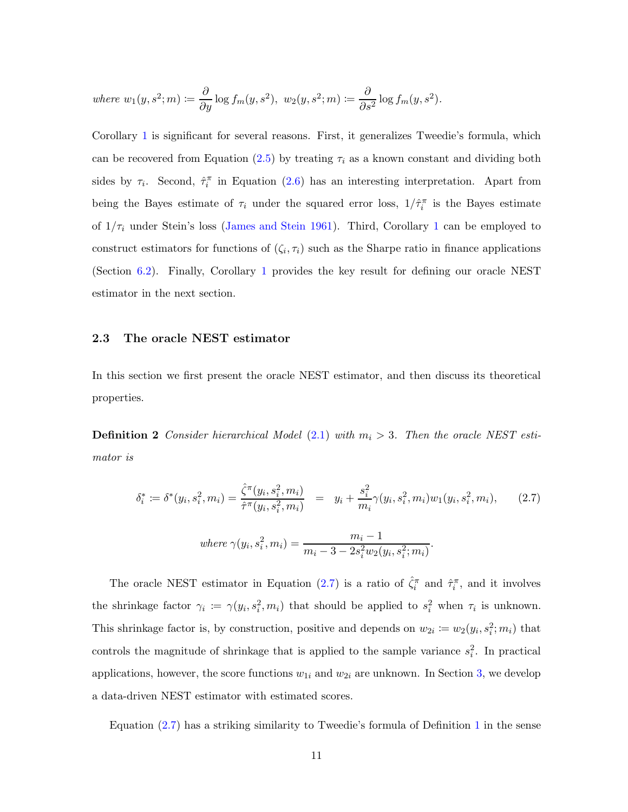where 
$$
w_1(y, s^2; m) \coloneqq \frac{\partial}{\partial y} \log f_m(y, s^2), w_2(y, s^2; m) \coloneqq \frac{\partial}{\partial s^2} \log f_m(y, s^2).
$$

Corollary [1](#page-9-2) is significant for several reasons. First, it generalizes Tweedie's formula, which can be recovered from Equation  $(2.5)$  by treating  $\tau_i$  as a known constant and dividing both sides by  $\tau_i$ . Second,  $\hat{\tau}_i^{\pi}$  in Equation [\(2.6\)](#page-9-3) has an interesting interpretation. Apart from being the Bayes estimate of  $\tau_i$  under the squared error loss,  $1/\hat{\tau}_i^{\pi}$  is the Bayes estimate of  $1/\tau_i$  $1/\tau_i$  under Stein's loss [\(James and Stein 1961](#page-34-3)). Third, Corollary 1 can be employed to construct estimators for functions of  $(\zeta_i, \tau_i)$  such as the Sharpe ratio in finance applications (Section [6.2\)](#page-31-0). Finally, Corollary [1](#page-9-2) provides the key result for defining our oracle NEST estimator in the next section.

#### <span id="page-10-0"></span>2.3 The oracle NEST estimator

<span id="page-10-1"></span>In this section we first present the oracle NEST estimator, and then discuss its theoretical properties.

**Definition 2** Consider hierarchical Model  $(2.1)$  with  $m_i > 3$ . Then the oracle NEST estimator is

<span id="page-10-2"></span>
$$
\delta_i^* := \delta^*(y_i, s_i^2, m_i) = \frac{\hat{\zeta}^{\pi}(y_i, s_i^2, m_i)}{\hat{\tau}^{\pi}(y_i, s_i^2, m_i)} = y_i + \frac{s_i^2}{m_i} \gamma(y_i, s_i^2, m_i) w_1(y_i, s_i^2, m_i), \quad (2.7)
$$

where 
$$
\gamma(y_i, s_i^2, m_i) = \frac{m_i - 1}{m_i - 3 - 2s_i^2 w_2(y_i, s_i^2; m_i)}
$$
.

The oracle NEST estimator in Equation [\(2.7\)](#page-10-2) is a ratio of  $\hat{\zeta}_i^{\pi}$  and  $\hat{\tau}_i^{\pi}$ , and it involves the shrinkage factor  $\gamma_i := \gamma(y_i, s_i^2, m_i)$  that should be applied to  $s_i^2$  when  $\tau_i$  is unknown. This shrinkage factor is, by construction, positive and depends on  $w_{2i} := w_2(y_i, s_i^2; m_i)$  that controls the magnitude of shrinkage that is applied to the sample variance  $s_i^2$ . In practical applications, however, the score functions  $w_{1i}$  and  $w_{2i}$  are unknown. In Section [3,](#page-13-0) we develop a data-driven NEST estimator with estimated scores.

Equation [\(2.7\)](#page-10-2) has a striking similarity to Tweedie's formula of Definition [1](#page-8-0) in the sense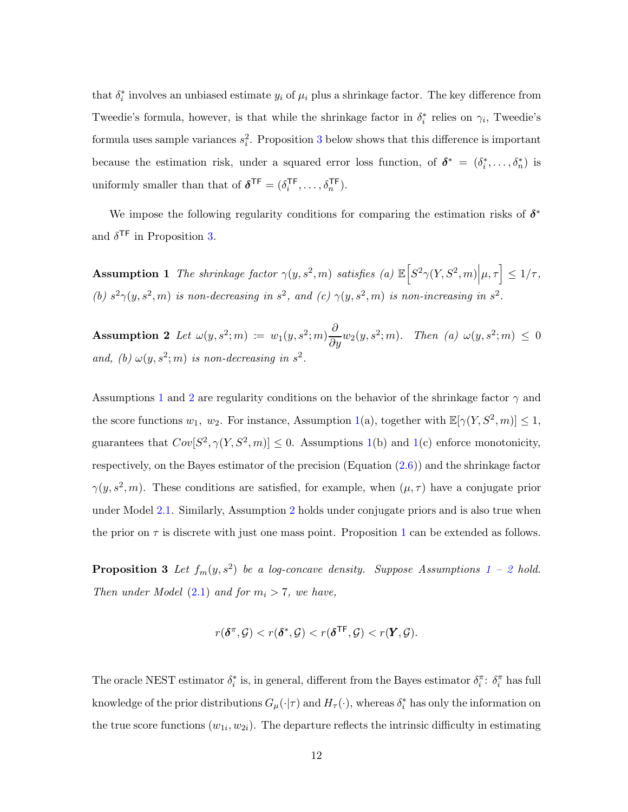that  $\delta_i^*$  involves an unbiased estimate  $y_i$  of  $\mu_i$  plus a shrinkage factor. The key difference from Tweedie's formula, however, is that while the shrinkage factor in  $\delta_i^*$  relies on  $\gamma_i$ , Tweedie's formula uses sample variances  $s_i^2$ . Proposition [3](#page-11-0) below shows that this difference is important because the estimation risk, under a squared error loss function, of  $\boldsymbol{\delta}^* = (\delta_i^*, \dots, \delta_n^*)$  is uniformly smaller than that of  $\delta^{\text{TF}} = (\delta_i^{\text{TF}})$  $i^{\text{TF}}, \ldots, \delta_n^{\text{TF}}$ ).

<span id="page-11-1"></span>We impose the following regularity conditions for comparing the estimation risks of  $\delta^*$ and  $\delta^{\mathsf{TF}}$  in Proposition [3.](#page-11-0)

<span id="page-11-2"></span> $\textbf{Assumption 1}$  The shrinkage factor  $\gamma(y,s^2,m)$  satisfies (a)  $\mathbb{E}\Big[S^2\gamma(Y,S^2,m)\Big|\mu,\tau\Big] \leq 1/\tau,$ (b)  $s^2\gamma(y, s^2, m)$  is non-decreasing in  $s^2$ , and (c)  $\gamma(y, s^2, m)$  is non-increasing in  $s^2$ .

Assumption 2 Let  $\omega(y, s^2; m) := w_1(y, s^2; m) \frac{\partial}{\partial y} w_2(y, s^2; m)$ . Then (a)  $\omega(y, s^2; m) \leq 0$ and, (b)  $\omega(y, s^2; m)$  is non-decreasing in  $s^2$ .

Assumptions [1](#page-11-1) and [2](#page-11-2) are regularity conditions on the behavior of the shrinkage factor  $\gamma$  and the score functions  $w_1$ ,  $w_2$ . For instance, Assumption [1\(](#page-11-1)a), together with  $\mathbb{E}[\gamma(Y, S^2, m)] \leq 1$ , guarantees that  $Cov[S^2, \gamma(Y, S^2, m)] \leq 0$ . Assumptions [1\(](#page-11-1)b) and 1(c) enforce monotonicity, respectively, on the Bayes estimator of the precision  $(\text{Equation } (2.6))$  $(\text{Equation } (2.6))$  $(\text{Equation } (2.6))$  and the shrinkage factor  $\gamma(y, s^2, m)$ . These conditions are satisfied, for example, when  $(\mu, \tau)$  have a conjugate prior under Model [2.1.](#page-6-1) Similarly, Assumption [2](#page-11-2) holds under conjugate priors and is also true when the prior on  $\tau$  is discrete with just one mass point. Proposition [1](#page-8-1) can be extended as follows.

**Proposition 3** Let  $f_m(y, s^2)$  $f_m(y, s^2)$  $f_m(y, s^2)$  be a log-concave density. Suppose Assumptions [1](#page-11-1) – 2 hold. Then under Model  $(2.1)$  and for  $m_i > 7$ , we have,

<span id="page-11-0"></span>
$$
r(\boldsymbol{\delta}^{\pi}, \mathcal{G}) < r(\boldsymbol{\delta}^*, \mathcal{G}) < r(\boldsymbol{\delta}^{\mathsf{TF}}, \mathcal{G}) < r(\boldsymbol{Y}, \mathcal{G}).
$$

The oracle NEST estimator  $\delta_i^*$  is, in general, different from the Bayes estimator  $\delta_i^{\pi}$ :  $\delta_i^{\pi}$  has full knowledge of the prior distributions  $G_{\mu}(\cdot|\tau)$  and  $H_{\tau}(\cdot)$ , whereas  $\delta_i^*$  has only the information on the true score functions  $(w_{1i}, w_{2i})$ . The departure reflects the intrinsic difficulty in estimating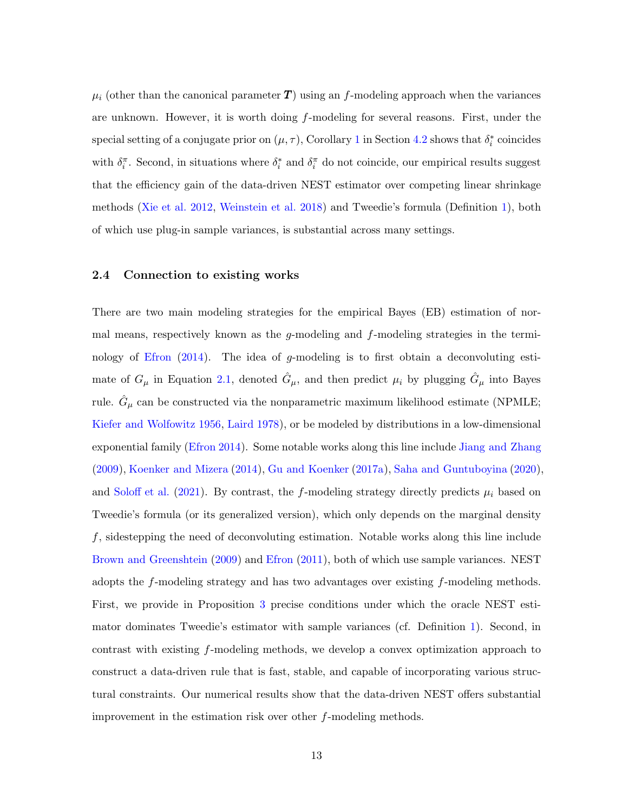$\mu_i$  (other than the canonical parameter  $T$ ) using an f-modeling approach when the variances are unknown. However, it is worth doing f-modeling for several reasons. First, under the special setting of a conjugate prior on  $(\mu, \tau)$ , Corollary [1](#page-9-2) in Section [4.2](#page-19-0) shows that  $\delta_i^*$  coincides with  $\delta_i^{\pi}$ . Second, in situations where  $\delta_i^*$  and  $\delta_i^{\pi}$  do not coincide, our empirical results suggest that the efficiency gain of the data-driven NEST estimator over competing linear shrinkage methods [\(Xie et al. 2012](#page-36-4), [Weinstein et al. 2018](#page-36-2)) and Tweedie's formula (Definition [1\)](#page-8-0), both of which use plug-in sample variances, is substantial across many settings.

#### 2.4 Connection to existing works

There are two main modeling strategies for the empirical Bayes (EB) estimation of normal means, respectively known as the q-modeling and  $f$ -modeling strategies in the termi-nology of [Efron](#page-34-8)  $(2014)$  $(2014)$ . The idea of g-modeling is to first obtain a deconvoluting estimate of  $G_{\mu}$  in Equation [2.1,](#page-6-1) denoted  $\hat{G}_{\mu}$ , and then predict  $\mu_i$  by plugging  $\hat{G}_{\mu}$  into Bayes rule.  $\hat{G}_{\mu}$  can be constructed via the nonparametric maximum likelihood estimate (NPMLE; [Kiefer and Wolfowitz 1956](#page-35-6), [Laird 1978](#page-35-7)), or be modeled by distributions in a low-dimensional exponential family [\(Efron 2014\)](#page-34-8). Some notable works along this line include [Jiang and Zhang](#page-34-5) [\(2009\)](#page-34-5), [Koenker and Mizera](#page-35-3) [\(2014](#page-35-3)), [Gu and Koenker](#page-34-9) [\(2017a](#page-34-9)), [Saha and Guntuboyina](#page-35-8) [\(2020](#page-35-8)), and [Soloff et al.](#page-36-7) [\(2021](#page-36-7)). By contrast, the f-modeling strategy directly predicts  $\mu_i$  based on Tweedie's formula (or its generalized version), which only depends on the marginal density f, sidestepping the need of deconvoluting estimation. Notable works along this line include [Brown and Greenshtein](#page-33-2) [\(2009](#page-33-2)) and [Efron](#page-34-2) [\(2011](#page-34-2)), both of which use sample variances. NEST adopts the f-modeling strategy and has two advantages over existing f-modeling methods. First, we provide in Proposition [3](#page-11-0) precise conditions under which the oracle NEST estimator dominates Tweedie's estimator with sample variances (cf. Definition [1\)](#page-8-0). Second, in contrast with existing f-modeling methods, we develop a convex optimization approach to construct a data-driven rule that is fast, stable, and capable of incorporating various structural constraints. Our numerical results show that the data-driven NEST offers substantial improvement in the estimation risk over other f-modeling methods.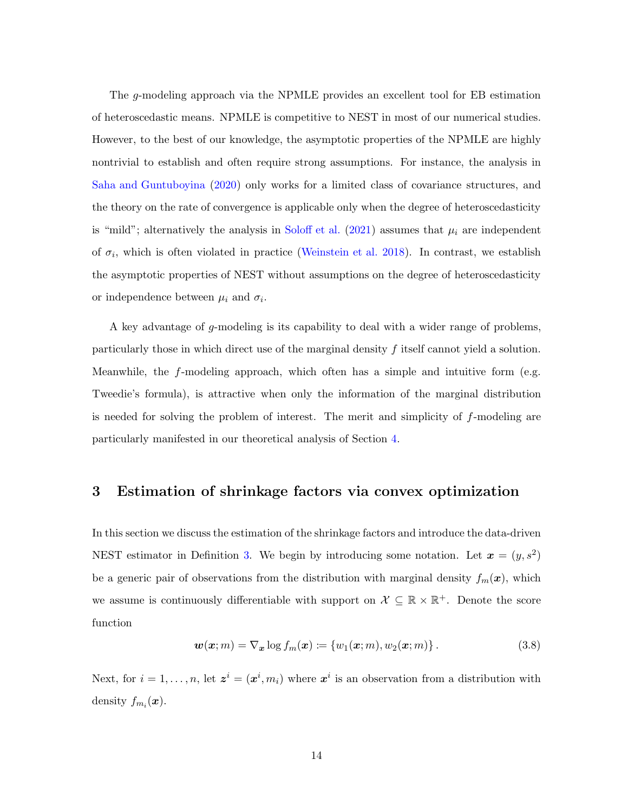The g-modeling approach via the NPMLE provides an excellent tool for EB estimation of heteroscedastic means. NPMLE is competitive to NEST in most of our numerical studies. However, to the best of our knowledge, the asymptotic properties of the NPMLE are highly nontrivial to establish and often require strong assumptions. For instance, the analysis in [Saha and Guntuboyina](#page-35-8) [\(2020\)](#page-35-8) only works for a limited class of covariance structures, and the theory on the rate of convergence is applicable only when the degree of heteroscedasticity is "mild"; alternatively the analysis in [Soloff et al.](#page-36-7) [\(2021](#page-36-7)) assumes that  $\mu_i$  are independent of  $\sigma_i$ , which is often violated in practice [\(Weinstein et al. 2018\)](#page-36-2). In contrast, we establish the asymptotic properties of NEST without assumptions on the degree of heteroscedasticity or independence between  $\mu_i$  and  $\sigma_i$ .

A key advantage of g-modeling is its capability to deal with a wider range of problems, particularly those in which direct use of the marginal density  $f$  itself cannot yield a solution. Meanwhile, the f-modeling approach, which often has a simple and intuitive form (e.g. Tweedie's formula), is attractive when only the information of the marginal distribution is needed for solving the problem of interest. The merit and simplicity of  $f$ -modeling are particularly manifested in our theoretical analysis of Section [4.](#page-17-0)

## <span id="page-13-0"></span>3 Estimation of shrinkage factors via convex optimization

In this section we discuss the estimation of the shrinkage factors and introduce the data-driven NEST estimator in Definition [3.](#page-14-0) We begin by introducing some notation. Let  $\mathbf{x} = (y, s^2)$ be a generic pair of observations from the distribution with marginal density  $f_m(x)$ , which we assume is continuously differentiable with support on  $\mathcal{X} \subseteq \mathbb{R} \times \mathbb{R}^+$ . Denote the score function

<span id="page-13-1"></span>
$$
\boldsymbol{w}(\boldsymbol{x};m) = \nabla_{\boldsymbol{x}} \log f_m(\boldsymbol{x}) \coloneqq \{w_1(\boldsymbol{x};m), w_2(\boldsymbol{x};m)\} \,.
$$
 (3.8)

Next, for  $i = 1, \ldots, n$ , let  $\mathbf{z}^i = (\mathbf{x}^i, m_i)$  where  $\mathbf{x}^i$  is an observation from a distribution with density  $f_{m_i}(\boldsymbol{x})$ .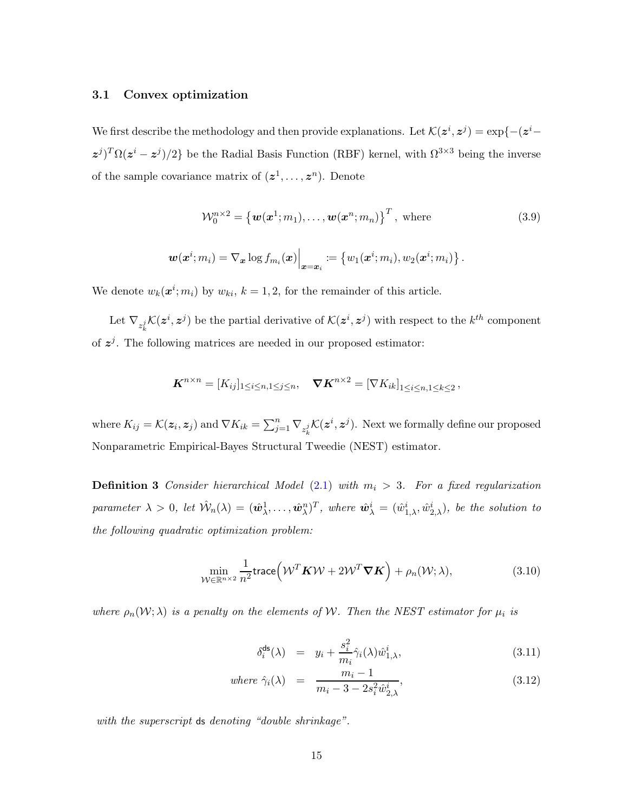#### 3.1 Convex optimization

We first describe the methodology and then provide explanations. Let  $\mathcal{K}(z^i, z^j) = \exp\{-(z^i - z^j)\}$  $(z^{j})^{T} \Omega(z^{i} - z^{j})/2$  be the Radial Basis Function (RBF) kernel, with  $\Omega^{3 \times 3}$  being the inverse of the sample covariance matrix of  $(z^1, \ldots, z^n)$ . Denote

<span id="page-14-3"></span>
$$
\mathcal{W}_0^{n\times 2} = \left\{ \boldsymbol{w}(\boldsymbol{x}^1; m_1), \dots, \boldsymbol{w}(\boldsymbol{x}^n; m_n) \right\}^T, \text{ where } (3.9)
$$

$$
\boldsymbol{w}(\boldsymbol{x}^i;m_i)=\nabla_{\boldsymbol{x}}\log f_{m_i}(\boldsymbol{x})\Big|_{\boldsymbol{x}=\boldsymbol{x}_i}\coloneqq\left\{w_1(\boldsymbol{x}^i;m_i),w_2(\boldsymbol{x}^i;m_i)\right\}.
$$

We denote  $w_k(\boldsymbol{x}^i; m_i)$  by  $w_{ki}$ ,  $k = 1, 2$ , for the remainder of this article.

Let  $\nabla_{z_k^j} \mathcal{K}(z^i, z^j)$  be the partial derivative of  $\mathcal{K}(z^i, z^j)$  with respect to the  $k^{th}$  component of  $z^{j}$ . The following matrices are needed in our proposed estimator:

$$
\boldsymbol{K}^{n\times n}=[K_{ij}]_{1\leq i\leq n,1\leq j\leq n},\quad \boldsymbol{\nabla} \boldsymbol{K}^{n\times 2}=[\nabla K_{ik}]_{1\leq i\leq n,1\leq k\leq 2},
$$

where  $K_{ij} = \mathcal{K}(\boldsymbol{z}_i, \boldsymbol{z}_j)$  and  $\nabla K_{ik} = \sum_{j=1}^n \nabla_{z_k^j} \mathcal{K}(\boldsymbol{z}^i, \boldsymbol{z}^j)$ . Next we formally define our proposed Nonparametric Empirical-Bayes Structural Tweedie (NEST) estimator.

**Definition 3** Consider hierarchical Model [\(2.1\)](#page-6-1) with  $m_i > 3$ . For a fixed regularization parameter  $\lambda > 0$ , let  $\hat{W}_n(\lambda) = (\hat{w}_{\lambda}^1, \dots, \hat{w}_{\lambda}^n)^T$ , where  $\hat{w}_{\lambda}^i = (\hat{w}_{1,\lambda}^i, \hat{w}_{2,\lambda}^i)$ , be the solution to the following quadratic optimization problem:

<span id="page-14-1"></span><span id="page-14-0"></span>
$$
\min_{\mathcal{W} \in \mathbb{R}^{n \times 2}} \frac{1}{n^2} \text{trace} \left( \mathcal{W}^T \mathbf{K} \mathcal{W} + 2 \mathcal{W}^T \mathbf{\nabla} \mathbf{K} \right) + \rho_n(\mathcal{W}; \lambda), \tag{3.10}
$$

where  $\rho_n(\mathcal{W}; \lambda)$  is a penalty on the elements of W. Then the NEST estimator for  $\mu_i$  is

<span id="page-14-2"></span>
$$
\delta_i^{\mathsf{ds}}(\lambda) = y_i + \frac{s_i^2}{m_i} \hat{\gamma}_i(\lambda) \hat{w}_{1,\lambda}^i, \tag{3.11}
$$

where 
$$
\hat{\gamma}_i(\lambda) = \frac{m_i - 1}{m_i - 3 - 2s_i^2 \hat{w}_{2,\lambda}^i}
$$
, (3.12)

with the superscript ds denoting "double shrinkage".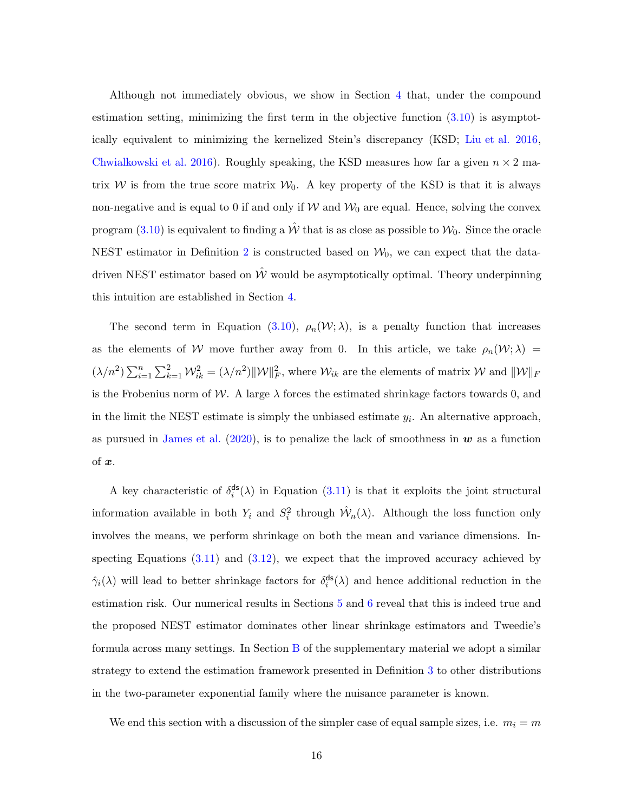Although not immediately obvious, we show in Section [4](#page-17-0) that, under the compound estimation setting, minimizing the first term in the objective function [\(3.10\)](#page-14-1) is asymptotically equivalent to minimizing the kernelized Stein's discrepancy (KSD; [Liu et al. 2016](#page-35-9), [Chwialkowski et al. 2016](#page-33-11)). Roughly speaking, the KSD measures how far a given  $n \times 2$  matrix W is from the true score matrix  $W_0$ . A key property of the KSD is that it is always non-negative and is equal to 0 if and only if  $W$  and  $W_0$  are equal. Hence, solving the convex program [\(3.10\)](#page-14-1) is equivalent to finding a  $\hat{W}$  that is as close as possible to  $\mathcal{W}_0$ . Since the oracle NEST estimator in Definition [2](#page-10-1) is constructed based on  $\mathcal{W}_0$ , we can expect that the datadriven NEST estimator based on  $\hat{W}$  would be asymptotically optimal. Theory underpinning this intuition are established in Section [4.](#page-17-0)

The second term in Equation [\(3.10\)](#page-14-1),  $\rho_n(\mathcal{W}; \lambda)$ , is a penalty function that increases as the elements of W move further away from 0. In this article, we take  $\rho_n(\mathcal{W};\lambda)$  =  $(\lambda/n^2) \sum_{i=1}^n \sum_{k=1}^2 \mathcal{W}_{ik}^2 = (\lambda/n^2) ||\mathcal{W}||_F^2$ , where  $\mathcal{W}_{ik}$  are the elements of matrix  $\mathcal{W}$  and  $||\mathcal{W}||_F$ is the Frobenius norm of W. A large  $\lambda$  forces the estimated shrinkage factors towards 0, and in the limit the NEST estimate is simply the unbiased estimate  $y_i$ . An alternative approach, as pursued in [James et al.](#page-34-10)  $(2020)$ , is to penalize the lack of smoothness in  $\boldsymbol{w}$  as a function of  $x$ .

A key characteristic of  $\delta_i^{\text{ds}}$  $i^{\text{ds}}(\lambda)$  in Equation [\(3.11\)](#page-14-2) is that it exploits the joint structural information available in both  $Y_i$  and  $S_i^2$  through  $\hat{\mathcal{W}}_n(\lambda)$ . Although the loss function only involves the means, we perform shrinkage on both the mean and variance dimensions. Inspecting Equations  $(3.11)$  and  $(3.12)$ , we expect that the improved accuracy achieved by  $\hat{\gamma}_i(\lambda)$  will lead to better shrinkage factors for  $\delta_i^{\text{ds}}$  $i^{\text{ds}}(\lambda)$  and hence additional reduction in the estimation risk. Our numerical results in Sections [5](#page-22-0) and [6](#page-29-0) reveal that this is indeed true and the proposed NEST estimator dominates other linear shrinkage estimators and Tweedie's formula across many settings. In Section [B](#page-55-0) of the supplementary material we adopt a similar strategy to extend the estimation framework presented in Definition [3](#page-14-0) to other distributions in the two-parameter exponential family where the nuisance parameter is known.

We end this section with a discussion of the simpler case of equal sample sizes, i.e.  $m_i = m$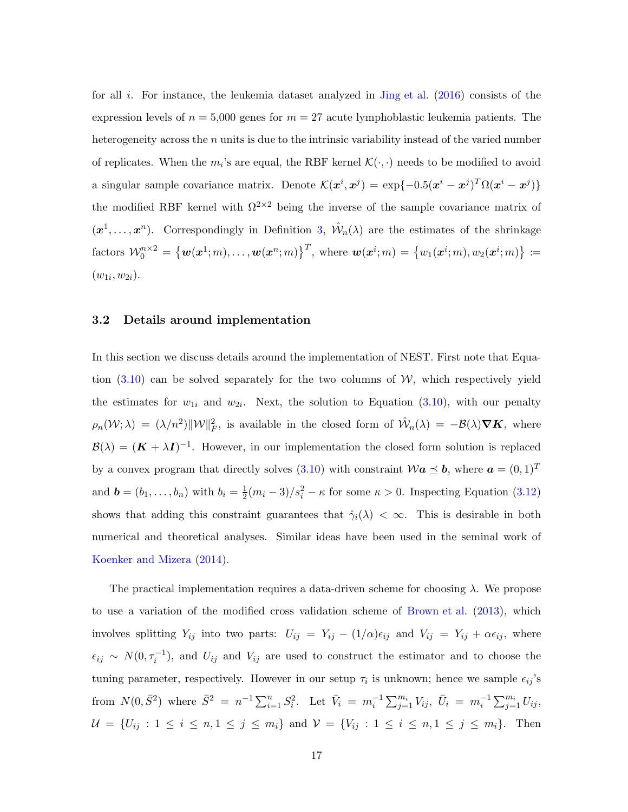for all i. For instance, the leukemia dataset analyzed in [Jing et al.](#page-34-7)  $(2016)$  $(2016)$  consists of the expression levels of  $n = 5,000$  genes for  $m = 27$  acute lymphoblastic leukemia patients. The heterogeneity across the  $n$  units is due to the intrinsic variability instead of the varied number of replicates. When the  $m_i$ 's are equal, the RBF kernel  $\mathcal{K}(\cdot, \cdot)$  needs to be modified to avoid a singular sample covariance matrix. Denote  $\mathcal{K}(x^i, x^j) = \exp\{-0.5(x^i - x^j)^T \Omega(x^i - x^j)\}\$ the modified RBF kernel with  $\Omega^{2\times 2}$  being the inverse of the sample covariance matrix of  $(x^1, \ldots, x^n)$ . Correspondingly in Definition [3,](#page-14-0)  $\hat{W}_n(\lambda)$  are the estimates of the shrinkage  $\text{factors } \mathcal{W}_0^{n \times 2} = \big\{\boldsymbol{w}(\boldsymbol{x}^1; m), \dots, \boldsymbol{w}(\boldsymbol{x}^n; m)\big\}^T, \text{ where } \boldsymbol{w}(\boldsymbol{x}^i; m) = \big\{w_1(\boldsymbol{x}^i; m), w_2(\boldsymbol{x}^i; m)\big\} \coloneqq$  $(w_{1i}, w_{2i}).$ 

#### <span id="page-16-0"></span>3.2 Details around implementation

In this section we discuss details around the implementation of NEST. First note that Equation  $(3.10)$  can be solved separately for the two columns of W, which respectively yield the estimates for  $w_{1i}$  and  $w_{2i}$ . Next, the solution to Equation [\(3.10\)](#page-14-1), with our penalty  $\rho_n(\mathcal{W};\lambda) = (\lambda/n^2) \|\mathcal{W}\|_F^2$ , is available in the closed form of  $\hat{\mathcal{W}}_n(\lambda) = -\mathcal{B}(\lambda) \nabla K$ , where  $\mathcal{B}(\lambda) = (\mathbf{K} + \lambda \mathbf{I})^{-1}$ . However, in our implementation the closed form solution is replaced by a convex program that directly solves  $(3.10)$  with constraint  $\mathcal{W}a \preceq b$ , where  $a = (0,1)^T$ and  $\mathbf{b} = (b_1, \ldots, b_n)$  with  $b_i = \frac{1}{2}$  $\frac{1}{2}(m_i-3)/s_i^2 - \kappa$  for some  $\kappa > 0$ . Inspecting Equation [\(3.12\)](#page-14-2) shows that adding this constraint guarantees that  $\hat{\gamma}_i(\lambda) < \infty$ . This is desirable in both numerical and theoretical analyses. Similar ideas have been used in the seminal work of [Koenker and Mizera](#page-35-3) [\(2014](#page-35-3)).

The practical implementation requires a data-driven scheme for choosing  $\lambda$ . We propose to use a variation of the modified cross validation scheme of [Brown et al.](#page-33-12) [\(2013](#page-33-12)), which involves splitting  $Y_{ij}$  into two parts:  $U_{ij} = Y_{ij} - (1/\alpha)\epsilon_{ij}$  and  $V_{ij} = Y_{ij} + \alpha\epsilon_{ij}$ , where  $\epsilon_{ij} \sim N(0, \tau_i^{-1})$ , and  $U_{ij}$  and  $V_{ij}$  are used to construct the estimator and to choose the tuning parameter, respectively. However in our setup  $\tau_i$  is unknown; hence we sample  $\epsilon_{ij}$ 's from  $N(0, \bar{S}^2)$  where  $\bar{S}^2 = n^{-1} \sum_{i=1}^n S_i^2$ . Let  $\bar{V}_i = m_i^{-1} \sum_{j=1}^{m_i} V_{ij}$ ,  $\bar{U}_i = m_i^{-1} \sum_{j=1}^{m_i} U_{ij}$ ,  $U = \{U_{ij} : 1 \le i \le n, 1 \le j \le m_i\}$  and  $V = \{V_{ij} : 1 \le i \le n, 1 \le j \le m_i\}$ . Then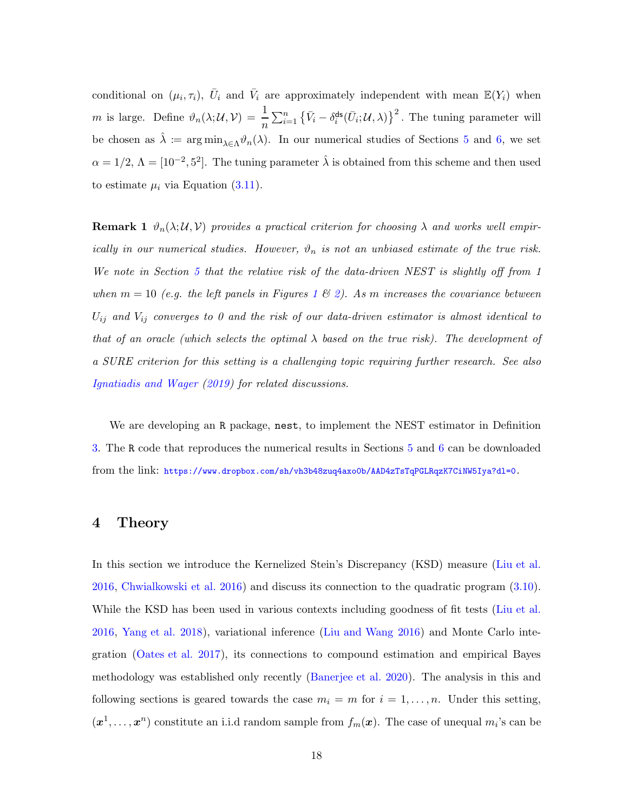conditional on  $(\mu_i, \tau_i)$ ,  $\bar{U}_i$  and  $\bar{V}_i$  are approximately independent with mean  $\mathbb{E}(Y_i)$  when m is large. Define  $\vartheta_n(\lambda; \mathcal{U}, \mathcal{V}) = \frac{1}{n} \sum_{i=1}^n \left\{ \bar{V}_i - \delta_i^{\text{ds}} \right\}$  $\left\{ \int_{i}^{d\mathbf{s}}(\bar{U}_{i};\mathcal{U},\lambda)\right\} ^{2}$ . The tuning parameter will be chosen as  $\hat{\lambda} := \arg \min_{\lambda \in \Lambda} \vartheta_n(\lambda)$ . In our numerical studies of Sections [5](#page-22-0) and [6,](#page-29-0) we set  $\alpha = 1/2$ ,  $\Lambda = [10^{-2}, 5^2]$ . The tuning parameter  $\hat{\lambda}$  is obtained from this scheme and then used to estimate  $\mu_i$  via Equation [\(3.11\)](#page-14-2).

**Remark 1**  $\vartheta_n(\lambda;\mathcal{U},\mathcal{V})$  provides a practical criterion for choosing  $\lambda$  and works well empirically in our numerical studies. However,  $\vartheta_n$  is not an unbiased estimate of the true risk. We note in Section [5](#page-22-0) that the relative risk of the data-driven NEST is slightly off from 1 when  $m = 10$  $m = 10$  $m = 10$  (e.g. the left panels in Figures 1 & [2\)](#page-24-1). As m increases the covariance between  $U_{ij}$  and  $V_{ij}$  converges to 0 and the risk of our data-driven estimator is almost identical to that of an oracle (which selects the optimal  $\lambda$  based on the true risk). The development of a SURE criterion for this setting is a challenging topic requiring further research. See also [Ignatiadis and Wager](#page-34-11) [\(2019](#page-34-11)) for related discussions.

We are developing an R package, nest, to implement the NEST estimator in Definition [3.](#page-14-0) The R code that reproduces the numerical results in Sections [5](#page-22-0) and [6](#page-29-0) can be downloaded from the link: <https://www.dropbox.com/sh/vh3b48zuq4axo0b/AAD4zTsTqPGLRqzK7CiNW5Iya?dl=0>.

## <span id="page-17-0"></span>4 Theory

In this section we introduce the Kernelized Stein's Discrepancy (KSD) measure [\(Liu et al.](#page-35-9) [2016](#page-35-9), [Chwialkowski et al. 2016](#page-33-11)) and discuss its connection to the quadratic program [\(3.10\)](#page-14-1). While the KSD has been used in various contexts including goodness of fit tests [\(Liu et al.](#page-35-9) [2016](#page-35-9), [Yang et al. 2018](#page-36-8)), variational inference [\(Liu and Wang 2016\)](#page-35-10) and Monte Carlo integration [\(Oates et al. 2017](#page-35-11)), its connections to compound estimation and empirical Bayes methodology was established only recently [\(Banerjee et al. 2020\)](#page-32-5). The analysis in this and following sections is geared towards the case  $m_i = m$  for  $i = 1, ..., n$ . Under this setting,  $(x^1, \ldots, x^n)$  constitute an i.i.d random sample from  $f_m(x)$ . The case of unequal  $m_i$ 's can be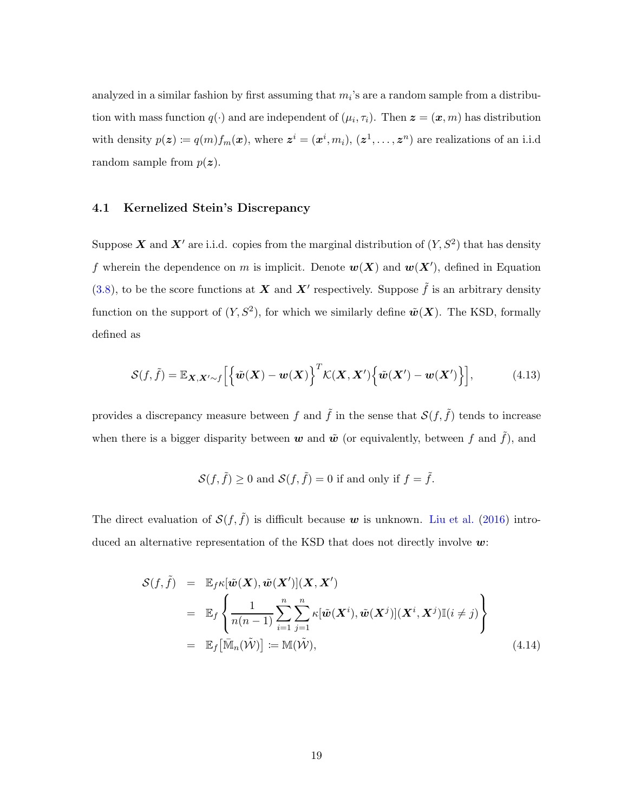analyzed in a similar fashion by first assuming that  $m_i$ 's are a random sample from a distribution with mass function  $q(\cdot)$  and are independent of  $(\mu_i, \tau_i)$ . Then  $\boldsymbol{z} = (\boldsymbol{x}, m)$  has distribution with density  $p(\boldsymbol{z}) \coloneqq q(m)f_m(\boldsymbol{x})$ , where  $\boldsymbol{z}^i = (\boldsymbol{x}^i, m_i)$ ,  $(\boldsymbol{z}^1, \dots, \boldsymbol{z}^n)$  are realizations of an i.i.d random sample from  $p(z)$ .

#### 4.1 Kernelized Stein's Discrepancy

Suppose X and X' are i.i.d. copies from the marginal distribution of  $(Y, S^2)$  that has density f wherein the dependence on m is implicit. Denote  $w(X)$  and  $w(X')$ , defined in Equation [\(3.8\)](#page-13-1), to be the score functions at X and X' respectively. Suppose  $\tilde{f}$  is an arbitrary density function on the support of  $(Y, S^2)$ , for which we similarly define  $\tilde{\boldsymbol{w}}(\boldsymbol{X})$ . The KSD, formally defined as

$$
\mathcal{S}(f,\tilde{f}) = \mathbb{E}_{\mathbf{X},\mathbf{X}'\sim f}\Big[\Big\{\tilde{\boldsymbol{w}}(\mathbf{X}) - \boldsymbol{w}(\mathbf{X})\Big\}^T \mathcal{K}(\mathbf{X},\mathbf{X}')\Big\{\tilde{\boldsymbol{w}}(\mathbf{X}') - \boldsymbol{w}(\mathbf{X}')\Big\}\Big],\tag{4.13}
$$

provides a discrepancy measure between f and  $\tilde{f}$  in the sense that  $\mathcal{S}(f, \tilde{f})$  tends to increase when there is a bigger disparity between  $w$  and  $\tilde{w}$  (or equivalently, between f and  $\tilde{f}$ ), and

$$
\mathcal{S}(f,\tilde{f}) \ge 0 \text{ and } \mathcal{S}(f,\tilde{f}) = 0 \text{ if and only if } f = \tilde{f}.
$$

The direct evaluation of  $\mathcal{S}(f, \tilde{f})$  is difficult because w is unknown. [Liu et al.](#page-35-9) [\(2016](#page-35-9)) introduced an alternative representation of the KSD that does not directly involve  $w$ :

<span id="page-18-0"></span>
$$
S(f, \tilde{f}) = \mathbb{E}_{f} \kappa[\tilde{w}(X), \tilde{w}(X')] (X, X')
$$
  
\n
$$
= \mathbb{E}_{f} \left\{ \frac{1}{n(n-1)} \sum_{i=1}^{n} \sum_{j=1}^{n} \kappa[\tilde{w}(X^{i}), \tilde{w}(X^{j})] (X^{i}, X^{j}) \mathbb{I}(i \neq j) \right\}
$$
  
\n
$$
= \mathbb{E}_{f} [\bar{\mathbb{M}}_{n}(\tilde{W})] := \mathbb{M}(\tilde{W}), \qquad (4.14)
$$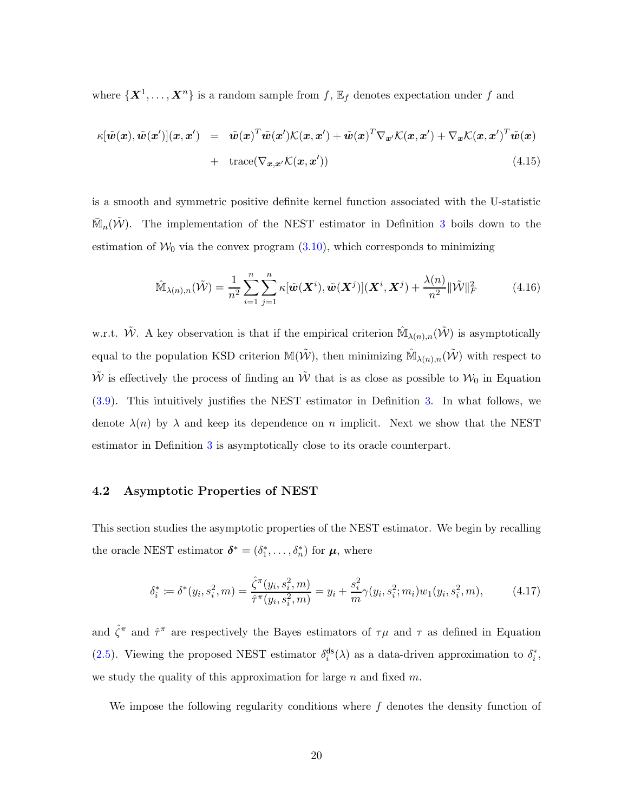where  $\{X^1, \ldots, X^n\}$  is a random sample from  $f$ ,  $\mathbb{E}_f$  denotes expectation under  $f$  and

$$
\kappa[\tilde{\boldsymbol{w}}(\boldsymbol{x}), \tilde{\boldsymbol{w}}(\boldsymbol{x}')] (\boldsymbol{x}, \boldsymbol{x}') = \tilde{\boldsymbol{w}}(\boldsymbol{x})^T \tilde{\boldsymbol{w}}(\boldsymbol{x}') \mathcal{K}(\boldsymbol{x}, \boldsymbol{x}') + \tilde{\boldsymbol{w}}(\boldsymbol{x})^T \nabla_{\boldsymbol{x}'} \mathcal{K}(\boldsymbol{x}, \boldsymbol{x}') + \nabla_{\boldsymbol{x}} \mathcal{K}(\boldsymbol{x}, \boldsymbol{x}')^T \tilde{\boldsymbol{w}}(\boldsymbol{x})
$$
  
+ trace( $\nabla_{\boldsymbol{x}, \boldsymbol{x}'} \mathcal{K}(\boldsymbol{x}, \boldsymbol{x}')$ ) (4.15)

is a smooth and symmetric positive definite kernel function associated with the U-statistic  $\mathbb{\bar{M}}_n(\tilde{\mathcal{W}})$ . The implementation of the NEST estimator in Definition [3](#page-14-0) boils down to the estimation of  $W_0$  via the convex program  $(3.10)$ , which corresponds to minimizing

$$
\widehat{\mathbb{M}}_{\lambda(n),n}(\tilde{\mathcal{W}}) = \frac{1}{n^2} \sum_{i=1}^n \sum_{j=1}^n \kappa[\tilde{\boldsymbol{w}}(\boldsymbol{X}^i), \tilde{\boldsymbol{w}}(\boldsymbol{X}^j)](\boldsymbol{X}^i, \boldsymbol{X}^j) + \frac{\lambda(n)}{n^2} ||\tilde{\mathcal{W}}||_F^2
$$
(4.16)

w.r.t.  $\tilde{W}$ . A key observation is that if the empirical criterion  $\mathbb{M}_{\lambda(n),n}(\tilde{W})$  is asymptotically equal to the population KSD criterion  $\mathbb{M}(\tilde{\mathcal{W}})$ , then minimizing  $\hat{\mathbb{M}}_{\lambda(n),n}(\tilde{\mathcal{W}})$  with respect to  $\tilde{W}$  is effectively the process of finding an  $\tilde{W}$  that is as close as possible to  $W_0$  in Equation [\(3.9\)](#page-14-3). This intuitively justifies the NEST estimator in Definition [3.](#page-14-0) In what follows, we denote  $\lambda(n)$  by  $\lambda$  and keep its dependence on n implicit. Next we show that the NEST estimator in Definition [3](#page-14-0) is asymptotically close to its oracle counterpart.

#### <span id="page-19-0"></span>4.2 Asymptotic Properties of NEST

This section studies the asymptotic properties of the NEST estimator. We begin by recalling the oracle NEST estimator  $\boldsymbol{\delta}^* = (\delta_1^*, \ldots, \delta_n^*)$  for  $\boldsymbol{\mu}$ , where

<span id="page-19-1"></span>
$$
\delta_i^* := \delta^*(y_i, s_i^2, m) = \frac{\hat{\zeta}^{\pi}(y_i, s_i^2, m)}{\hat{\tau}^{\pi}(y_i, s_i^2, m)} = y_i + \frac{s_i^2}{m}\gamma(y_i, s_i^2; m_i)w_1(y_i, s_i^2, m),\tag{4.17}
$$

and  $\hat{\zeta}^{\pi}$  and  $\hat{\tau}^{\pi}$  are respectively the Bayes estimators of  $\tau\mu$  and  $\tau$  as defined in Equation [\(2.5\)](#page-9-3). Viewing the proposed NEST estimator  $\delta_i^{\text{ds}}$  $\int_{i}^{ds}$ ( $\lambda$ ) as a data-driven approximation to  $\delta_i^*$ , we study the quality of this approximation for large  $n$  and fixed  $m$ .

We impose the following regularity conditions where  $f$  denotes the density function of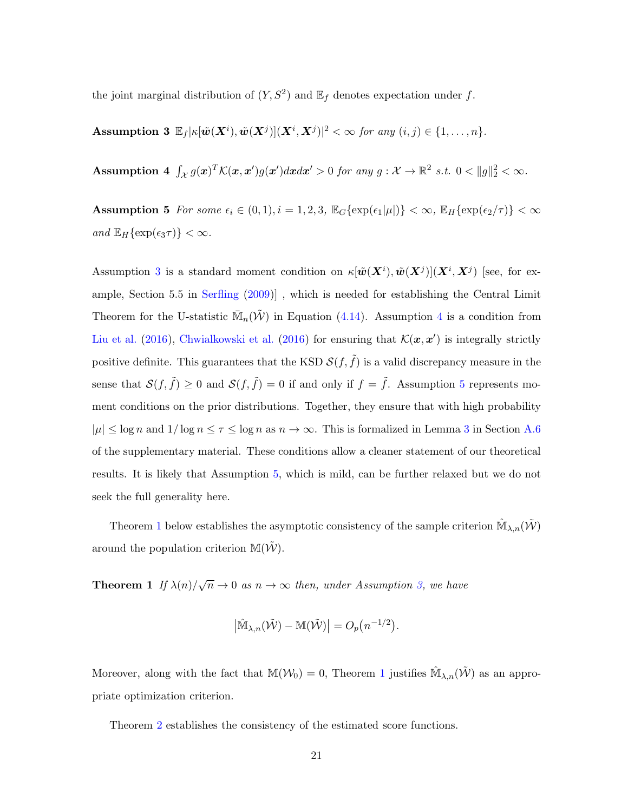<span id="page-20-0"></span>the joint marginal distribution of  $(Y, S^2)$  and  $\mathbb{E}_f$  denotes expectation under f.

<span id="page-20-1"></span>Assumption 3  $\mathbb{E}_f | \kappa[\tilde{\boldsymbol{w}}(\boldsymbol{X}^i), \tilde{\boldsymbol{w}}(\boldsymbol{X}^j)](\boldsymbol{X}^i, \boldsymbol{X}^j)|^2 < \infty$  for any  $(i, j) \in \{1, \ldots, n\}$ .

<span id="page-20-2"></span>Assumption 4  $\int_{\mathcal{X}} g(x)^T \mathcal{K}(x, x') g(x') dx dx' > 0$  for any  $g: \mathcal{X} \to \mathbb{R}^2$  s.t.  $0 < ||g||_2^2 < \infty$ .

Assumption 5 For some  $\epsilon_i \in (0,1), i = 1,2,3$ ,  $\mathbb{E}_G\{\exp(\epsilon_1|\mu|)\} < \infty$ ,  $\mathbb{E}_H\{\exp(\epsilon_2/\tau)\} < \infty$ and  $\mathbb{E}_H\{\exp(\epsilon_3\tau)\}<\infty$ .

Assumption [3](#page-20-0) is a standard moment condition on  $\kappa[\tilde{\bm{w}}(\bm{X}^i), \tilde{\bm{w}}(\bm{X}^j)](\bm{X}^i, \bm{X}^j)$  [see, for example, Section 5.5 in [Serfling](#page-35-12) [\(2009](#page-35-12))] , which is needed for establishing the Central Limit Theorem for the U-statistic  $\overline{\mathbb{M}}_n(\tilde{\mathcal{W}})$  in Equation [\(4.14\)](#page-18-0). Assumption [4](#page-20-1) is a condition from [Liu et al.](#page-35-9) [\(2016](#page-33-11)), [Chwialkowski et al.](#page-33-11) (2016) for ensuring that  $\mathcal{K}(x, x')$  is integrally strictly positive definite. This guarantees that the KSD  $\mathcal{S}(f, \tilde{f})$  is a valid discrepancy measure in the sense that  $\mathcal{S}(f, \tilde{f}) \geq 0$  and  $\mathcal{S}(f, \tilde{f}) = 0$  if and only if  $f = \tilde{f}$ . Assumption [5](#page-20-2) represents moment conditions on the prior distributions. Together, they ensure that with high probability  $|\mu| \leq \log n$  and  $1/\log n \leq \tau \leq \log n$  as  $n \to \infty$ . This is formalized in Lemma [3](#page-48-0) in Section [A.6](#page-48-1) of the supplementary material. These conditions allow a cleaner statement of our theoretical results. It is likely that Assumption [5,](#page-20-2) which is mild, can be further relaxed but we do not seek the full generality here.

Theorem [1](#page-20-3) below establishes the asymptotic consistency of the sample criterion  $\hat{M}_{\lambda,n}(\tilde{W})$ around the population criterion  $\mathbb{M}(\tilde{\mathcal{W}})$ .

**Theorem 1** If  $\lambda(n)/\sqrt{n} \to 0$  as  $n \to \infty$  then, under Assumption [3,](#page-20-0) we have

<span id="page-20-4"></span><span id="page-20-3"></span>
$$
\left|\widehat{\mathbb{M}}_{\lambda,n}(\widetilde{\mathcal{W}})-\mathbb{M}(\widetilde{\mathcal{W}})\right|=O_p\big(n^{-1/2}\big).
$$

Moreover, along with the fact that  $\mathbb{M}(\mathcal{W}_0) = 0$ , Theorem [1](#page-20-3) justifies  $\hat{\mathbb{M}}_{\lambda,n}(\tilde{\mathcal{W}})$  as an appropriate optimization criterion.

Theorem [2](#page-20-4) establishes the consistency of the estimated score functions.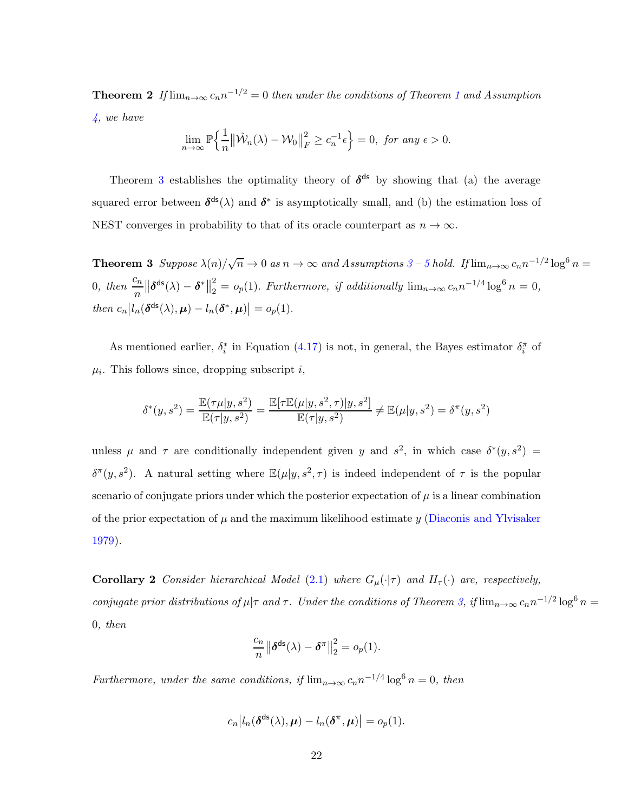**Theorem 2** If  $\lim_{n\to\infty} c_n n^{-1/2} = 0$  $\lim_{n\to\infty} c_n n^{-1/2} = 0$  $\lim_{n\to\infty} c_n n^{-1/2} = 0$  then under the conditions of Theorem 1 and Assumption [4,](#page-20-1) we have

<span id="page-21-0"></span>
$$
\lim_{n \to \infty} \mathbb{P}\Big\{\frac{1}{n} \big\|\hat{\mathcal{W}}_n(\lambda) - \mathcal{W}_0\big\|_F^2 \ge c_n^{-1}\epsilon\Big\} = 0, \text{ for any } \epsilon > 0.
$$

Theorem [3](#page-21-0) establishes the optimality theory of  $\delta^{ds}$  by showing that (a) the average squared error between  $\delta^{ds}(\lambda)$  and  $\delta^*$  is asymptotically small, and (b) the estimation loss of NEST converges in probability to that of its oracle counterpart as  $n \to \infty$ .

**Theorem [3](#page-20-0)** Suppose  $\lambda(n)/\sqrt{n} \to 0$  as  $n \to \infty$  and Assumptions 3 – [5](#page-20-2) hold. If  $\lim_{n \to \infty} c_n n^{-1/2} \log^6 n =$ 0, then  $\frac{c_n}{n}$  $\left\Vert \boldsymbol{\delta}^{\mathrm{ds}}(\lambda)-\boldsymbol{\delta}^{\ast}\right\Vert$ 2  $\sum_{n=2}^{\infty}$  =  $o_p(1)$ . Furthermore, if additionally  $\lim_{n\to\infty} c_n n^{-1/4} \log^6 n = 0$ , then  $c_n |l_n(\delta^{ds}(\lambda), \mu) - l_n(\delta^*, \mu)| = o_p(1)$ .

As mentioned earlier,  $\delta_i^*$  in Equation [\(4.17\)](#page-19-1) is not, in general, the Bayes estimator  $\delta_i^{\pi}$  of  $\mu_i$ . This follows since, dropping subscript i,

$$
\delta^*(y, s^2) = \frac{\mathbb{E}(\tau \mu |y, s^2)}{\mathbb{E}(\tau |y, s^2)} = \frac{\mathbb{E}[\tau \mathbb{E}(\mu |y, s^2, \tau) |y, s^2]}{\mathbb{E}(\tau |y, s^2)} \neq \mathbb{E}(\mu |y, s^2) = \delta^{\pi}(y, s^2)
$$

unless  $\mu$  and  $\tau$  are conditionally independent given y and  $s^2$ , in which case  $\delta^*(y, s^2)$  =  $\delta^{\pi}(y, s^2)$ . A natural setting where  $\mathbb{E}(\mu|y, s^2, \tau)$  is indeed independent of  $\tau$  is the popular scenario of conjugate priors under which the posterior expectation of  $\mu$  is a linear combination of the prior expectation of  $\mu$  and the maximum likelihood estimate y [\(Diaconis and Ylvisaker](#page-33-13) [1979](#page-33-13)).

<span id="page-21-1"></span>**Corollary 2** Consider hierarchical Model [\(2.1\)](#page-6-1) where  $G_{\mu}(\cdot|\tau)$  and  $H_{\tau}(\cdot)$  are, respectively, conjugate prior distributions of  $\mu|\tau$  and  $\tau$ . Under the conditions of Theorem [3,](#page-21-0) if  $\lim_{n\to\infty} c_n n^{-1/2} \log^6 n =$ 0, then

$$
\frac{c_n}{n} \left\| \boldsymbol{\delta}^{\mathrm{ds}}(\lambda) - \boldsymbol{\delta}^{\pi} \right\|_2^2 = o_p(1).
$$

Furthermore, under the same conditions, if  $\lim_{n\to\infty} c_n n^{-1/4} \log^6 n = 0$ , then

$$
c_n\big|l_n(\boldsymbol{\delta}^{\text{ds}}(\lambda),\boldsymbol{\mu})-l_n(\boldsymbol{\delta}^\pi,\boldsymbol{\mu})\big|=o_p(1).
$$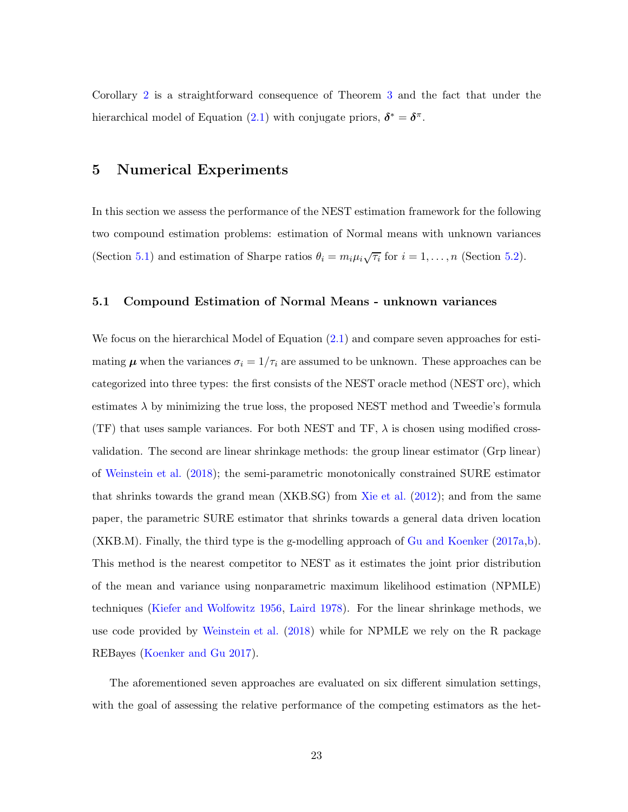<span id="page-22-0"></span>Corollary [2](#page-21-1) is a straightforward consequence of Theorem [3](#page-21-0) and the fact that under the hierarchical model of Equation [\(2.1\)](#page-6-1) with conjugate priors,  $\delta^* = \delta^{\pi}$ .

## 5 Numerical Experiments

In this section we assess the performance of the NEST estimation framework for the following two compound estimation problems: estimation of Normal means with unknown variances (Section [5.1\)](#page-22-1) and estimation of Sharpe ratios  $\theta_i = m_i \mu_i \sqrt{\tau_i}$  for  $i = 1, ..., n$  (Section [5.2\)](#page-27-0).

#### <span id="page-22-1"></span>5.1 Compound Estimation of Normal Means - unknown variances

We focus on the hierarchical Model of Equation  $(2.1)$  and compare seven approaches for estimating  $\mu$  when the variances  $\sigma_i = 1/\tau_i$  are assumed to be unknown. These approaches can be categorized into three types: the first consists of the NEST oracle method (NEST orc), which estimates  $\lambda$  by minimizing the true loss, the proposed NEST method and Tweedie's formula (TF) that uses sample variances. For both NEST and TF,  $\lambda$  is chosen using modified crossvalidation. The second are linear shrinkage methods: the group linear estimator (Grp linear) of [Weinstein et al.](#page-36-2) [\(2018](#page-36-2)); the semi-parametric monotonically constrained SURE estimator that shrinks towards the grand mean (XKB.SG) from [Xie et al.](#page-36-4) [\(2012](#page-36-4)); and from the same paper, the parametric SURE estimator that shrinks towards a general data driven location (XKB.M). Finally, the third type is the g-modelling approach of [Gu and Koenker](#page-34-9) [\(2017a](#page-34-9)[,b](#page-34-12)). This method is the nearest competitor to NEST as it estimates the joint prior distribution of the mean and variance using nonparametric maximum likelihood estimation (NPMLE) techniques [\(Kiefer and Wolfowitz 1956](#page-35-6), [Laird 1978](#page-35-7)). For the linear shrinkage methods, we use code provided by [Weinstein et al.](#page-36-2) [\(2018](#page-36-2)) while for NPMLE we rely on the R package REBayes [\(Koenker and Gu 2017](#page-35-13)).

The aforementioned seven approaches are evaluated on six different simulation settings, with the goal of assessing the relative performance of the competing estimators as the het-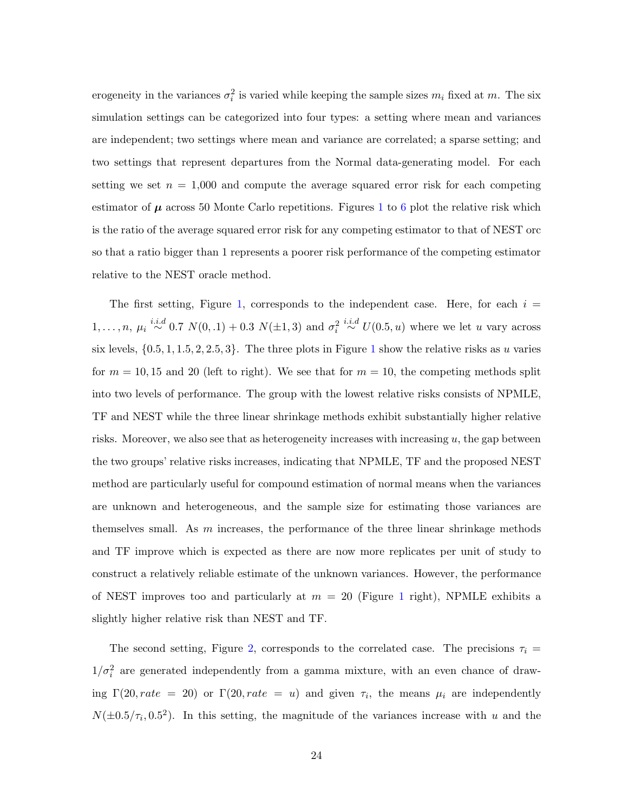erogeneity in the variances  $\sigma_i^2$  is varied while keeping the sample sizes  $m_i$  fixed at m. The six simulation settings can be categorized into four types: a setting where mean and variances are independent; two settings where mean and variance are correlated; a sparse setting; and two settings that represent departures from the Normal data-generating model. For each setting we set  $n = 1,000$  and compute the average squared error risk for each competing estimator of  $\mu$  across 50 Monte Carlo repetitions. Figures [1](#page-24-0) to [6](#page-27-1) plot the relative risk which is the ratio of the average squared error risk for any competing estimator to that of NEST orc so that a ratio bigger than 1 represents a poorer risk performance of the competing estimator relative to the NEST oracle method.

The first setting, Figure [1,](#page-24-0) corresponds to the independent case. Here, for each  $i =$  $1, \ldots, n, \mu_i \stackrel{i.i.d}{\sim} 0.7 \ N(0, 1) + 0.3 \ N(\pm 1, 3)$  and  $\sigma_i^2 \stackrel{i.i.d}{\sim} U(0.5, u)$  where we let u vary across six levels,  $\{0.5, 1, 1.5, 2, 2.5, 3\}$  $\{0.5, 1, 1.5, 2, 2.5, 3\}$  $\{0.5, 1, 1.5, 2, 2.5, 3\}$ . The three plots in Figure 1 show the relative risks as u varies for  $m = 10, 15$  and 20 (left to right). We see that for  $m = 10$ , the competing methods split into two levels of performance. The group with the lowest relative risks consists of NPMLE, TF and NEST while the three linear shrinkage methods exhibit substantially higher relative risks. Moreover, we also see that as heterogeneity increases with increasing  $u$ , the gap between the two groups' relative risks increases, indicating that NPMLE, TF and the proposed NEST method are particularly useful for compound estimation of normal means when the variances are unknown and heterogeneous, and the sample size for estimating those variances are themselves small. As  $m$  increases, the performance of the three linear shrinkage methods and TF improve which is expected as there are now more replicates per unit of study to construct a relatively reliable estimate of the unknown variances. However, the performance of NEST improves too and particularly at  $m = 20$  (Figure [1](#page-24-0) right), NPMLE exhibits a slightly higher relative risk than NEST and TF.

The second setting, Figure [2,](#page-24-1) corresponds to the correlated case. The precisions  $\tau_i =$  $1/\sigma_i^2$  are generated independently from a gamma mixture, with an even chance of drawing  $\Gamma(20, rate = 20)$  or  $\Gamma(20, rate = u)$  and given  $\tau_i$ , the means  $\mu_i$  are independently  $N(\pm 0.5/\tau_i, 0.5^2)$ . In this setting, the magnitude of the variances increase with u and the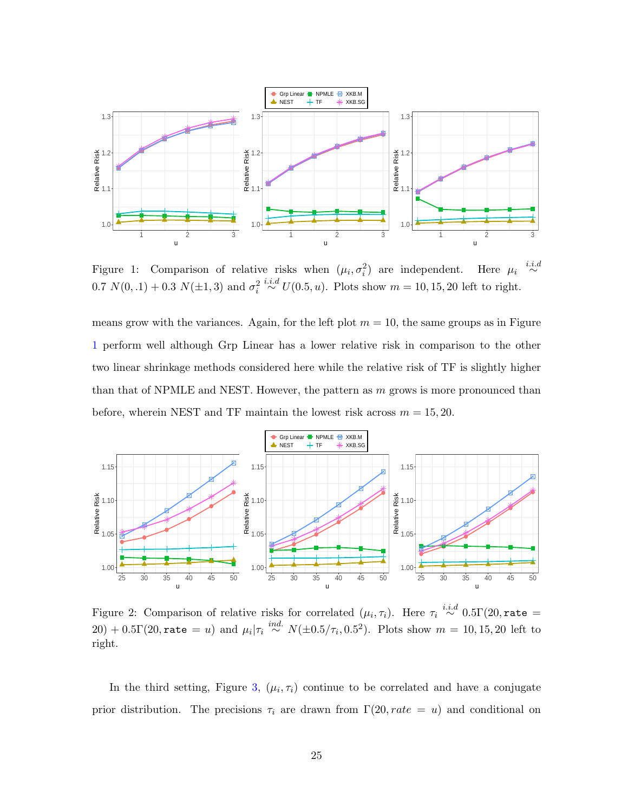<span id="page-24-0"></span>

Figure 1: Comparison of relative risks when  $(\mu_i, \sigma_i^2)$  are independent. Here  $\mu_i$ Here  $\mu_i \stackrel{i.i.d}{\sim}$ 0.7  $N(0, 1) + 0.3 N(\pm 1, 3)$  and  $\sigma_i^2 \stackrel{i.i.d}{\sim} U(0.5, u)$ . Plots show  $m = 10, 15, 20$  left to right.

means grow with the variances. Again, for the left plot  $m = 10$ , the same groups as in Figure [1](#page-24-0) perform well although Grp Linear has a lower relative risk in comparison to the other two linear shrinkage methods considered here while the relative risk of TF is slightly higher than that of NPMLE and NEST. However, the pattern as  $m$  grows is more pronounced than before, wherein NEST and TF maintain the lowest risk across  $m = 15, 20$ .

<span id="page-24-1"></span>

Figure 2: Comparison of relative risks for correlated  $(\mu_i, \tau_i)$ . Here  $\tau_i \stackrel{i.i.d}{\sim} 0.5\Gamma(20, \texttt{rate} =$ 20) + 0.5 $\Gamma(20, \texttt{rate} = u)$  and  $\mu_i | \tau_i \stackrel{ind.}{\sim} N(\pm 0.5/\tau_i, 0.5^2)$ . Plots show  $m = 10, 15, 20$  left to right.

In the third setting, Figure [3,](#page-25-0)  $(\mu_i, \tau_i)$  continue to be correlated and have a conjugate prior distribution. The precisions  $\tau_i$  are drawn from  $\Gamma(20, rate = u)$  and conditional on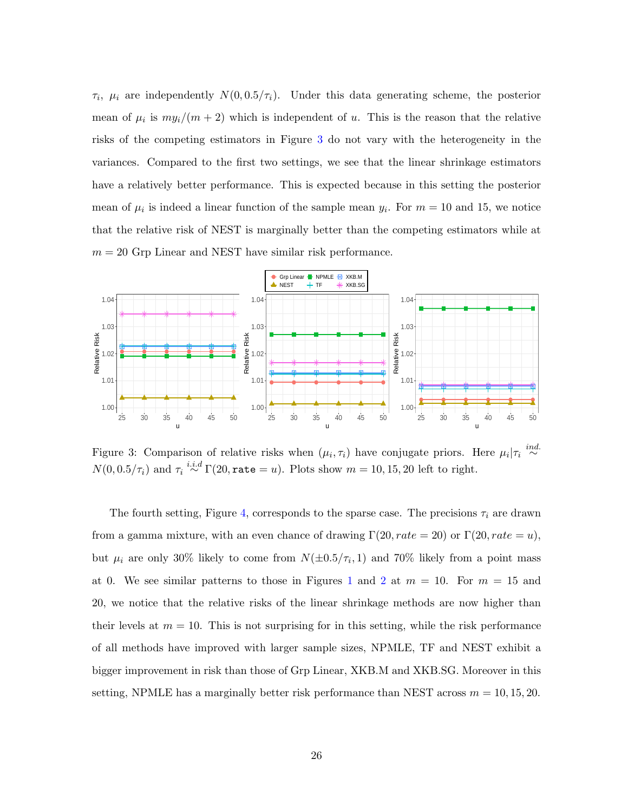$\tau_i$ ,  $\mu_i$  are independently  $N(0, 0.5/\tau_i)$ . Under this data generating scheme, the posterior mean of  $\mu_i$  is  $my_i/(m+2)$  which is independent of u. This is the reason that the relative risks of the competing estimators in Figure [3](#page-25-0) do not vary with the heterogeneity in the variances. Compared to the first two settings, we see that the linear shrinkage estimators have a relatively better performance. This is expected because in this setting the posterior mean of  $\mu_i$  is indeed a linear function of the sample mean  $y_i$ . For  $m = 10$  and 15, we notice that the relative risk of NEST is marginally better than the competing estimators while at  $m = 20$  Grp Linear and NEST have similar risk performance.

<span id="page-25-0"></span>

Figure 3: Comparison of relative risks when  $(\mu_i, \tau_i)$  have conjugate priors. Here  $\mu_i | \tau_i \stackrel{ind.}{\sim}$  $N(0, 0.5/\tau_i)$  and  $\tau_i \stackrel{i.i.d}{\sim} \Gamma(20, \texttt{rate} = u)$ . Plots show  $m = 10, 15, 20$  left to right.

The fourth setting, Figure [4,](#page-26-0) corresponds to the sparse case. The precisions  $\tau_i$  are drawn from a gamma mixture, with an even chance of drawing  $\Gamma(20, rate = 20)$  or  $\Gamma(20, rate = u)$ , but  $\mu_i$  are only 30% likely to come from  $N(\pm 0.5/\tau_i, 1)$  and 70% likely from a point mass at 0. We see similar patterns to those in Figures [1](#page-24-0) and [2](#page-24-1) at  $m = 10$ . For  $m = 15$  and 20, we notice that the relative risks of the linear shrinkage methods are now higher than their levels at  $m = 10$ . This is not surprising for in this setting, while the risk performance of all methods have improved with larger sample sizes, NPMLE, TF and NEST exhibit a bigger improvement in risk than those of Grp Linear, XKB.M and XKB.SG. Moreover in this setting, NPMLE has a marginally better risk performance than NEST across  $m = 10, 15, 20$ .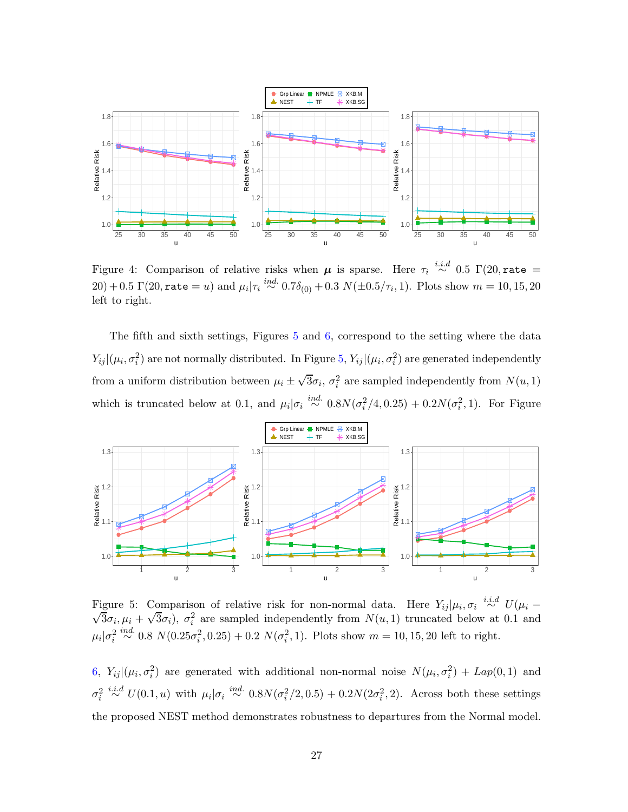<span id="page-26-0"></span>

Figure 4: Comparison of relative risks when  $\mu$  is sparse. Here  $\tau_i \stackrel{i.i.d}{\sim} 0.5 \Gamma(20, \text{rate} =$  $(20) + 0.5 \Gamma(20, \texttt{rate} = u)$  and  $\mu_i | \tau_i \stackrel{ind.}{\sim} 0.7\delta_{(0)} + 0.3 \ N(\pm 0.5/\tau_i, 1)$ . Plots show  $m = 10, 15, 20$ left to right.

The fifth and sixth settings, Figures  $5$  and  $6$ , correspond to the setting where the data  $Y_{ij}|(\mu_i, \sigma_i^2)$  are not normally distributed. In Figure [5,](#page-26-1)  $Y_{ij}|(\mu_i, \sigma_i^2)$  are generated independently from a uniform distribution between  $\mu_i \pm \sqrt{3}\sigma_i$ ,  $\sigma_i^2$  are sampled independently from  $N(u, 1)$ which is truncated below at 0.1, and  $\mu_i|\sigma_i \stackrel{ind.}{\sim} 0.8N(\sigma_i^2/4, 0.25) + 0.2N(\sigma_i^2, 1)$ . For Figure

<span id="page-26-1"></span>

Figure 5: Comparison of relative risk for non-normal data. Here  $Y_{ij}|\mu_i, \sigma_i \stackrel{i.i.d}{\sim} U(\mu_i - \sqrt{3}\sigma_i, \mu_i + \sqrt{3}\sigma_i)$ ,  $\sigma_i^2$  are sampled independently from  $N(u, 1)$  truncated below at 0.1 and  $\mu_i|\sigma_i^2 \stackrel{ind.}{\sim} 0.8 \ N(0.25\sigma_i^2, 0.25) + 0.2 \ N(\sigma_i^2, 1)$ . Plots show  $m = 10, 15, 20$  left to right.

[6,](#page-27-1)  $Y_{ij} | (\mu_i, \sigma_i^2)$  are generated with additional non-normal noise  $N(\mu_i, \sigma_i^2) + Lap(0, 1)$  and  $\sigma_i^2 \stackrel{i.i.d}{\sim} U(0.1, u)$  with  $\mu_i | \sigma_i \stackrel{ind.}{\sim} 0.8N(\sigma_i^2/2, 0.5) + 0.2N(2\sigma_i^2, 2)$ . Across both these settings the proposed NEST method demonstrates robustness to departures from the Normal model.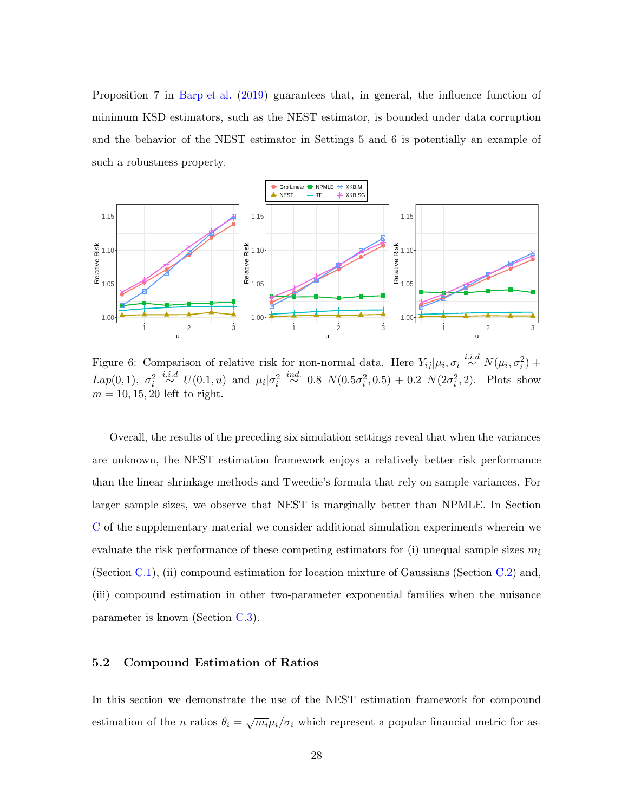Proposition 7 in [Barp et al.](#page-32-6) [\(2019](#page-32-6)) guarantees that, in general, the influence function of minimum KSD estimators, such as the NEST estimator, is bounded under data corruption and the behavior of the NEST estimator in Settings 5 and 6 is potentially an example of such a robustness property.

<span id="page-27-1"></span>

Figure 6: Comparison of relative risk for non-normal data. Here  $Y_{ij} | \mu_i, \sigma_i \stackrel{i.i.d}{\sim} N(\mu_i, \sigma_i^2)$  + Lap(0, 1),  $\sigma_i^2 \stackrel{i.i.d}{\sim} U(0.1, u)$  and  $\mu_i | \sigma_i^2 \stackrel{ind.}{\sim} 0.8 \ N(0.5\sigma_i^2, 0.5) + 0.2 \ N(2\sigma_i^2, 2)$ . Plots show  $m = 10, 15, 20$  left to right.

Overall, the results of the preceding six simulation settings reveal that when the variances are unknown, the NEST estimation framework enjoys a relatively better risk performance than the linear shrinkage methods and Tweedie's formula that rely on sample variances. For larger sample sizes, we observe that NEST is marginally better than NPMLE. In Section [C](#page-57-0) of the supplementary material we consider additional simulation experiments wherein we evaluate the risk performance of these competing estimators for (i) unequal sample sizes  $m_i$ (Section [C.1\)](#page-57-1), (ii) compound estimation for location mixture of Gaussians (Section [C.2\)](#page-58-0) and, (iii) compound estimation in other two-parameter exponential families when the nuisance parameter is known (Section [C.3\)](#page-62-0).

#### <span id="page-27-0"></span>5.2 Compound Estimation of Ratios

In this section we demonstrate the use of the NEST estimation framework for compound estimation of the *n* ratios  $\theta_i = \sqrt{m_i} \mu_i / \sigma_i$  which represent a popular financial metric for as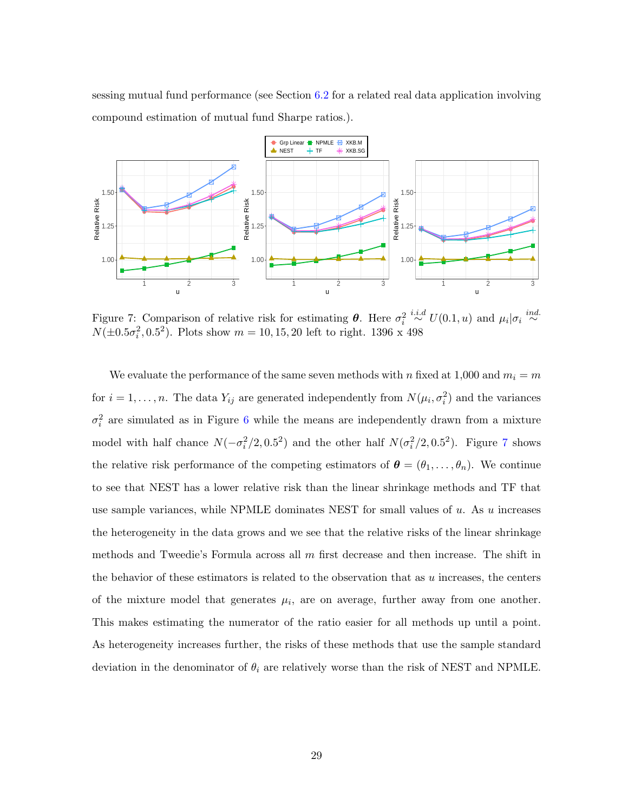sessing mutual fund performance (see Section [6.2](#page-31-0) for a related real data application involving compound estimation of mutual fund Sharpe ratios.).

<span id="page-28-0"></span>

Figure 7: Comparison of relative risk for estimating  $\theta$ . Here  $\sigma_i^2 \stackrel{i.i.d}{\sim} U(0.1, u)$  and  $\mu_i | \sigma_i \stackrel{ind}{\sim}$  $N(\pm 0.5\sigma_i^2, 0.5^2)$ . Plots show  $m = 10, 15, 20$  left to right. 1396 x 498

We evaluate the performance of the same seven methods with n fixed at 1,000 and  $m_i = m$ for  $i = 1, ..., n$ . The data  $Y_{ij}$  are generated independently from  $N(\mu_i, \sigma_i^2)$  and the variances  $\sigma_i^2$  are simulated as in Figure [6](#page-27-1) while the means are independently drawn from a mixture model with half chance  $N(-\sigma_i^2/2, 0.5^2)$  and the other half  $N(\sigma_i^2/2, 0.5^2)$ . Figure [7](#page-28-0) shows the relative risk performance of the competing estimators of  $\boldsymbol{\theta} = (\theta_1, \dots, \theta_n)$ . We continue to see that NEST has a lower relative risk than the linear shrinkage methods and TF that use sample variances, while NPMLE dominates NEST for small values of  $u$ . As  $u$  increases the heterogeneity in the data grows and we see that the relative risks of the linear shrinkage methods and Tweedie's Formula across all  $m$  first decrease and then increase. The shift in the behavior of these estimators is related to the observation that as  $u$  increases, the centers of the mixture model that generates  $\mu_i$ , are on average, further away from one another. This makes estimating the numerator of the ratio easier for all methods up until a point. As heterogeneity increases further, the risks of these methods that use the sample standard deviation in the denominator of  $\theta_i$  are relatively worse than the risk of NEST and NPMLE.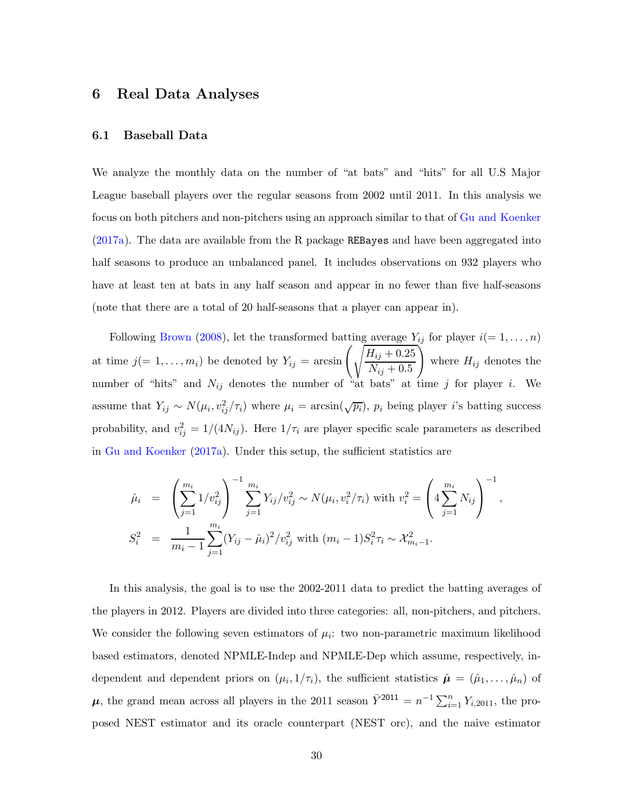## <span id="page-29-1"></span><span id="page-29-0"></span>6 Real Data Analyses

#### 6.1 Baseball Data

We analyze the monthly data on the number of "at bats" and "hits" for all U.S Major League baseball players over the regular seasons from 2002 until 2011. In this analysis we focus on both pitchers and non-pitchers using an approach similar to that of [Gu and Koenker](#page-34-9) [\(2017a](#page-34-9)). The data are available from the R package REBayes and have been aggregated into half seasons to produce an unbalanced panel. It includes observations on 932 players who have at least ten at bats in any half season and appear in no fewer than five half-seasons (note that there are a total of 20 half-seasons that a player can appear in).

Following [Brown](#page-33-14) [\(2008](#page-33-14)), let the transformed batting average  $Y_{ij}$  for player  $i(= 1, \ldots, n)$ at time  $j(=1,\ldots,m_i)$  be denoted by  $Y_{ij} = \arcsin\left(\sqrt{\frac{H_{ij} + 0.25}{N_{ij}}} \right)$  $N_{ij} + 0.5$  $\setminus$ where  $H_{ij}$  denotes the number of "hits" and  $N_{ij}$  denotes the number of  $\lambda_{\text{at}}^{\text{N}}$  bats" at time j for player i. We assume that  $Y_{ij} \sim N(\mu_i, v_{ij}^2/\tau_i)$  where  $\mu_i = \arcsin(\sqrt{p_i})$ ,  $p_i$  being player *i*'s batting success probability, and  $v_{ij}^2 = 1/(4N_{ij})$ . Here  $1/\tau_i$  are player specific scale parameters as described in [Gu and Koenker](#page-34-9) [\(2017a\)](#page-34-9). Under this setup, the sufficient statistics are

$$
\hat{\mu}_i = \left(\sum_{j=1}^{m_i} 1/v_{ij}^2\right)^{-1} \sum_{j=1}^{m_i} Y_{ij}/v_{ij}^2 \sim N(\mu_i, v_i^2/\tau_i) \text{ with } v_i^2 = \left(4\sum_{j=1}^{m_i} N_{ij}\right)^{-1},
$$
  

$$
S_i^2 = \frac{1}{m_i - 1} \sum_{j=1}^{m_i} (Y_{ij} - \hat{\mu}_i)^2/v_{ij}^2 \text{ with } (m_i - 1)S_i^2 \tau_i \sim \mathcal{X}_{m_i - 1}^2.
$$

In this analysis, the goal is to use the 2002-2011 data to predict the batting averages of the players in 2012. Players are divided into three categories: all, non-pitchers, and pitchers. We consider the following seven estimators of  $\mu_i$ : two non-parametric maximum likelihood based estimators, denoted NPMLE-Indep and NPMLE-Dep which assume, respectively, independent and dependent priors on  $(\mu_i, 1/\tau_i)$ , the sufficient statistics  $\hat{\boldsymbol{\mu}} = (\hat{\mu}_1, \dots, \hat{\mu}_n)$  of  $\mu$ , the grand mean across all players in the 2011 season  $\bar{Y}^{2011} = n^{-1} \sum_{i=1}^{n} Y_{i,2011}$ , the proposed NEST estimator and its oracle counterpart (NEST orc), and the naive estimator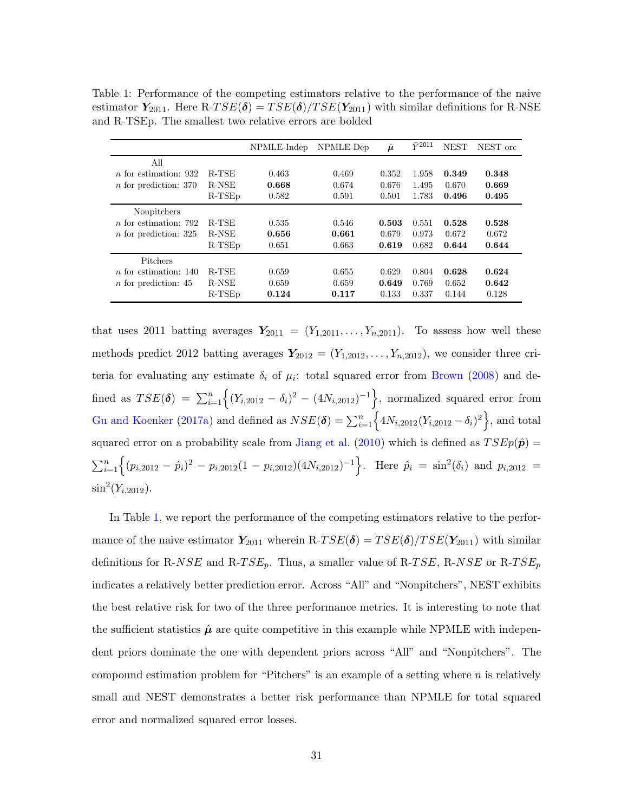<span id="page-30-0"></span>Table 1: Performance of the competing estimators relative to the performance of the naive estimator  $Y_{2011}$ . Here R-TSE( $\delta$ ) = TSE( $\delta$ )/TSE( $Y_{2011}$ ) with similar definitions for R-NSE and R-TSEp. The smallest two relative errors are bolded

|                              |              | NPMLE-Indep | NPMLE-Dep | $\hat{\boldsymbol{\mu}}$ | $\bar{Y}^{2011}$ | <b>NEST</b> | NEST ord |
|------------------------------|--------------|-------------|-----------|--------------------------|------------------|-------------|----------|
| All                          |              |             |           |                          |                  |             |          |
| $n$ for estimation: 932      | <b>R-TSE</b> | 0.463       | 0.469     | 0.352                    | 1.958            | 0.349       | 0.348    |
| $n$ for prediction: 370      | R-NSE        | 0.668       | 0.674     | 0.676                    | 1.495            | 0.670       | 0.669    |
|                              | $R-TSED$     | 0.582       | 0.591     | 0.501                    | 1.783            | 0.496       | 0.495    |
| Nonpitchers                  |              |             |           |                          |                  |             |          |
| <i>n</i> for estimation: 792 | <b>R-TSE</b> | 0.535       | 0.546     | 0.503                    | 0.551            | 0.528       | 0.528    |
| $n$ for prediction: 325      | R-NSE        | 0.656       | 0.661     | 0.679                    | 0.973            | 0.672       | 0.672    |
|                              | $R-TSED$     | 0.651       | 0.663     | 0.619                    | 0.682            | 0.644       | 0.644    |
| Pitchers                     |              |             |           |                          |                  |             |          |
| $n$ for estimation: 140      | <b>R-TSE</b> | 0.659       | 0.655     | 0.629                    | 0.804            | 0.628       | 0.624    |
| $n$ for prediction: 45       | R-NSE        | 0.659       | 0.659     | 0.649                    | 0.769            | 0.652       | 0.642    |
|                              | $R-TSED$     | 0.124       | 0.117     | 0.133                    | 0.337            | 0.144       | 0.128    |

that uses 2011 batting averages  $Y_{2011} = (Y_{1,2011}, \ldots, Y_{n,2011})$ . To assess how well these methods predict 2012 batting averages  $Y_{2012} = (Y_{1,2012}, \ldots, Y_{n,2012})$ , we consider three criteria for evaluating any estimate  $\delta_i$  of  $\mu_i$ : total squared error from [Brown](#page-33-14) [\(2008](#page-33-14)) and defined as  $TSE(\delta) = \sum_{i=1}^{n} \Big\{ (Y_{i,2012} - \delta_i)^2 - (4N_{i,2012})^{-1} \Big\}$ , normalized squared error from [Gu and Koenker](#page-34-9) [\(2017a\)](#page-34-9) and defined as  $NSE(\delta) = \sum_{i=1}^{n} \left\{ 4N_{i,2012}(Y_{i,2012} - \delta_i)^2 \right\}$ , and total squared error on a probability scale from [Jiang et al.](#page-34-13) [\(2010](#page-34-13)) which is defined as  $TSEp(\hat{p}) =$  $\sum_{i=1}^{n} \Big\{ (p_{i,2012} - \hat{p}_i)^2 - p_{i,2012} (1 - p_{i,2012}) (4N_{i,2012})^{-1} \Big\}.$  Here  $\hat{p}_i = \sin^2(\delta_i)$  and  $p_{i,2012} =$  $\sin^2(Y_{i,2012})$ .

In Table [1,](#page-30-0) we report the performance of the competing estimators relative to the performance of the naive estimator  $Y_{2011}$  wherein R-TSE( $\delta$ ) = TSE( $\delta$ )/TSE( $Y_{2011}$ ) with similar definitions for R-NSE and R-TSE<sub>p</sub>. Thus, a smaller value of R-TSE, R-NSE or R-TSE<sub>p</sub> indicates a relatively better prediction error. Across "All" and "Nonpitchers", NEST exhibits the best relative risk for two of the three performance metrics. It is interesting to note that the sufficient statistics  $\hat{\mu}$  are quite competitive in this example while NPMLE with independent priors dominate the one with dependent priors across "All" and "Nonpitchers". The compound estimation problem for "Pitchers" is an example of a setting where  $n$  is relatively small and NEST demonstrates a better risk performance than NPMLE for total squared error and normalized squared error losses.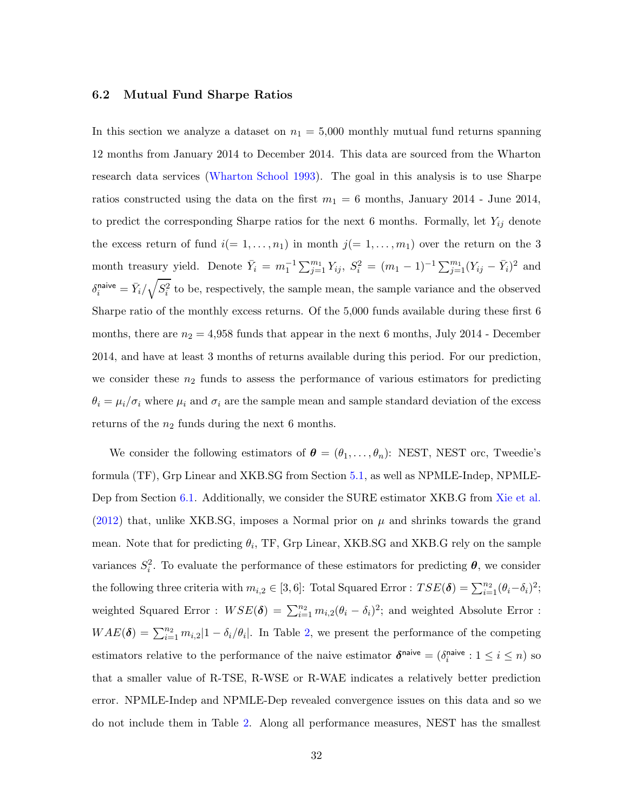#### <span id="page-31-0"></span>6.2 Mutual Fund Sharpe Ratios

In this section we analyze a dataset on  $n_1 = 5,000$  monthly mutual fund returns spanning 12 months from January 2014 to December 2014. This data are sourced from the Wharton research data services [\(Wharton School 1993\)](#page-36-9). The goal in this analysis is to use Sharpe ratios constructed using the data on the first  $m_1 = 6$  months, January 2014 - June 2014, to predict the corresponding Sharpe ratios for the next 6 months. Formally, let  $Y_{ij}$  denote the excess return of fund  $i(= 1, \ldots, n_1)$  in month  $j(= 1, \ldots, m_1)$  over the return on the 3 month treasury yield. Denote  $\bar{Y}_i = m_1^{-1} \sum_{j=1}^{m_1} Y_{ij}$ ,  $S_i^2 = (m_1 - 1)^{-1} \sum_{j=1}^{m_1} (Y_{ij} - \bar{Y}_i)^2$  and  $\delta_i^{\text{naive}} = \bar{Y}_i / \sqrt{S_i^2}$  to be, respectively, the sample mean, the sample variance and the observed Sharpe ratio of the monthly excess returns. Of the 5,000 funds available during these first 6 months, there are  $n_2 = 4.958$  funds that appear in the next 6 months, July 2014 - December 2014, and have at least 3 months of returns available during this period. For our prediction, we consider these  $n_2$  funds to assess the performance of various estimators for predicting  $\theta_i = \mu_i/\sigma_i$  where  $\mu_i$  and  $\sigma_i$  are the sample mean and sample standard deviation of the excess returns of the  $n_2$  funds during the next 6 months.

We consider the following estimators of  $\boldsymbol{\theta} = (\theta_1, \dots, \theta_n)$ : NEST, NEST orc, Tweedie's formula (TF), Grp Linear and XKB.SG from Section [5.1,](#page-22-1) as well as NPMLE-Indep, NPMLE-Dep from Section [6.1.](#page-29-1) Additionally, we consider the SURE estimator XKB.G from [Xie et al.](#page-36-4) [\(2012\)](#page-36-4) that, unlike XKB.SG, imposes a Normal prior on  $\mu$  and shrinks towards the grand mean. Note that for predicting  $\theta_i$ , TF, Grp Linear, XKB.SG and XKB.G rely on the sample variances  $S_i^2$ . To evaluate the performance of these estimators for predicting  $\theta$ , we consider the following three criteria with  $m_{i,2} \in [3, 6]$ : Total Squared Error :  $TSE(\boldsymbol{\delta}) = \sum_{i=1}^{n_2} (\theta_i - \delta_i)^2$ ; weighted Squared Error :  $WSE(\delta) = \sum_{i=1}^{n_2} m_{i,2}(\theta_i - \delta_i)^2$ ; and weighted Absolute Error :  $WAE(\delta) = \sum_{i=1}^{n_2} m_{i,2} |1 - \delta_i/\theta_i|$ . In Table [2,](#page-32-7) we present the performance of the competing estimators relative to the performance of the naive estimator  $\delta^{\text{naive}} = (\delta_i^{\text{naive}})$  $i^{naive}: 1 \leq i \leq n$ ) so that a smaller value of R-TSE, R-WSE or R-WAE indicates a relatively better prediction error. NPMLE-Indep and NPMLE-Dep revealed convergence issues on this data and so we do not include them in Table [2.](#page-32-7) Along all performance measures, NEST has the smallest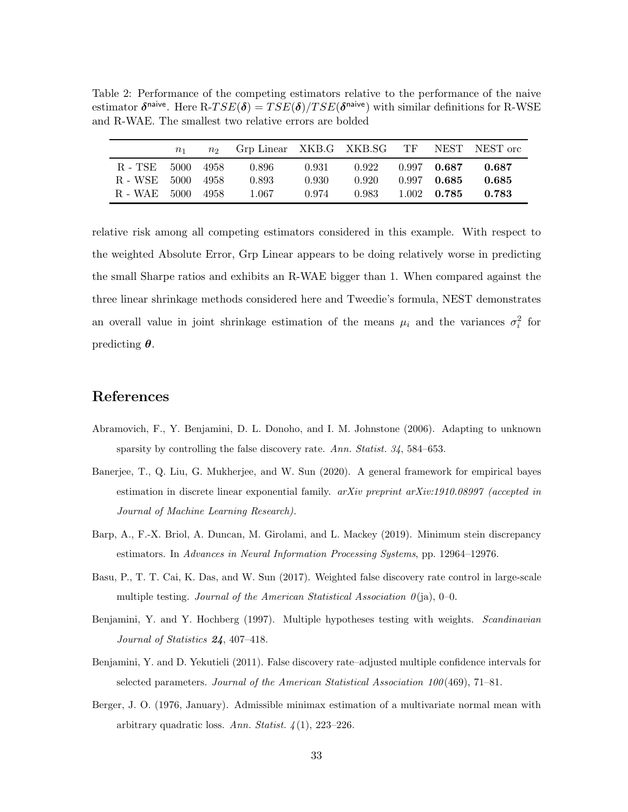<span id="page-32-7"></span>Table 2: Performance of the competing estimators relative to the performance of the naive estimator  $\delta^{\text{naive}}$ . Here R-TSE( $\delta$ ) = TSE( $\delta$ )/TSE( $\delta^{\text{naive}}$ ) with similar definitions for R-WSE and R-WAE. The smallest two relative errors are bolded

|              | $n_{1}$ | n <sub>2</sub> | Grp Linear XKB.G XKB.SG |       |       | TF |               | NEST NEST orc |
|--------------|---------|----------------|-------------------------|-------|-------|----|---------------|---------------|
| R - TSE      | 5000    | - 4958         | 0.896                   | 0.931 | 0.922 |    | $0.997$ 0.687 | 0.687         |
| R - WSE 5000 |         | - 4958         | 0.893                   | 0.930 | 0.920 |    | $0.997$ 0.685 | 0.685         |
| R - WAE 5000 |         | -4958          | 1.067                   | 0.974 | 0.983 |    | $1.002$ 0.785 | 0.783         |

relative risk among all competing estimators considered in this example. With respect to the weighted Absolute Error, Grp Linear appears to be doing relatively worse in predicting the small Sharpe ratios and exhibits an R-WAE bigger than 1. When compared against the three linear shrinkage methods considered here and Tweedie's formula, NEST demonstrates an overall value in joint shrinkage estimation of the means  $\mu_i$  and the variances  $\sigma_i^2$  for predicting  $\theta$ .

## References

- <span id="page-32-4"></span>Abramovich, F., Y. Benjamini, D. L. Donoho, and I. M. Johnstone (2006). Adapting to unknown sparsity by controlling the false discovery rate. Ann. Statist. 34, 584–653.
- <span id="page-32-5"></span>Banerjee, T., Q. Liu, G. Mukherjee, and W. Sun (2020). A general framework for empirical bayes estimation in discrete linear exponential family.  $arXiv$  preprint  $arXiv:1910.08997$  (accepted in Journal of Machine Learning Research).
- <span id="page-32-6"></span>Barp, A., F.-X. Briol, A. Duncan, M. Girolami, and L. Mackey (2019). Minimum stein discrepancy estimators. In Advances in Neural Information Processing Systems, pp. 12964–12976.
- <span id="page-32-2"></span>Basu, P., T. T. Cai, K. Das, and W. Sun (2017). Weighted false discovery rate control in large-scale multiple testing. Journal of the American Statistical Association  $\theta$ (ja), 0–0.
- <span id="page-32-1"></span>Benjamini, Y. and Y. Hochberg (1997). Multiple hypotheses testing with weights. Scandinavian Journal of Statistics 24, 407–418.
- <span id="page-32-0"></span>Benjamini, Y. and D. Yekutieli (2011). False discovery rate–adjusted multiple confidence intervals for selected parameters. Journal of the American Statistical Association 100(469), 71–81.
- <span id="page-32-3"></span>Berger, J. O. (1976, January). Admissible minimax estimation of a multivariate normal mean with arbitrary quadratic loss. Ann. Statist.  $\lambda(1)$ , 223–226.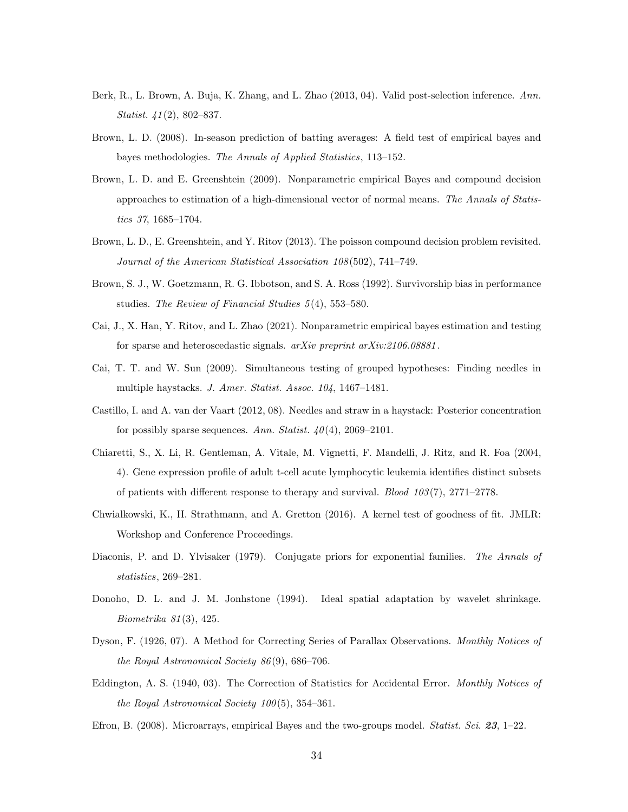- <span id="page-33-0"></span>Berk, R., L. Brown, A. Buja, K. Zhang, and L. Zhao (2013, 04). Valid post-selection inference. Ann. Statist. 41(2), 802–837.
- <span id="page-33-14"></span>Brown, L. D. (2008). In-season prediction of batting averages: A field test of empirical bayes and bayes methodologies. The Annals of Applied Statistics, 113–152.
- <span id="page-33-2"></span>Brown, L. D. and E. Greenshtein (2009). Nonparametric empirical Bayes and compound decision approaches to estimation of a high-dimensional vector of normal means. The Annals of Statistics 37, 1685–1704.
- <span id="page-33-12"></span>Brown, L. D., E. Greenshtein, and Y. Ritov (2013). The poisson compound decision problem revisited. Journal of the American Statistical Association 108(502), 741–749.
- <span id="page-33-7"></span>Brown, S. J., W. Goetzmann, R. G. Ibbotson, and S. A. Ross (1992). Survivorship bias in performance studies. The Review of Financial Studies 5(4), 553–580.
- <span id="page-33-10"></span>Cai, J., X. Han, Y. Ritov, and L. Zhao (2021). Nonparametric empirical bayes estimation and testing for sparse and heteroscedastic signals. arXiv preprint arXiv:2106.08881.
- <span id="page-33-9"></span>Cai, T. T. and W. Sun (2009). Simultaneous testing of grouped hypotheses: Finding needles in multiple haystacks. J. Amer. Statist. Assoc. 104, 1467–1481.
- <span id="page-33-3"></span>Castillo, I. and A. van der Vaart (2012, 08). Needles and straw in a haystack: Posterior concentration for possibly sparse sequences. Ann. Statist.  $40(4)$ , 2069–2101.
- <span id="page-33-6"></span>Chiaretti, S., X. Li, R. Gentleman, A. Vitale, M. Vignetti, F. Mandelli, J. Ritz, and R. Foa (2004, 4). Gene expression profile of adult t-cell acute lymphocytic leukemia identifies distinct subsets of patients with different response to therapy and survival. *Blood 103(7)*,  $2771-2778$ .
- <span id="page-33-11"></span>Chwialkowski, K., H. Strathmann, and A. Gretton (2016). A kernel test of goodness of fit. JMLR: Workshop and Conference Proceedings.
- <span id="page-33-13"></span>Diaconis, P. and D. Ylvisaker (1979). Conjugate priors for exponential families. The Annals of statistics, 269–281.
- <span id="page-33-1"></span>Donoho, D. L. and J. M. Jonhstone (1994). Ideal spatial adaptation by wavelet shrinkage. Biometrika 81(3), 425.
- <span id="page-33-4"></span>Dyson, F. (1926, 07). A Method for Correcting Series of Parallax Observations. Monthly Notices of the Royal Astronomical Society 86(9), 686–706.
- <span id="page-33-5"></span>Eddington, A. S. (1940, 03). The Correction of Statistics for Accidental Error. *Monthly Notices of* the Royal Astronomical Society 100(5), 354–361.
- <span id="page-33-8"></span>Efron, B. (2008). Microarrays, empirical Bayes and the two-groups model. *Statist. Sci.* 23, 1–22.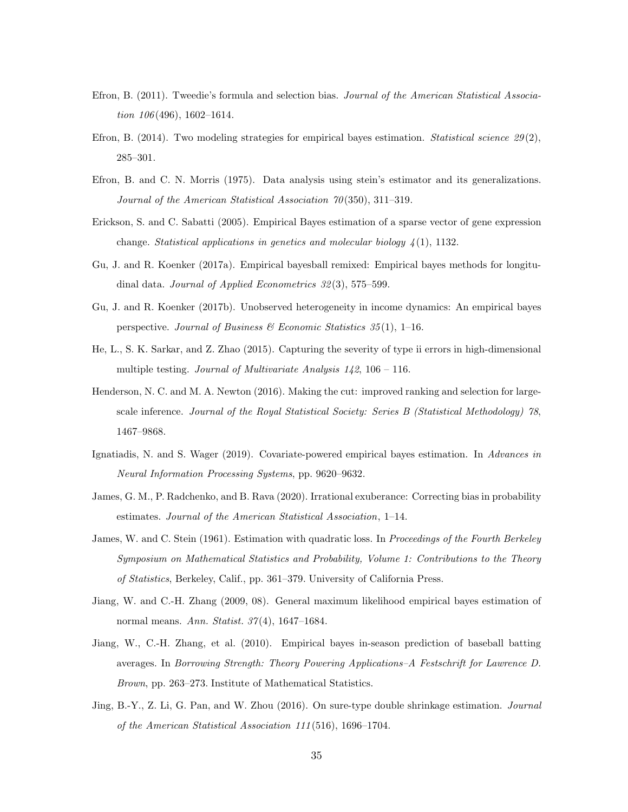- <span id="page-34-2"></span>Efron, B. (2011). Tweedie's formula and selection bias. Journal of the American Statistical Association 106(496), 1602-1614.
- <span id="page-34-8"></span>Efron, B. (2014). Two modeling strategies for empirical bayes estimation. Statistical science  $29(2)$ , 285–301.
- <span id="page-34-4"></span>Efron, B. and C. N. Morris (1975). Data analysis using stein's estimator and its generalizations. Journal of the American Statistical Association 70(350), 311–319.
- <span id="page-34-6"></span>Erickson, S. and C. Sabatti (2005). Empirical Bayes estimation of a sparse vector of gene expression change. Statistical applications in genetics and molecular biology  $\frac{1}{4}(1)$ , 1132.
- <span id="page-34-9"></span>Gu, J. and R. Koenker (2017a). Empirical bayesball remixed: Empirical bayes methods for longitudinal data. Journal of Applied Econometrics 32(3), 575–599.
- <span id="page-34-12"></span>Gu, J. and R. Koenker (2017b). Unobserved heterogeneity in income dynamics: An empirical bayes perspective. Journal of Business & Economic Statistics  $35(1)$ , 1-16.
- <span id="page-34-0"></span>He, L., S. K. Sarkar, and Z. Zhao (2015). Capturing the severity of type ii errors in high-dimensional multiple testing. Journal of Multivariate Analysis  $142$ ,  $106 - 116$ .
- <span id="page-34-1"></span>Henderson, N. C. and M. A. Newton (2016). Making the cut: improved ranking and selection for largescale inference. Journal of the Royal Statistical Society: Series B (Statistical Methodology) 78, 1467–9868.
- <span id="page-34-11"></span>Ignatiadis, N. and S. Wager (2019). Covariate-powered empirical bayes estimation. In Advances in Neural Information Processing Systems, pp. 9620–9632.
- <span id="page-34-10"></span>James, G. M., P. Radchenko, and B. Rava (2020). Irrational exuberance: Correcting bias in probability estimates. Journal of the American Statistical Association, 1–14.
- <span id="page-34-3"></span>James, W. and C. Stein (1961). Estimation with quadratic loss. In Proceedings of the Fourth Berkeley Symposium on Mathematical Statistics and Probability, Volume 1: Contributions to the Theory of Statistics, Berkeley, Calif., pp. 361–379. University of California Press.
- <span id="page-34-5"></span>Jiang, W. and C.-H. Zhang (2009, 08). General maximum likelihood empirical bayes estimation of normal means. Ann. Statist. 37(4), 1647–1684.
- <span id="page-34-13"></span>Jiang, W., C.-H. Zhang, et al. (2010). Empirical bayes in-season prediction of baseball batting averages. In Borrowing Strength: Theory Powering Applications–A Festschrift for Lawrence D. Brown, pp. 263–273. Institute of Mathematical Statistics.
- <span id="page-34-7"></span>Jing, B.-Y., Z. Li, G. Pan, and W. Zhou (2016). On sure-type double shrinkage estimation. *Journal* of the American Statistical Association 111(516), 1696–1704.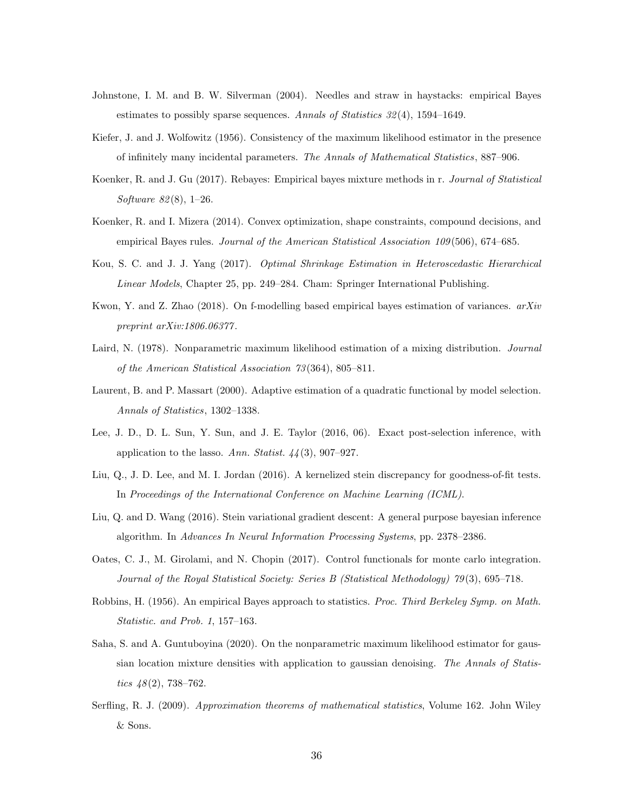- <span id="page-35-1"></span>Johnstone, I. M. and B. W. Silverman (2004). Needles and straw in haystacks: empirical Bayes estimates to possibly sparse sequences. Annals of Statistics  $32(4)$ , 1594–1649.
- <span id="page-35-6"></span>Kiefer, J. and J. Wolfowitz (1956). Consistency of the maximum likelihood estimator in the presence of infinitely many incidental parameters. The Annals of Mathematical Statistics, 887–906.
- <span id="page-35-13"></span>Koenker, R. and J. Gu (2017). Rebayes: Empirical bayes mixture methods in r. Journal of Statistical Software 82(8), 1–26.
- <span id="page-35-3"></span>Koenker, R. and I. Mizera (2014). Convex optimization, shape constraints, compound decisions, and empirical Bayes rules. Journal of the American Statistical Association 109(506), 674–685.
- <span id="page-35-4"></span>Kou, S. C. and J. J. Yang (2017). Optimal Shrinkage Estimation in Heteroscedastic Hierarchical Linear Models, Chapter 25, pp. 249–284. Cham: Springer International Publishing.
- <span id="page-35-5"></span>Kwon, Y. and Z. Zhao (2018). On f-modelling based empirical bayes estimation of variances.  $arXiv$ preprint arXiv:1806.06377.
- <span id="page-35-7"></span>Laird, N. (1978). Nonparametric maximum likelihood estimation of a mixing distribution. Journal of the American Statistical Association 73(364), 805–811.
- <span id="page-35-14"></span>Laurent, B. and P. Massart (2000). Adaptive estimation of a quadratic functional by model selection. Annals of Statistics, 1302–1338.
- <span id="page-35-0"></span>Lee, J. D., D. L. Sun, Y. Sun, and J. E. Taylor (2016, 06). Exact post-selection inference, with application to the lasso. Ann. Statist.  $44(3)$ , 907–927.
- <span id="page-35-9"></span>Liu, Q., J. D. Lee, and M. I. Jordan (2016). A kernelized stein discrepancy for goodness-of-fit tests. In Proceedings of the International Conference on Machine Learning (ICML).
- <span id="page-35-10"></span>Liu, Q. and D. Wang (2016). Stein variational gradient descent: A general purpose bayesian inference algorithm. In Advances In Neural Information Processing Systems, pp. 2378–2386.
- <span id="page-35-11"></span>Oates, C. J., M. Girolami, and N. Chopin (2017). Control functionals for monte carlo integration. Journal of the Royal Statistical Society: Series B (Statistical Methodology) 79(3), 695–718.
- <span id="page-35-2"></span>Robbins, H. (1956). An empirical Bayes approach to statistics. Proc. Third Berkeley Symp. on Math. Statistic. and Prob. 1, 157–163.
- <span id="page-35-8"></span>Saha, S. and A. Guntuboyina (2020). On the nonparametric maximum likelihood estimator for gaussian location mixture densities with application to gaussian denoising. The Annals of Statistics  $48(2)$ , 738–762.
- <span id="page-35-12"></span>Serfling, R. J. (2009). Approximation theorems of mathematical statistics, Volume 162. John Wiley & Sons.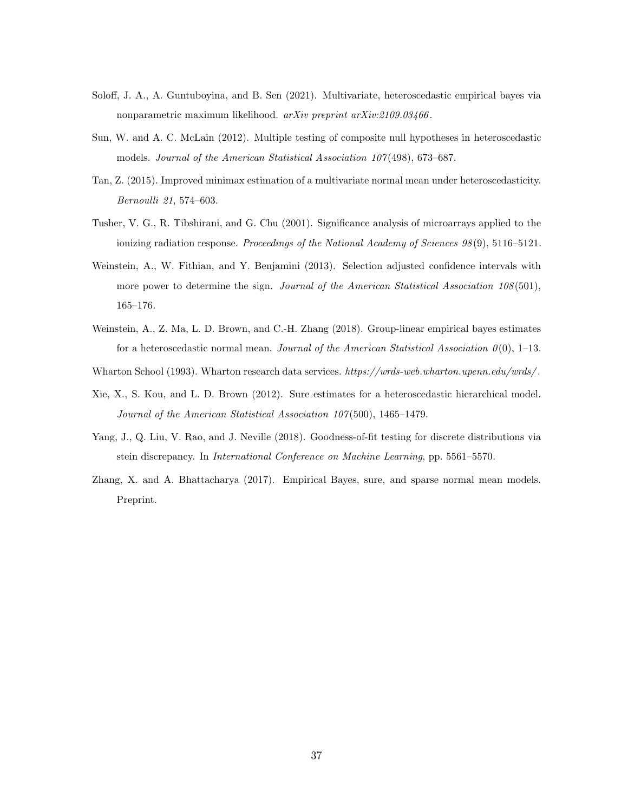- <span id="page-36-7"></span>Soloff, J. A., A. Guntuboyina, and B. Sen (2021). Multivariate, heteroscedastic empirical bayes via nonparametric maximum likelihood. arXiv preprint arXiv:2109.03466.
- <span id="page-36-1"></span>Sun, W. and A. C. McLain (2012). Multiple testing of composite null hypotheses in heteroscedastic models. Journal of the American Statistical Association 107(498), 673–687.
- <span id="page-36-5"></span>Tan, Z. (2015). Improved minimax estimation of a multivariate normal mean under heteroscedasticity. Bernoulli 21, 574–603.
- <span id="page-36-3"></span>Tusher, V. G., R. Tibshirani, and G. Chu (2001). Significance analysis of microarrays applied to the ionizing radiation response. Proceedings of the National Academy of Sciences  $98(9)$ , 5116–5121.
- <span id="page-36-0"></span>Weinstein, A., W. Fithian, and Y. Benjamini (2013). Selection adjusted confidence intervals with more power to determine the sign. Journal of the American Statistical Association 108(501), 165–176.
- <span id="page-36-2"></span>Weinstein, A., Z. Ma, L. D. Brown, and C.-H. Zhang (2018). Group-linear empirical bayes estimates for a heteroscedastic normal mean. Journal of the American Statistical Association  $0(0)$ , 1–13.
- <span id="page-36-9"></span>Wharton School (1993). Wharton research data services. https://wrds-web.wharton.upenn.edu/wrds/.
- <span id="page-36-4"></span>Xie, X., S. Kou, and L. D. Brown (2012). Sure estimates for a heteroscedastic hierarchical model. Journal of the American Statistical Association 107(500), 1465–1479.
- <span id="page-36-8"></span>Yang, J., Q. Liu, V. Rao, and J. Neville (2018). Goodness-of-fit testing for discrete distributions via stein discrepancy. In International Conference on Machine Learning, pp. 5561–5570.
- <span id="page-36-6"></span>Zhang, X. and A. Bhattacharya (2017). Empirical Bayes, sure, and sparse normal mean models. Preprint.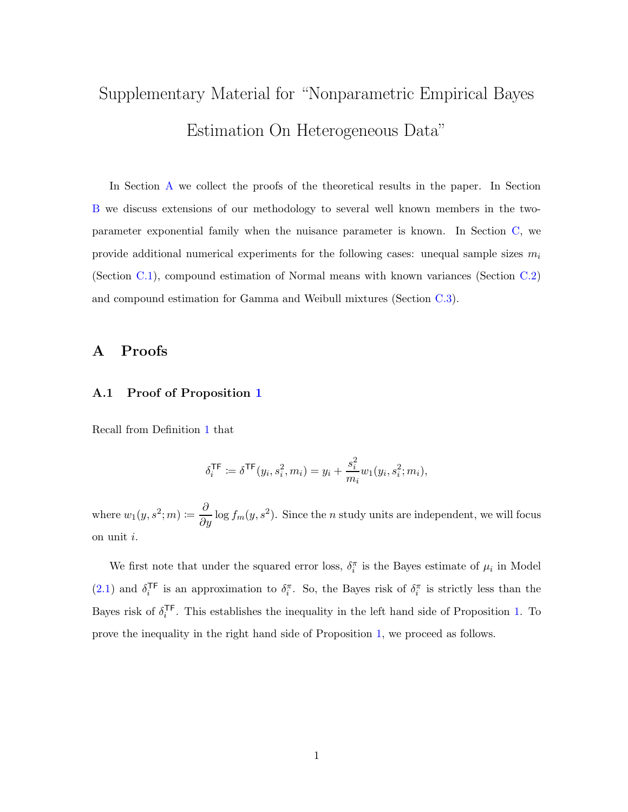# Supplementary Material for "Nonparametric Empirical Bayes Estimation On Heterogeneous Data"

In Section [A](#page-37-0) we collect the proofs of the theoretical results in the paper. In Section [B](#page-55-0) we discuss extensions of our methodology to several well known members in the twoparameter exponential family when the nuisance parameter is known. In Section [C,](#page-57-0) we provide additional numerical experiments for the following cases: unequal sample sizes  $m_i$ (Section [C.1\)](#page-57-1), compound estimation of Normal means with known variances (Section [C.2\)](#page-58-0) and compound estimation for Gamma and Weibull mixtures (Section [C.3\)](#page-62-0).

## <span id="page-37-0"></span>A Proofs

#### A.1 Proof of Proposition [1](#page-8-1)

Recall from Definition [1](#page-8-0) that

$$
\delta_i^{\mathsf{TF}} \coloneqq \delta^{\mathsf{TF}}(y_i, s_i^2, m_i) = y_i + \frac{s_i^2}{m_i} w_1(y_i, s_i^2; m_i),
$$

where  $w_1(y, s^2; m) \coloneqq \frac{\partial}{\partial y} \log f_m(y, s^2)$ . Since the *n* study units are independent, we will focus on unit i.

We first note that under the squared error loss,  $\delta_i^{\pi}$  is the Bayes estimate of  $\mu_i$  in Model  $(2.1)$  and  $\delta_i^{\text{TF}}$ <sup>TF</sup> is an approximation to  $\delta_i^{\pi}$ . So, the Bayes risk of  $\delta_i^{\pi}$  is strictly less than the Bayes risk of  $\delta_i^{\mathsf{TF}}$  $i<sup>1</sup>$ . This establishes the inequality in the left hand side of Proposition [1.](#page-8-1) To prove the inequality in the right hand side of Proposition [1,](#page-8-1) we proceed as follows.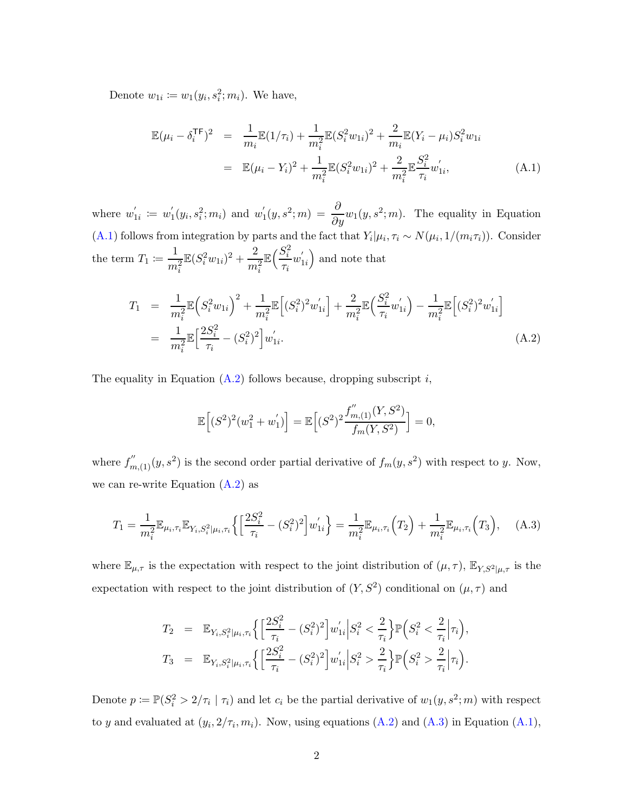Denote  $w_{1i} \coloneqq w_1(y_i, s_i^2; m_i)$ . We have,

<span id="page-38-0"></span>
$$
\mathbb{E}(\mu_i - \delta_i^{\mathsf{TF}})^2 = \frac{1}{m_i} \mathbb{E}(\frac{1}{\tau_i}) + \frac{1}{m_i^2} \mathbb{E}(S_i^2 w_{1i})^2 + \frac{2}{m_i} \mathbb{E}(Y_i - \mu_i) S_i^2 w_{1i}
$$
  

$$
= \mathbb{E}(\mu_i - Y_i)^2 + \frac{1}{m_i^2} \mathbb{E}(S_i^2 w_{1i})^2 + \frac{2}{m_i^2} \mathbb{E} \frac{S_i^2}{\tau_i} w'_{1i}, \tag{A.1}
$$

where  $w_1'$  $y'_{1i} := w'_1$  $y'_{1}(y_{i}, s_{i}^{2}; m_{i})$  and  $w'_{1}$  $\mathcal{L}_1(y, s^2; m) = \frac{\partial}{\partial y} w_1(y, s^2; m)$ . The equality in Equation [\(A.1\)](#page-38-0) follows from integration by parts and the fact that  $Y_i|\mu_i, \tau_i \sim N(\mu_i, 1/(m_i \tau_i))$ . Consider the term  $T_1 \coloneqq \frac{1}{\sqrt{2}}$  $m_i^2$  $\mathbb{E} (S_i^2 w_{1i})^2 + \frac{2}{m}$  $m_i^2$  $\mathbb{E}\big(\frac{S_i^2}{\cdot}$  $\frac{S_i^z}{\tau_i} w_1'$  $\binom{1}{1i}$  and note that

<span id="page-38-1"></span>
$$
T_1 = \frac{1}{m_i^2} \mathbb{E} \left( S_i^2 w_{1i} \right)^2 + \frac{1}{m_i^2} \mathbb{E} \left[ (S_i^2)^2 w'_{1i} \right] + \frac{2}{m_i^2} \mathbb{E} \left( \frac{S_i^2}{\tau_i} w'_{1i} \right) - \frac{1}{m_i^2} \mathbb{E} \left[ (S_i^2)^2 w'_{1i} \right]
$$
  
= 
$$
\frac{1}{m_i^2} \mathbb{E} \left[ \frac{2S_i^2}{\tau_i} - (S_i^2)^2 \right] w'_{1i}.
$$
 (A.2)

The equality in Equation  $(A.2)$  follows because, dropping subscript i,

$$
\mathbb{E}\Big[(S^2)^2(w_1^2+w_1')\Big]=\mathbb{E}\Big[(S^2)^2\frac{f_{m,(1)}^{''}(Y,S^2)}{f_m(Y,S^2)}\Big]=0,
$$

where  $f''_{m,(1)}(y,s^2)$  is the second order partial derivative of  $f_m(y,s^2)$  with respect to y. Now, we can re-write Equation  $(A.2)$  as

<span id="page-38-2"></span>
$$
T_1 = \frac{1}{m_i^2} \mathbb{E}_{\mu_i, \tau_i} \mathbb{E}_{Y_i, S_i^2 | \mu_i, \tau_i} \left\{ \left[ \frac{2S_i^2}{\tau_i} - (S_i^2)^2 \right] w'_{1i} \right\} = \frac{1}{m_i^2} \mathbb{E}_{\mu_i, \tau_i} \left( T_2 \right) + \frac{1}{m_i^2} \mathbb{E}_{\mu_i, \tau_i} \left( T_3 \right), \tag{A.3}
$$

where  $\mathbb{E}_{\mu,\tau}$  is the expectation with respect to the joint distribution of  $(\mu,\tau)$ ,  $\mathbb{E}_{Y,S^2|\mu,\tau}$  is the expectation with respect to the joint distribution of  $(Y, S^2)$  conditional on  $(\mu, \tau)$  and

$$
T_2 = \mathbb{E}_{Y_i, S_i^2 | \mu_i, \tau_i} \Big\{ \Big[ \frac{2S_i^2}{\tau_i} - (S_i^2)^2 \Big] w'_{1i} \Big| S_i^2 < \frac{2}{\tau_i} \Big\} \mathbb{P} \Big( S_i^2 < \frac{2}{\tau_i} \Big| \tau_i \Big),
$$
  
\n
$$
T_3 = \mathbb{E}_{Y_i, S_i^2 | \mu_i, \tau_i} \Big\{ \Big[ \frac{2S_i^2}{\tau_i} - (S_i^2)^2 \Big] w'_{1i} \Big| S_i^2 > \frac{2}{\tau_i} \Big\} \mathbb{P} \Big( S_i^2 > \frac{2}{\tau_i} \Big| \tau_i \Big).
$$

Denote  $p := \mathbb{P}(S_i^2 > 2/\tau_i \mid \tau_i)$  and let  $c_i$  be the partial derivative of  $w_1(y, s^2; m)$  with respect to y and evaluated at  $(y_i, 2/\tau_i, m_i)$ . Now, using equations  $(A.2)$  and  $(A.3)$  in Equation  $(A.1)$ ,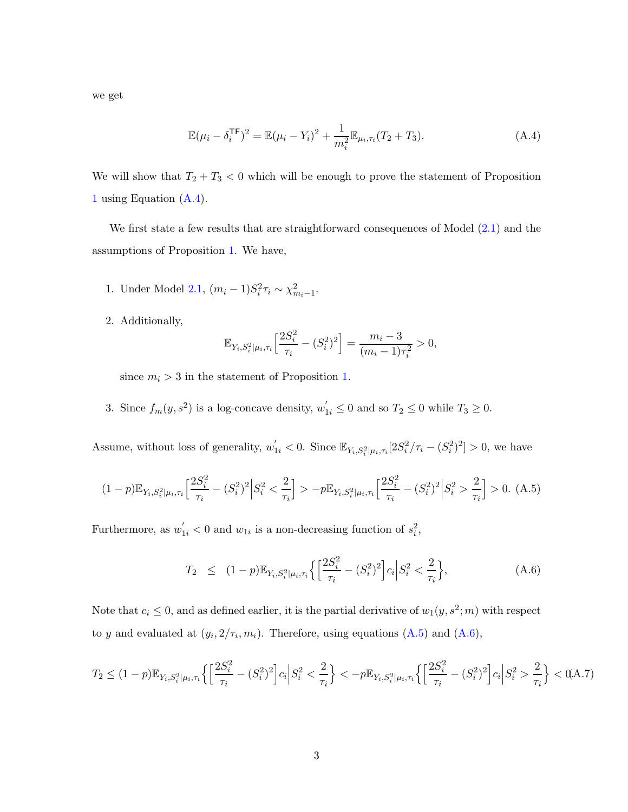we get

<span id="page-39-0"></span>
$$
\mathbb{E}(\mu_i - \delta_i^{\mathsf{TF}})^2 = \mathbb{E}(\mu_i - Y_i)^2 + \frac{1}{m_i^2} \mathbb{E}_{\mu_i, \tau_i}(T_2 + T_3).
$$
 (A.4)

We will show that  $T_2 + T_3 < 0$  which will be enough to prove the statement of Proposition [1](#page-8-1) using Equation [\(A.4\)](#page-39-0).

We first state a few results that are straightforward consequences of Model  $(2.1)$  and the assumptions of Proposition [1.](#page-8-1) We have,

- 1. Under Model [2.1,](#page-6-1)  $(m_i 1)S_i^2 \tau_i \sim \chi_{m_i-1}^2$ .
- 2. Additionally,

$$
\mathbb{E}_{Y_i, S_i^2 | \mu_i, \tau_i} \left[ \frac{2S_i^2}{\tau_i} - (S_i^2)^2 \right] = \frac{m_i - 3}{(m_i - 1)\tau_i^2} > 0,
$$

since  $m_i > 3$  in the statement of Proposition [1.](#page-8-1)

3. Since  $f_m(y, s^2)$  is a log-concave density,  $w'_{1i} \leq 0$  and so  $T_2 \leq 0$  while  $T_3 \geq 0$ .

Assume, without loss of generality,  $w'_{1i} < 0$ . Since  $\mathbb{E}_{Y_i, S_i^2 \mid \mu_i, \tau_i} [2S_i^2/\tau_i - (S_i^2)^2] > 0$ , we have

<span id="page-39-1"></span>
$$
(1-p)\mathbb{E}_{Y_i, S_i^2|\mu_i, \tau_i} \left[ \frac{2S_i^2}{\tau_i} - (S_i^2)^2 \middle| S_i^2 < \frac{2}{\tau_i} \right] > -p \mathbb{E}_{Y_i, S_i^2|\mu_i, \tau_i} \left[ \frac{2S_i^2}{\tau_i} - (S_i^2)^2 \middle| S_i^2 > \frac{2}{\tau_i} \right] > 0. \tag{A.5}
$$

Furthermore, as  $w'_{1i} < 0$  and  $w_{1i}$  is a non-decreasing function of  $s_i^2$ ,

<span id="page-39-2"></span>
$$
T_2 \le (1-p) \mathbb{E}_{Y_i, S_i^2 | \mu_i, \tau_i} \left\{ \left[ \frac{2S_i^2}{\tau_i} - (S_i^2)^2 \right] c_i \middle| S_i^2 < \frac{2}{\tau_i} \right\},\tag{A.6}
$$

Note that  $c_i \leq 0$ , and as defined earlier, it is the partial derivative of  $w_1(y, s^2; m)$  with respect to y and evaluated at  $(y_i, 2/\tau_i, m_i)$ . Therefore, using equations  $(A.5)$  and  $(A.6)$ ,

<span id="page-39-3"></span>
$$
T_2 \le (1-p) \mathbb{E}_{Y_i, S_i^2 | \mu_i, \tau_i} \left\{ \left[ \frac{2S_i^2}{\tau_i} - (S_i^2)^2 \right] c_i \middle| S_i^2 < \frac{2}{\tau_i} \right\} < -p \mathbb{E}_{Y_i, S_i^2 | \mu_i, \tau_i} \left\{ \left[ \frac{2S_i^2}{\tau_i} - (S_i^2)^2 \right] c_i \middle| S_i^2 > \frac{2}{\tau_i} \right\} < 0, \quad \text{(A.7)}
$$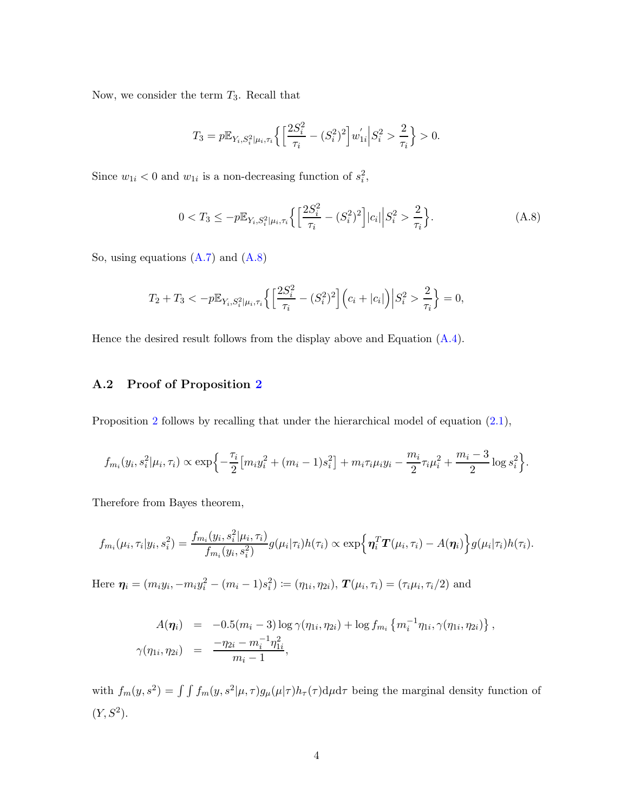Now, we consider the term  $T_3$ . Recall that

$$
T_3 = p \mathbb{E}_{Y_i, S_i^2 | \mu_i, \tau_i} \left\{ \left[ \frac{2S_i^2}{\tau_i} - (S_i^2)^2 \right] w'_{1i} \right| S_i^2 > \frac{2}{\tau_i} \right\} > 0.
$$

Since  $w_{1i} < 0$  and  $w_{1i}$  is a non-decreasing function of  $s_i^2$ ,

<span id="page-40-0"></span>
$$
0 < T_3 \le -p \mathbb{E}_{Y_i, S_i^2 | \mu_i, \tau_i} \left\{ \left[ \frac{2S_i^2}{\tau_i} - (S_i^2)^2 \right] |c_i| \right| S_i^2 > \frac{2}{\tau_i} \right\}.\tag{A.8}
$$

So, using equations  $(A.7)$  and  $(A.8)$ 

$$
T_2 + T_3 < -p \mathbb{E}_{Y_i, S_i^2 | \mu_i, \tau_i} \left\{ \left[ \frac{2S_i^2}{\tau_i} - (S_i^2)^2 \right] \left( c_i + |c_i| \right) \middle| S_i^2 > \frac{2}{\tau_i} \right\} = 0,
$$

Hence the desired result follows from the display above and Equation [\(A.4\)](#page-39-0).

### A.2 Proof of Proposition [2](#page-9-1)

Proposition [2](#page-9-1) follows by recalling that under the hierarchical model of equation  $(2.1)$ ,

$$
f_{m_i}(y_i, s_i^2 | \mu_i, \tau_i) \propto \exp\left\{-\frac{\tau_i}{2} \left[m_i y_i^2 + (m_i - 1)s_i^2\right] + m_i \tau_i \mu_i y_i - \frac{m_i}{2} \tau_i \mu_i^2 + \frac{m_i - 3}{2} \log s_i^2\right\}.
$$

Therefore from Bayes theorem,

$$
f_{m_i}(\mu_i, \tau_i | y_i, s_i^2) = \frac{f_{m_i}(y_i, s_i^2 | \mu_i, \tau_i)}{f_{m_i}(y_i, s_i^2)} g(\mu_i | \tau_i) h(\tau_i) \propto \exp\left\{ \eta_i^T \mathbf{T}(\mu_i, \tau_i) - A(\eta_i) \right\} g(\mu_i | \tau_i) h(\tau_i).
$$

Here  $\eta_i = (m_i y_i, -m_i y_i^2 - (m_i - 1)s_i^2) := (\eta_{1i}, \eta_{2i}), \, \mathbf{T}(\mu_i, \tau_i) = (\tau_i \mu_i, \tau_i/2)$  and

$$
A(\eta_i) = -0.5(m_i - 3) \log \gamma(\eta_{1i}, \eta_{2i}) + \log f_{m_i} \{ m_i^{-1} \eta_{1i}, \gamma(\eta_{1i}, \eta_{2i}) \},
$$
  

$$
\gamma(\eta_{1i}, \eta_{2i}) = \frac{-\eta_{2i} - m_i^{-1} \eta_{1i}^2}{m_i - 1},
$$

with  $f_m(y, s^2) = \int \int f_m(y, s^2 | \mu, \tau) g_\mu(\mu | \tau) h_\tau(\tau) d\mu d\tau$  being the marginal density function of  $(Y, S^2)$ .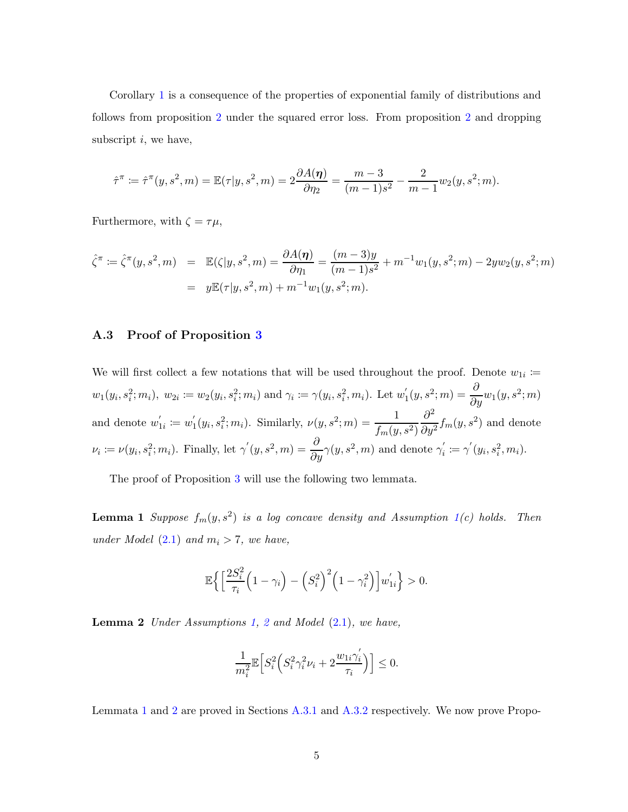Corollary [1](#page-9-2) is a consequence of the properties of exponential family of distributions and follows from proposition [2](#page-9-1) under the squared error loss. From proposition [2](#page-9-1) and dropping subscript  $i$ , we have,

$$
\hat{\tau}^{\pi} \coloneqq \hat{\tau}^{\pi}(y, s^2, m) = \mathbb{E}(\tau | y, s^2, m) = 2 \frac{\partial A(\eta)}{\partial \eta_2} = \frac{m-3}{(m-1)s^2} - \frac{2}{m-1} w_2(y, s^2; m).
$$

Furthermore, with  $\zeta = \tau \mu$ ,

$$
\hat{\zeta}^{\pi} := \hat{\zeta}^{\pi}(y, s^2, m) = \mathbb{E}(\zeta|y, s^2, m) = \frac{\partial A(\eta)}{\partial \eta_1} = \frac{(m-3)y}{(m-1)s^2} + m^{-1}w_1(y, s^2; m) - 2yw_2(y, s^2; m) \n= y\mathbb{E}(\tau|y, s^2, m) + m^{-1}w_1(y, s^2; m).
$$

#### A.3 Proof of Proposition [3](#page-11-0)

We will first collect a few notations that will be used throughout the proof. Denote  $w_{1i} \coloneqq$  $w_1(y_i, s_i^2; m_i), w_{2i} \coloneqq w_2(y_i, s_i^2; m_i)$  and  $\gamma_i \coloneqq \gamma(y_i, s_i^2, m_i)$ . Let  $w_1'$  $y'_{1}(y, s^{2}; m) = \frac{\partial}{\partial y} w_{1}(y, s^{2}; m)$ and denote  $w_1'$  $y'_{1i} := w'_1$  $y'_1(y_i, s_i^2; m_i)$ . Similarly,  $\nu(y, s^2; m) = \frac{1}{f_1(w_i)}$  $f_m(y, s^2)$  $\partial^2$  $\frac{\partial}{\partial y^2} f_m(y, s^2)$  and denote  $\nu_i \coloneqq \nu(y_i, s_i^2; m_i)$ . Finally, let  $\gamma'(y, s^2, m) = \frac{\partial}{\partial y} \gamma(y, s^2, m)$  and denote  $\gamma'_i$  $y'_{i} := \gamma'(y_{i}, s_{i}^{2}, m_{i}).$ 

The proof of Proposition [3](#page-11-0) will use the following two lemmata.

**Lemma 1** Suppose  $f_m(y, s^2)$  is a log concave density and Assumption [1\(](#page-11-1)c) holds. Then under Model  $(2.1)$  and  $m_i > 7$ , we have,

<span id="page-41-0"></span>
$$
\mathbb{E}\Big\{\Big[\frac{2S_i^2}{\tau_i}\Big(1-\gamma_i\Big)-\Big(S_i^2\Big)^2\Big(1-\gamma_i^2\Big)\Big]w_{1i}'\Big\}>0.
$$

<span id="page-41-1"></span>**Lemma [2](#page-11-2)** Under Assumptions [1,](#page-11-1) 2 and Model  $(2.1)$ , we have,

$$
\frac{1}{m_i^2} \mathbb{E}\Big[S_i^2 \Big(S_i^2 \gamma_i^2 \nu_i + 2 \frac{w_{1i} \gamma_i^{'}}{\tau_i} \Big) \Big] \leq 0.
$$

Lemmata [1](#page-41-0) and [2](#page-41-1) are proved in Sections [A.3.1](#page-43-0) and [A.3.2](#page-45-0) respectively. We now prove Propo-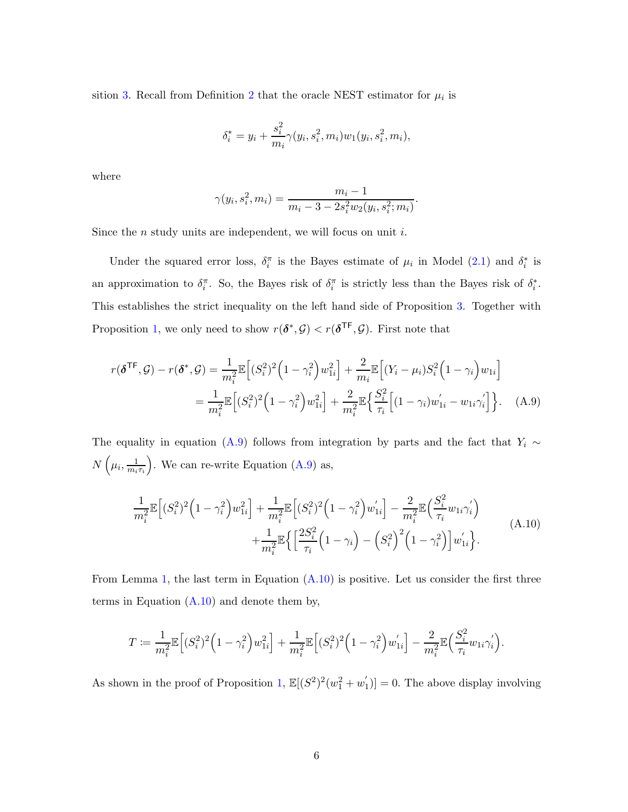sition [3.](#page-11-0) Recall from Definition [2](#page-10-1) that the oracle NEST estimator for  $\mu_i$  is

$$
\delta_i^* = y_i + \frac{s_i^2}{m_i} \gamma(y_i, s_i^2, m_i) w_1(y_i, s_i^2, m_i),
$$

where

$$
\gamma(y_i, s_i^2, m_i) = \frac{m_i - 1}{m_i - 3 - 2s_i^2 w_2(y_i, s_i^2; m_i)}
$$

.

Since the *n* study units are independent, we will focus on unit  $i$ .

Under the squared error loss,  $\delta_i^{\pi}$  is the Bayes estimate of  $\mu_i$  in Model [\(2.1\)](#page-6-1) and  $\delta_i^*$  is an approximation to  $\delta_i^{\pi}$ . So, the Bayes risk of  $\delta_i^{\pi}$  is strictly less than the Bayes risk of  $\delta_i^*$ . This establishes the strict inequality on the left hand side of Proposition [3.](#page-11-0) Together with Proposition [1,](#page-8-1) we only need to show  $r(\delta^*, \mathcal{G}) < r(\delta^{\mathsf{TF}}, \mathcal{G})$ . First note that

<span id="page-42-0"></span>
$$
r(\boldsymbol{\delta}^{\mathsf{TF}}, \mathcal{G}) - r(\boldsymbol{\delta}^*, \mathcal{G}) = \frac{1}{m_i^2} \mathbb{E}\Big[ (S_i^2)^2 \Big( 1 - \gamma_i^2 \Big) w_{1i}^2 \Big] + \frac{2}{m_i} \mathbb{E}\Big[ (Y_i - \mu_i) S_i^2 \Big( 1 - \gamma_i \Big) w_{1i} \Big]
$$
  
= 
$$
\frac{1}{m_i^2} \mathbb{E}\Big[ (S_i^2)^2 \Big( 1 - \gamma_i^2 \Big) w_{1i}^2 \Big] + \frac{2}{m_i^2} \mathbb{E}\Big\{ \frac{S_i^2}{\tau_i} \Big[ (1 - \gamma_i) w_{1i}^{'} - w_{1i} \gamma_i^{'} \Big] \Big\}. \tag{A.9}
$$

The equality in equation [\(A.9\)](#page-42-0) follows from integration by parts and the fact that  $Y_i \sim$  $N\left(\mu_i,\frac{1}{m_i}\right)$  $\frac{1}{m_i \tau_i}$ . We can re-write Equation [\(A.9\)](#page-42-0) as,

<span id="page-42-1"></span>
$$
\frac{1}{m_i^2} \mathbb{E}\Big[(S_i^2)^2 \Big(1 - \gamma_i^2\Big) w_{1i}^2\Big] + \frac{1}{m_i^2} \mathbb{E}\Big[(S_i^2)^2 \Big(1 - \gamma_i^2\Big) w_{1i}'\Big] - \frac{2}{m_i^2} \mathbb{E}\Big(\frac{S_i^2}{\tau_i} w_{1i} \gamma_i'\Big) + \frac{1}{m_i^2} \mathbb{E}\Big\{\Big[\frac{2S_i^2}{\tau_i} \Big(1 - \gamma_i\Big) - \Big(S_i^2\Big)^2 \Big(1 - \gamma_i^2\Big)\Big] w_{1i}'\Big\}.
$$
\n(A.10)

From Lemma [1,](#page-41-0) the last term in Equation  $(A.10)$  is positive. Let us consider the first three terms in Equation  $(A.10)$  and denote them by,

$$
T := \frac{1}{m_i^2} \mathbb{E}\Big[(S_i^2)^2 \Big(1 - \gamma_i^2\Big) w_{1i}^2\Big] + \frac{1}{m_i^2} \mathbb{E}\Big[(S_i^2)^2 \Big(1 - \gamma_i^2\Big) w_{1i}^{'}\Big] - \frac{2}{m_i^2} \mathbb{E}\Big(\frac{S_i^2}{\tau_i} w_{1i} \gamma_i^{'}\Big).
$$

As shown in the proof of Proposition [1,](#page-8-1)  $\mathbb{E}[(S^2)^2(w_1^2+w_1^2)$  $\binom{1}{1}$  = 0. The above display involving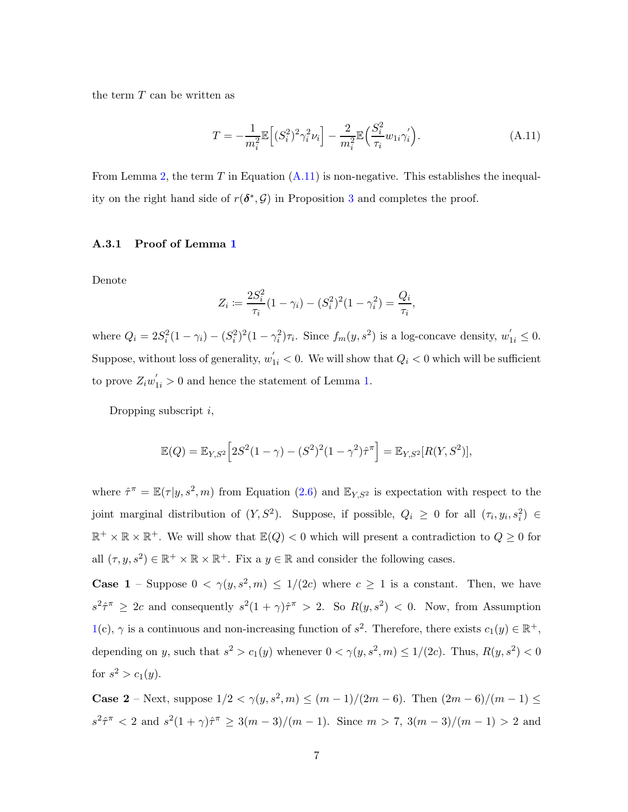the term  $T$  can be written as

<span id="page-43-1"></span>
$$
T = -\frac{1}{m_i^2} \mathbb{E}\left[ (S_i^2)^2 \gamma_i^2 \nu_i \right] - \frac{2}{m_i^2} \mathbb{E}\left( \frac{S_i^2}{\tau_i} w_{1i} \gamma_i' \right). \tag{A.11}
$$

<span id="page-43-0"></span>From Lemma [2,](#page-41-1) the term T in Equation  $(A.11)$  is non-negative. This establishes the inequality on the right hand side of  $r(\delta^*, \mathcal{G})$  in Proposition [3](#page-11-0) and completes the proof.

#### A.3.1 Proof of Lemma [1](#page-41-0)

Denote

$$
Z_i := \frac{2S_i^2}{\tau_i} (1 - \gamma_i) - (S_i^2)^2 (1 - \gamma_i^2) = \frac{Q_i}{\tau_i},
$$

where  $Q_i = 2S_i^2(1 - \gamma_i) - (S_i^2)^2(1 - \gamma_i^2)\tau_i$ . Since  $f_m(y, s^2)$  is a log-concave density,  $w'_{1i} \leq 0$ . Suppose, without loss of generality,  $w'_{1i} < 0$ . We will show that  $Q_i < 0$  which will be sufficient to prove  $Z_i w'_{1i} > 0$  and hence the statement of Lemma [1.](#page-41-0)

Dropping subscript  $i$ ,

$$
\mathbb{E}(Q) = \mathbb{E}_{Y,S^2} \Big[ 2S^2(1-\gamma) - (S^2)^2(1-\gamma^2)\hat{\tau}^{\pi} \Big] = \mathbb{E}_{Y,S^2} [R(Y,S^2)],
$$

where  $\hat{\tau}^{\pi} = \mathbb{E}(\tau | y, s^2, m)$  from Equation [\(2.6\)](#page-9-3) and  $\mathbb{E}_{Y,S^2}$  is expectation with respect to the joint marginal distribution of  $(Y, S^2)$ . Suppose, if possible,  $Q_i \geq 0$  for all  $(\tau_i, y_i, s_i^2) \in$  $\mathbb{R}^+ \times \mathbb{R} \times \mathbb{R}^+$ . We will show that  $\mathbb{E}(Q) < 0$  which will present a contradiction to  $Q \geq 0$  for all  $(\tau, y, s^2) \in \mathbb{R}^+ \times \mathbb{R} \times \mathbb{R}^+$ . Fix a  $y \in \mathbb{R}$  and consider the following cases.

**Case 1** – Suppose  $0 < \gamma(y, s^2, m) \leq 1/(2c)$  where  $c \geq 1$  is a constant. Then, we have  $s^2 \hat{\tau}^{\pi} \geq 2c$  and consequently  $s^2(1+\gamma)\hat{\tau}^{\pi} > 2$ . So  $R(y, s^2) < 0$ . Now, from Assumption [1\(](#page-11-1)c),  $\gamma$  is a continuous and non-increasing function of  $s^2$ . Therefore, there exists  $c_1(y) \in \mathbb{R}^+$ , depending on y, such that  $s^2 > c_1(y)$  whenever  $0 < \gamma(y, s^2, m) \le 1/(2c)$ . Thus,  $R(y, s^2) < 0$ for  $s^2 > c_1(y)$ .

**Case 2** – Next, suppose  $1/2 < \gamma(y, s^2, m) \le (m-1)/(2m-6)$ . Then  $(2m-6)/(m-1) \le$  $s^2 \hat{\tau}^{\pi} < 2$  and  $s^2(1+\gamma)\hat{\tau}^{\pi} \geq 3(m-3)/(m-1)$ . Since  $m > 7$ ,  $3(m-3)/(m-1) > 2$  and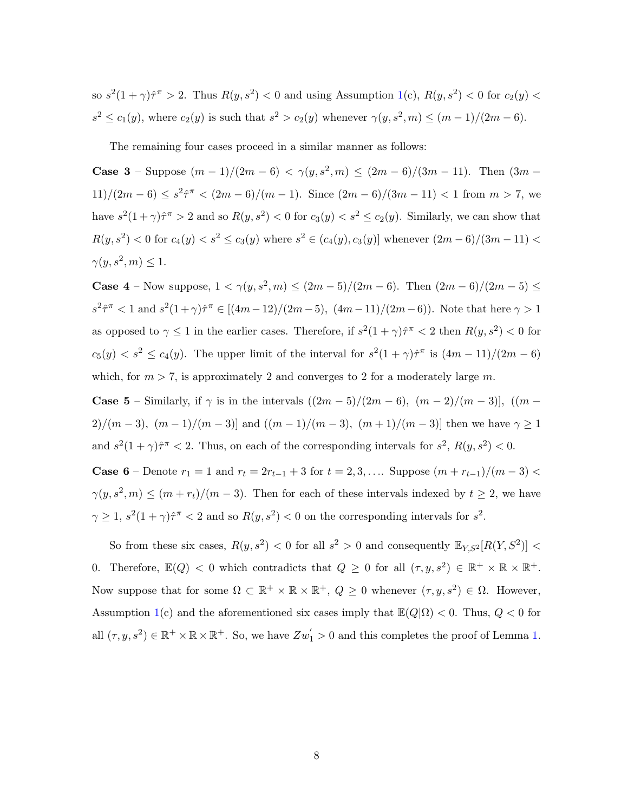so  $s^2(1+\gamma)\hat{\tau}^{\pi} > 2$ . Thus  $R(y, s^2) < 0$  and using Assumption [1\(](#page-11-1)c),  $R(y, s^2) < 0$  for  $c_2(y) <$  $s^2 \le c_1(y)$ , where  $c_2(y)$  is such that  $s^2 > c_2(y)$  whenever  $\gamma(y, s^2, m) \le (m-1)/(2m-6)$ .

The remaining four cases proceed in a similar manner as follows:

**Case 3** – Suppose  $(m-1)/(2m-6) < \gamma(y, s^2, m) \leq (2m-6)/(3m-11)$ . Then  $(3m-1)$  $11)/(2m-6) \leq s^2\hat{\tau}^{\pi} < (2m-6)/(m-1)$ . Since  $(2m-6)/(3m-11) < 1$  from  $m > 7$ , we have  $s^2(1+\gamma)\hat{\tau}^{\pi} > 2$  and so  $R(y, s^2) < 0$  for  $c_3(y) < s^2 \le c_2(y)$ . Similarly, we can show that  $R(y, s^2) < 0$  for  $c_4(y) < s^2 \le c_3(y)$  where  $s^2 \in (c_4(y), c_3(y)]$  whenever  $(2m - 6)/(3m - 11) <$  $\gamma(y, s^2, m) \leq 1.$ 

**Case 4** – Now suppose,  $1 < \gamma(y, s^2, m) \leq (2m - 5)/(2m - 6)$ . Then  $(2m - 6)/(2m - 5) \leq$  $s^2 \hat{\tau}^{\pi} < 1$  and  $s^2(1+\gamma)\hat{\tau}^{\pi} \in [(4m-12)/(2m-5), (4m-11)/(2m-6))$ . Note that here  $\gamma > 1$ as opposed to  $\gamma \leq 1$  in the earlier cases. Therefore, if  $s^2(1+\gamma)\hat{\tau}^{\pi} < 2$  then  $R(y, s^2) < 0$  for  $c_5(y) < s^2 \le c_4(y)$ . The upper limit of the interval for  $s^2(1+\gamma)\hat{\tau}^{\pi}$  is  $(4m-11)/(2m-6)$ which, for  $m > 7$ , is approximately 2 and converges to 2 for a moderately large m.

**Case 5** – Similarly, if  $\gamma$  is in the intervals  $((2m-5)/(2m-6), (m-2)/(m-3))$ ,  $((m-5)/2)(m-3)$ 2)/(m – 3),  $(m-1)/(m-3)$ ] and  $((m-1)/(m-3)$ ,  $(m+1)/(m-3)$ ] then we have  $\gamma \ge 1$ and  $s^2(1+\gamma)\hat{\tau}^{\pi} < 2$ . Thus, on each of the corresponding intervals for  $s^2$ ,  $R(y, s^2) < 0$ .

**Case 6** – Denote  $r_1 = 1$  and  $r_t = 2r_{t-1} + 3$  for  $t = 2, 3, \ldots$  Suppose  $(m + r_{t-1})/(m - 3)$  <  $\gamma(y, s^2, m) \le (m + r_t)/(m - 3)$ . Then for each of these intervals indexed by  $t \ge 2$ , we have  $\gamma \geq 1$ ,  $s^2(1+\gamma)\hat{\tau}^{\pi} < 2$  and so  $R(y, s^2) < 0$  on the corresponding intervals for  $s^2$ .

So from these six cases,  $R(y, s^2) < 0$  for all  $s^2 > 0$  and consequently  $\mathbb{E}_{Y, S^2}[R(Y, S^2)] <$ 0. Therefore,  $\mathbb{E}(Q) < 0$  which contradicts that  $Q \geq 0$  for all  $(\tau, y, s^2) \in \mathbb{R}^+ \times \mathbb{R} \times \mathbb{R}^+$ . Now suppose that for some  $\Omega \subset \mathbb{R}^+ \times \mathbb{R} \times \mathbb{R}^+$ ,  $Q \geq 0$  whenever  $(\tau, y, s^2) \in \Omega$ . However, Assumption [1\(](#page-11-1)c) and the aforementioned six cases imply that  $\mathbb{E}(Q|\Omega) < 0$ . Thus,  $Q < 0$  for all  $(\tau, y, s^2) \in \mathbb{R}^+ \times \mathbb{R} \times \mathbb{R}^+$ . So, we have  $Zw_1' > 0$  and this completes the proof of Lemma [1.](#page-41-0)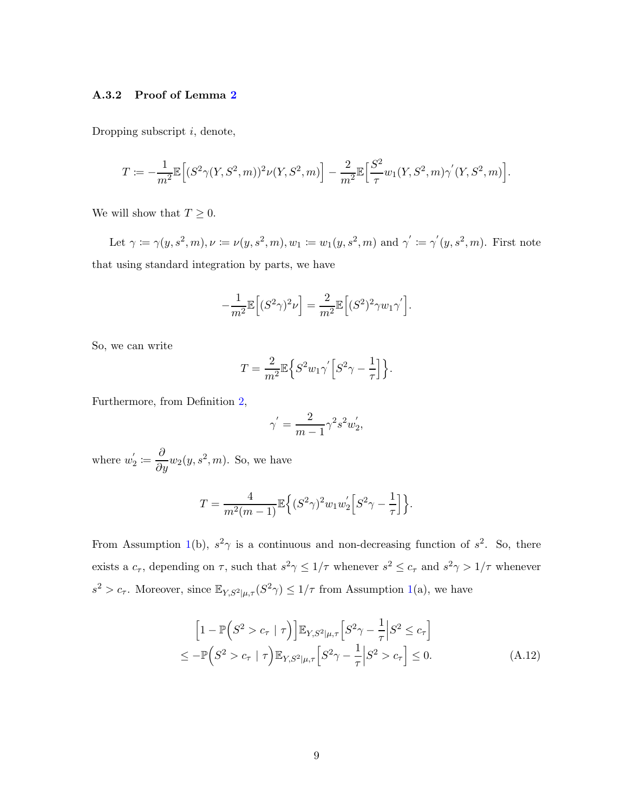#### <span id="page-45-0"></span>A.3.2 Proof of Lemma [2](#page-41-1)

Dropping subscript  $i$ , denote,

$$
T := -\frac{1}{m^2} \mathbb{E}\Big[ (S^2 \gamma(Y, S^2, m))^2 \nu(Y, S^2, m) \Big] - \frac{2}{m^2} \mathbb{E}\Big[ \frac{S^2}{\tau} w_1(Y, S^2, m) \gamma'(Y, S^2, m) \Big].
$$

We will show that  $T \geq 0$ .

Let  $\gamma := \gamma(y, s^2, m), \nu := \nu(y, s^2, m), w_1 := w_1(y, s^2, m)$  and  $\gamma' := \gamma'(y, s^2, m)$ . First note that using standard integration by parts, we have

$$
-\frac{1}{m^2}\mathbb{E}\Big[(S^2\gamma)^2\nu\Big] = \frac{2}{m^2}\mathbb{E}\Big[(S^2)^2\gamma w_1\gamma'\Big].
$$

So, we can write

$$
T = \frac{2}{m^2} \mathbb{E} \Big\{ S^2 w_1 \gamma^{'} \Big[ S^2 \gamma - \frac{1}{\tau} \Big] \Big\}.
$$

Furthermore, from Definition [2,](#page-10-1)

$$
\gamma^{'} = \frac{2}{m-1} \gamma^2 s^2 w_2^{'},
$$

where  $w_2'$  $\omega_2' \coloneqq \frac{\partial}{\partial y} w_2(y, s^2, m)$ . So, we have

$$
T = \frac{4}{m^2(m-1)} \mathbb{E}\left\{ (S^2 \gamma)^2 w_1 w_2' \left[ S^2 \gamma - \frac{1}{\tau} \right] \right\}.
$$

From Assumption [1\(](#page-11-1)b),  $s^2\gamma$  is a continuous and non-decreasing function of  $s^2$ . So, there exists a  $c_{\tau}$ , depending on  $\tau$ , such that  $s^2\gamma \leq 1/\tau$  whenever  $s^2 \leq c_{\tau}$  and  $s^2\gamma > 1/\tau$  whenever  $s^2 > c_{\tau}$ . Moreover, since  $\mathbb{E}_{Y,S^2|\mu,\tau}(S^2\gamma) \leq 1/\tau$  from Assumption [1\(](#page-11-1)a), we have

<span id="page-45-1"></span>
$$
\left[1 - \mathbb{P}\left(S^2 > c_\tau \mid \tau\right)\right] \mathbb{E}_{Y,S^2|\mu,\tau} \left[S^2 \gamma - \frac{1}{\tau} \middle| S^2 \le c_\tau\right]
$$
\n
$$
\le - \mathbb{P}\left(S^2 > c_\tau \mid \tau\right) \mathbb{E}_{Y,S^2|\mu,\tau} \left[S^2 \gamma - \frac{1}{\tau} \middle| S^2 > c_\tau\right] \le 0. \tag{A.12}
$$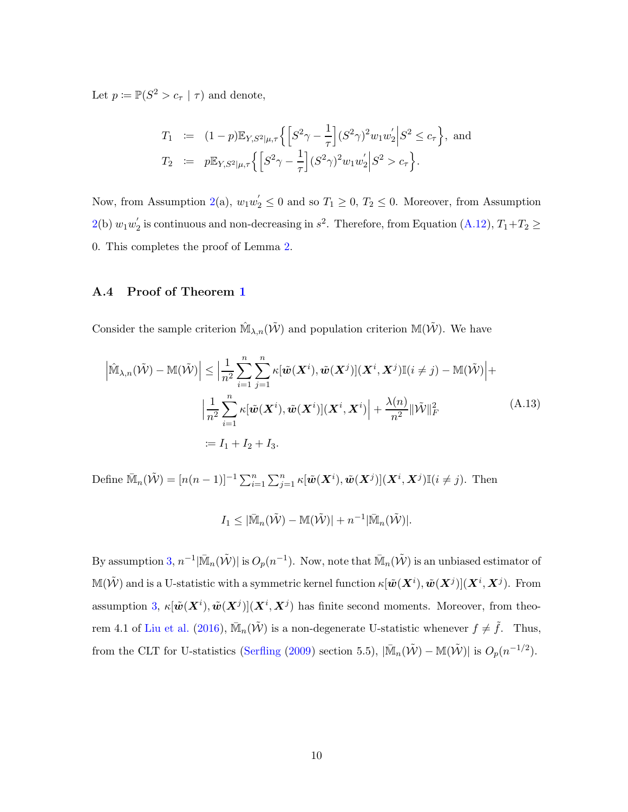Let  $p \coloneqq \mathbb{P}(S^2 > c_\tau \mid \tau)$  and denote,

$$
T_1 := (1-p) \mathbb{E}_{Y,S^2|\mu,\tau} \left\{ \left[ S^2 \gamma - \frac{1}{\tau} \right] (S^2 \gamma)^2 w_1 w_2' \Big| S^2 \le c_\tau \right\}, \text{ and}
$$
  
\n
$$
T_2 := p \mathbb{E}_{Y,S^2|\mu,\tau} \left\{ \left[ S^2 \gamma - \frac{1}{\tau} \right] (S^2 \gamma)^2 w_1 w_2' \Big| S^2 > c_\tau \right\}.
$$

Now, from Assumption [2\(](#page-11-2)a),  $w_1w_2' \le 0$  and so  $T_1 \ge 0$ ,  $T_2 \le 0$ . Moreover, from Assumption  $2(b) w_1 w_2'$  $2(b) w_1 w_2'$ <sup>'</sup><sub>2</sub> is continuous and non-decreasing in  $s^2$ . Therefore, from Equation [\(A.12\)](#page-45-1),  $T_1+T_2 \ge$ 0. This completes the proof of Lemma [2.](#page-41-1)

#### A.4 Proof of Theorem [1](#page-20-3)

Consider the sample criterion  $\hat{M}_{\lambda,n}(\tilde{W})$  and population criterion  $M(\tilde{W})$ . We have

$$
\left| \hat{\mathbb{M}}_{\lambda,n}(\tilde{\mathcal{W}}) - \mathbb{M}(\tilde{\mathcal{W}}) \right| \leq \left| \frac{1}{n^2} \sum_{i=1}^n \sum_{j=1}^n \kappa[\tilde{\boldsymbol{w}}(\boldsymbol{X}^i), \tilde{\boldsymbol{w}}(\boldsymbol{X}^j)](\boldsymbol{X}^i, \boldsymbol{X}^j) \mathbb{I}(i \neq j) - \mathbb{M}(\tilde{\mathcal{W}}) \right| +
$$
  

$$
\left| \frac{1}{n^2} \sum_{i=1}^n \kappa[\tilde{\boldsymbol{w}}(\boldsymbol{X}^i), \tilde{\boldsymbol{w}}(\boldsymbol{X}^i)](\boldsymbol{X}^i, \boldsymbol{X}^i) \right| + \frac{\lambda(n)}{n^2} ||\tilde{\mathcal{W}}||_F^2
$$
  

$$
:= I_1 + I_2 + I_3.
$$
 (A.13)

Define  $\overline{\mathbb{M}}_n(\tilde{\mathcal{W}}) = [n(n-1)]^{-1} \sum_{i=1}^n \sum_{j=1}^n \kappa[\tilde{\boldsymbol{w}}(\boldsymbol{X}^i), \tilde{\boldsymbol{w}}(\boldsymbol{X}^j)](\boldsymbol{X}^i, \boldsymbol{X}^j) \mathbb{I}(i \neq j)$ . Then

<span id="page-46-0"></span>
$$
I_1 \leq |\bar{\mathbb{M}}_n(\tilde{\mathcal{W}})-\mathbb{M}(\tilde{\mathcal{W}})|+n^{-1}|\bar{\mathbb{M}}_n(\tilde{\mathcal{W}})|.
$$

By assumption [3,](#page-20-0)  $n^{-1}|\bar{M}_n(\tilde{W})|$  is  $O_p(n^{-1})$ . Now, note that  $\bar{M}_n(\tilde{W})$  is an unbiased estimator of  $\mathbb{M}(\tilde{\mathcal{W}})$  and is a U-statistic with a symmetric kernel function  $\kappa[\tilde{\bm{w}}(\bm{X}^i), \tilde{\bm{w}}(\bm{X}^j)] (\bm{X}^i, \bm{X}^j)$ . From assumption [3,](#page-20-0)  $\kappa[\tilde{\bm{w}}(\bm{X}^i), \tilde{\bm{w}}(\bm{X}^j)](\bm{X}^i, \bm{X}^j)$  has finite second moments. Moreover, from theo-rem 4.1 of [Liu et al.](#page-35-9) [\(2016](#page-35-9)),  $\bar{M}_n(\tilde{W})$  is a non-degenerate U-statistic whenever  $f \neq \tilde{f}$ . Thus, from the CLT for U-statistics [\(Serfling](#page-35-12) [\(2009](#page-35-12)) section 5.5),  $|\bar{M}_n(\tilde{W}) - M(\tilde{W})|$  is  $O_p(n^{-1/2})$ .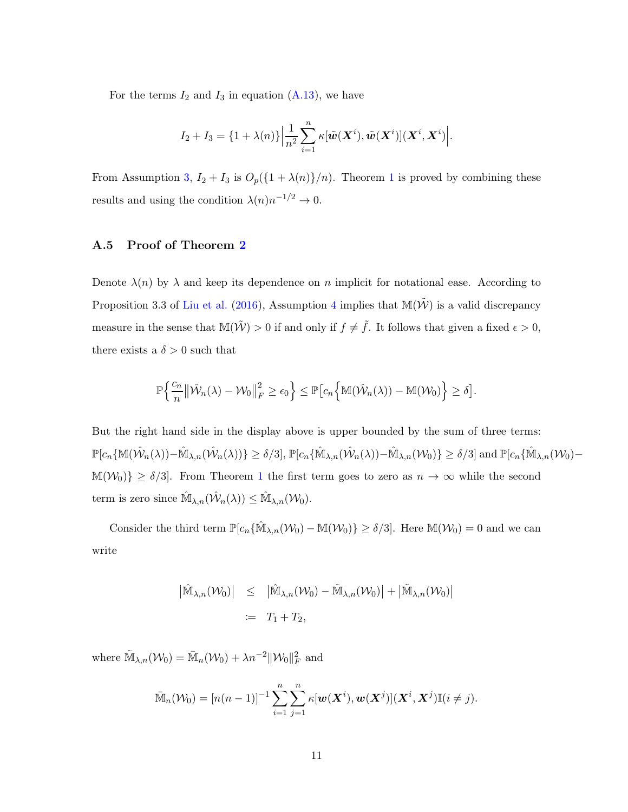For the terms  $I_2$  and  $I_3$  in equation [\(A.13\)](#page-46-0), we have

$$
I_2 + I_3 = \{1 + \lambda(n)\} \Big| \frac{1}{n^2} \sum_{i=1}^n \kappa[\tilde{\boldsymbol{w}}(\boldsymbol{X}^i), \tilde{\boldsymbol{w}}(\boldsymbol{X}^i)](\boldsymbol{X}^i, \boldsymbol{X}^i) \Big|.
$$

From Assumption [3,](#page-20-0)  $I_2 + I_3$  is  $O_p({1 + \lambda(n)}/n)$  $O_p({1 + \lambda(n)}/n)$  $O_p({1 + \lambda(n)}/n)$ . Theorem 1 is proved by combining these results and using the condition  $\lambda(n)n^{-1/2} \to 0$ .

#### A.5 Proof of Theorem [2](#page-20-4)

Denote  $\lambda(n)$  by  $\lambda$  and keep its dependence on n implicit for notational ease. According to Proposition 3.3 of [Liu et al.](#page-35-9) [\(2016](#page-35-9)), Assumption [4](#page-20-1) implies that  $\mathbb{M}(\tilde{\mathcal{W}})$  is a valid discrepancy measure in the sense that  $\mathbb{M}(\tilde{\mathcal{W}}) > 0$  if and only if  $f \neq \tilde{f}$ . It follows that given a fixed  $\epsilon > 0$ , there exists a  $\delta > 0$  such that

$$
\mathbb{P}\Big\{\frac{c_n}{n}\big\lVert \hat{\mathcal{W}}_n(\lambda) - \mathcal{W}_0 \big\lVert_F^2 \geq \epsilon_0 \Big\} \leq \mathbb{P}\big[c_n\Big\{\mathbb{M}(\hat{\mathcal{W}}_n(\lambda)) - \mathbb{M}(\mathcal{W}_0)\Big\} \geq \delta\big].
$$

But the right hand side in the display above is upper bounded by the sum of three terms:  $\mathbb{P}[c_n\{\mathbb{M}(\hat{\mathcal{W}}_n(\lambda)) - \hat{\mathbb{M}}_{\lambda,n}(\hat{\mathcal{W}}_n(\lambda))\} \ge \delta/3], \mathbb{P}[c_n\{\hat{\mathbb{M}}_{\lambda,n}(\hat{\mathcal{W}}_n(\lambda)) - \hat{\mathbb{M}}_{\lambda,n}(\mathcal{W}_0)\} \ge \delta/3]$  and  $\mathbb{P}[c_n\{\hat{\mathbb{M}}_{\lambda,n}(\mathcal{W}_0) - \hat{\mathbb{M}}_{\lambda,n}(\mathcal{W}_0)\}]$  $\mathbb{M}(\mathcal{W}_0)\}\geq \delta/3$ . From Theorem [1](#page-20-3) the first term goes to zero as  $n\to\infty$  while the second term is zero since  $\hat{\mathbb{M}}_{\lambda,n}(\hat{\mathcal{W}}_n(\lambda)) \leq \hat{\mathbb{M}}_{\lambda,n}(\mathcal{W}_0)$ .

Consider the third term  $\mathbb{P}[c_n\{\hat{\mathbb{M}}_{\lambda,n}(\mathcal{W}_0) - \mathbb{M}(\mathcal{W}_0)\}\geq \delta/3]$ . Here  $\mathbb{M}(\mathcal{W}_0) = 0$  and we can write

$$
\begin{aligned} \left| \hat{\mathbb{M}}_{\lambda,n}(\mathcal{W}_0) \right| &\leq \left| \hat{\mathbb{M}}_{\lambda,n}(\mathcal{W}_0) - \tilde{\mathbb{M}}_{\lambda,n}(\mathcal{W}_0) \right| + \left| \tilde{\mathbb{M}}_{\lambda,n}(\mathcal{W}_0) \right| \\ &\coloneqq T_1 + T_2, \end{aligned}
$$

where  $\widetilde{\mathbb{M}}_{\lambda,n}(\mathcal{W}_0) = \overline{\mathbb{M}}_n(\mathcal{W}_0) + \lambda n^{-2} \|\mathcal{W}_0\|_F^2$  and

$$
\bar{\mathbb{M}}_n(\mathcal{W}_0)=[n(n-1)]^{-1}\sum_{i=1}^n\sum_{j=1}^n\kappa[\boldsymbol{w}(\boldsymbol{X}^i),\boldsymbol{w}(\boldsymbol{X}^j)](\boldsymbol{X}^i,\boldsymbol{X}^j)\mathbb{I}(i\neq j).
$$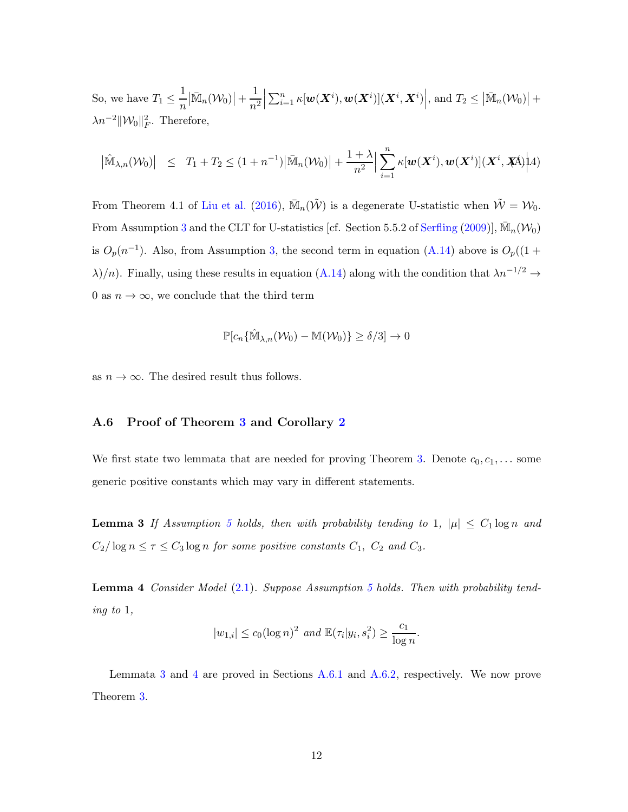So, we have  $T_1 \leq \frac{1}{n}$ n  $\left|\bar{\mathbb{M}}_n(\mathcal{W}_0)\right|+\frac{1}{n^2}$  $n<sup>2</sup>$   $\sum_{i=1}^n \kappa[\boldsymbol{w}(\boldsymbol{X}^i), \boldsymbol{w}(\boldsymbol{X}^i)](\boldsymbol{X}^i, \boldsymbol{X}^i)\Big|$ , and  $T_2 \leq |\bar{\mathbb{M}}_n(\mathcal{W}_0)| +$  $\lambda n^{-2} \|\mathcal{W}_0\|_F^2$ . Therefore,

<span id="page-48-2"></span>
$$
\left|\hat{\mathbb{M}}_{\lambda,n}(\mathcal{W}_0)\right| \leq T_1 + T_2 \leq (1+n^{-1})\left|\bar{\mathbb{M}}_n(\mathcal{W}_0)\right| + \frac{1+\lambda}{n^2} \left|\sum_{i=1}^n \kappa[\boldsymbol{w}(\boldsymbol{X}^i), \boldsymbol{w}(\boldsymbol{X}^i)](\boldsymbol{X}^i, \boldsymbol{X}^i)\right| 4)
$$

From Theorem 4.1 of [Liu et al.](#page-35-9) [\(2016](#page-35-9)),  $\overline{\mathbb{M}}_n(\tilde{\mathcal{W}})$  is a degenerate U-statistic when  $\tilde{\mathcal{W}} = \mathcal{W}_0$ . From Assumption [3](#page-20-0) and the CLT for U-statistics [cf. Section 5.5.2 of [Serfling](#page-35-12) [\(2009](#page-35-12))],  $\bar{M}_n(\mathcal{W}_0)$ is  $O_p(n^{-1})$ . Also, from Assumption [3,](#page-20-0) the second term in equation [\(A.14\)](#page-48-2) above is  $O_p((1 +$  $\lambda$ /n). Finally, using these results in equation [\(A.14\)](#page-48-2) along with the condition that  $\lambda n^{-1/2} \rightarrow$ 0 as  $n \to \infty$ , we conclude that the third term

$$
\mathbb{P}[c_n\{\hat{\mathbb{M}}_{\lambda,n}(\mathcal{W}_0)-\mathbb{M}(\mathcal{W}_0)\}\geq \delta/3]\to 0
$$

<span id="page-48-1"></span>as  $n \to \infty$ . The desired result thus follows.

#### A.6 Proof of Theorem [3](#page-21-0) and Corollary [2](#page-21-1)

<span id="page-48-0"></span>We first state two lemmata that are needed for proving Theorem [3.](#page-21-0) Denote  $c_0, c_1, \ldots$  some generic positive constants which may vary in different statements.

<span id="page-48-3"></span>**Lemma 3** If Assumption [5](#page-20-2) holds, then with probability tending to 1,  $|\mu| \leq C_1 \log n$  and  $C_2/\log n \leq \tau \leq C_3 \log n$  for some positive constants  $C_1$ ,  $C_2$  and  $C_3$ .

**Lemma 4** Consider Model  $(2.1)$ . Suppose Assumption [5](#page-20-2) holds. Then with probability tending to 1,

$$
|w_{1,i}| \le c_0 (\log n)^2
$$
 and  $\mathbb{E}(\tau_i|y_i, s_i^2) \ge \frac{c_1}{\log n}$ .

Lemmata [3](#page-48-0) and [4](#page-48-3) are proved in Sections [A.6.1](#page-51-0) and [A.6.2,](#page-51-1) respectively. We now prove Theorem [3.](#page-21-0)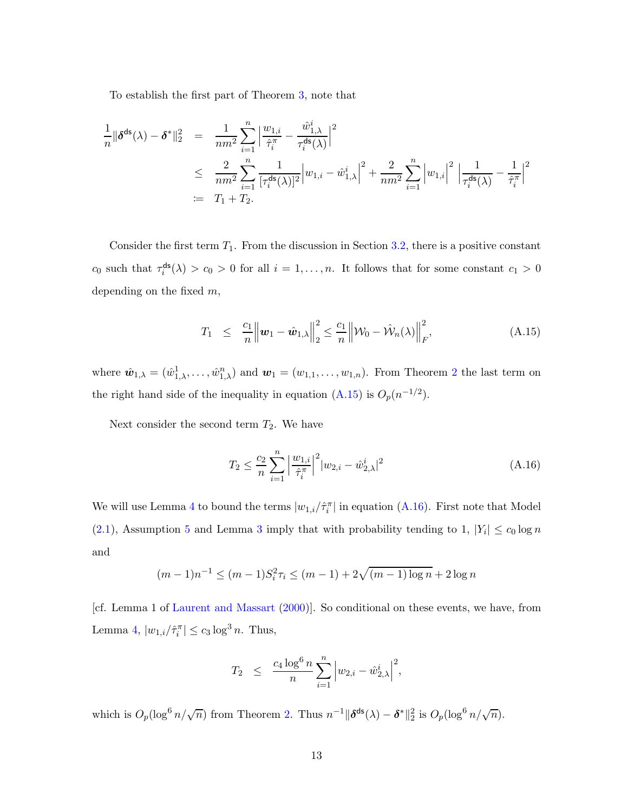To establish the first part of Theorem [3,](#page-21-0) note that

$$
\frac{1}{n} \|\delta^{\text{ds}}(\lambda) - \delta^*\|_2^2 = \frac{1}{nm^2} \sum_{i=1}^n \left| \frac{w_{1,i}}{\hat{\tau}_i^{\pi}} - \frac{\hat{w}_{1,\lambda}^i}{\tau_i^{\text{ds}}(\lambda)} \right|^2
$$
\n
$$
\leq \frac{2}{nm^2} \sum_{i=1}^n \frac{1}{[\tau_i^{\text{ds}}(\lambda)]^2} \left| w_{1,i} - \hat{w}_{1,\lambda}^i \right|^2 + \frac{2}{nm^2} \sum_{i=1}^n \left| w_{1,i} \right|^2 \left| \frac{1}{\tau_i^{\text{ds}}(\lambda)} - \frac{1}{\hat{\tau}_i^{\pi}} \right|^2
$$
\n
$$
:= T_1 + T_2.
$$

Consider the first term  $T_1$ . From the discussion in Section [3.2,](#page-16-0) there is a positive constant  $c_0$  such that  $\tau_i^{\text{ds}}$  $\mathcal{L}_i^{\text{ds}}(\lambda) > c_0 > 0$  for all  $i = 1, \ldots, n$ . It follows that for some constant  $c_1 > 0$ depending on the fixed  $m$ ,

<span id="page-49-0"></span>
$$
T_1 \leq \frac{c_1}{n} \left\| \boldsymbol{w}_1 - \hat{\boldsymbol{w}}_{1,\lambda} \right\|_2^2 \leq \frac{c_1}{n} \left\| \mathcal{W}_0 - \hat{\mathcal{W}}_n(\lambda) \right\|_F^2, \tag{A.15}
$$

where  $\hat{\mathbf{w}}_{1,\lambda} = (\hat{w}_{1,\lambda}^1, \dots, \hat{w}_{1,\lambda}^n)$  and  $\mathbf{w}_1 = (w_{1,1}, \dots, w_{1,n})$ . From Theorem [2](#page-20-4) the last term on the right hand side of the inequality in equation  $(A.15)$  is  $O_p(n^{-1/2})$ .

Next consider the second term  $T_2$ . We have

<span id="page-49-1"></span>
$$
T_2 \le \frac{c_2}{n} \sum_{i=1}^n \left| \frac{w_{1,i}}{\hat{\tau}_i^{\pi}} \right|^2 |w_{2,i} - \hat{w}_{2,\lambda}^i|^2 \tag{A.16}
$$

We will use Lemma [4](#page-48-3) to bound the terms  $|w_{1,i}/\hat{\tau}_i^{\pi}|$  in equation [\(A.16\)](#page-49-1). First note that Model  $(2.1)$ , Assumption [5](#page-20-2) and Lemma [3](#page-48-0) imply that with probability tending to 1,  $|Y_i| \leq c_0 \log n$ and

$$
(m-1)n^{-1} \le (m-1)S_i^2 \tau_i \le (m-1) + 2\sqrt{(m-1)\log n} + 2\log n
$$

[cf. Lemma 1 of [Laurent and Massart](#page-35-14) [\(2000\)](#page-35-14)]. So conditional on these events, we have, from Lemma [4,](#page-48-3)  $|w_{1,i}/\hat{\tau}_i^{\pi}| \le c_3 \log^3 n$ . Thus,

$$
T_2 \ \leq \ \frac{c_4\log^6 n}{n} \sum_{i=1}^n \Big| w_{2,i} - \hat{w}_{2,\lambda}^i \Big|^2,
$$

which is  $O_p(\log^6 n/\sqrt{n})$  from Theorem [2.](#page-20-4) Thus  $n^{-1} \|\boldsymbol{\delta}^{\mathsf{ds}}(\lambda) - \boldsymbol{\delta}^*\|_2^2$  is  $O_p(\log^6 n/\sqrt{n})$ .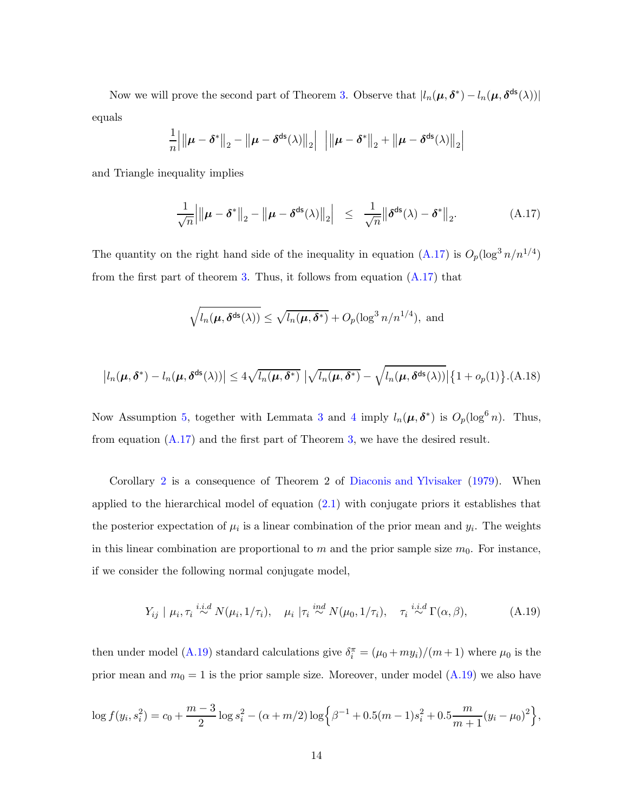Now we will prove the second part of Theorem [3.](#page-21-0) Observe that  $|l_n(\mu, \delta^*) - l_n(\mu, \delta^{\text{ds}}(\lambda))|$ equals

$$
\frac{1}{n}||\boldsymbol{\mu} - \boldsymbol{\delta}^*||_2 - ||\boldsymbol{\mu} - \boldsymbol{\delta}^{\mathsf{ds}}(\lambda)||_2||||\boldsymbol{\mu} - \boldsymbol{\delta}^*||_2 + ||\boldsymbol{\mu} - \boldsymbol{\delta}^{\mathsf{ds}}(\lambda)||_2||
$$

and Triangle inequality implies

<span id="page-50-0"></span>
$$
\frac{1}{\sqrt{n}}\left|\left\|\boldsymbol{\mu}-\boldsymbol{\delta}^*\right\|_2-\left\|\boldsymbol{\mu}-\boldsymbol{\delta}^{\mathsf{ds}}(\lambda)\right\|_2\right| \leq \frac{1}{\sqrt{n}}\left\|\boldsymbol{\delta}^{\mathsf{ds}}(\lambda)-\boldsymbol{\delta}^*\right\|_2. \tag{A.17}
$$

The quantity on the right hand side of the inequality in equation  $(A.17)$  is  $O_p(\log^3 n/n^{1/4})$ from the first part of theorem [3.](#page-21-0) Thus, it follows from equation  $(A.17)$  that

$$
\sqrt{l_n(\boldsymbol{\mu}, \boldsymbol{\delta}^{\mathsf{ds}}(\lambda))} \le \sqrt{l_n(\boldsymbol{\mu}, \boldsymbol{\delta}^*)} + O_p(\log^3 n/n^{1/4}), \text{ and}
$$

$$
\left|l_n(\boldsymbol{\mu},\boldsymbol{\delta}^*)-l_n(\boldsymbol{\mu},\boldsymbol{\delta}^{\text{ds}}(\lambda))\right|\leq 4\sqrt{l_n(\boldsymbol{\mu},\boldsymbol{\delta}^*)}\left|\sqrt{l_n(\boldsymbol{\mu},\boldsymbol{\delta}^*)}-\sqrt{l_n(\boldsymbol{\mu},\boldsymbol{\delta}^{\text{ds}}(\lambda))}\right|\left\{1+o_p(1)\right\}.\text{(A.18)}
$$

Now Assumption [5,](#page-20-2) together with Lemmata [3](#page-48-0) and [4](#page-48-3) imply  $l_n(\mu, \delta^*)$  is  $O_p(\log^6 n)$ . Thus, from equation  $(A.17)$  and the first part of Theorem [3,](#page-21-0) we have the desired result.

Corollary [2](#page-21-1) is a consequence of Theorem 2 of [Diaconis and Ylvisaker](#page-33-13) [\(1979](#page-33-13)). When applied to the hierarchical model of equation [\(2.1\)](#page-6-1) with conjugate priors it establishes that the posterior expectation of  $\mu_i$  is a linear combination of the prior mean and  $y_i$ . The weights in this linear combination are proportional to m and the prior sample size  $m_0$ . For instance, if we consider the following normal conjugate model,

<span id="page-50-1"></span>
$$
Y_{ij} \mid \mu_i, \tau_i \stackrel{i.i.d}{\sim} N(\mu_i, 1/\tau_i), \quad \mu_i \mid \tau_i \stackrel{ind}{\sim} N(\mu_0, 1/\tau_i), \quad \tau_i \stackrel{i.i.d}{\sim} \Gamma(\alpha, \beta), \tag{A.19}
$$

then under model [\(A.19\)](#page-50-1) standard calculations give  $\delta_i^{\pi} = (\mu_0 + m y_i)/(m + 1)$  where  $\mu_0$  is the prior mean and  $m_0 = 1$  is the prior sample size. Moreover, under model  $(A.19)$  we also have

$$
\log f(y_i, s_i^2) = c_0 + \frac{m-3}{2} \log s_i^2 - (\alpha + m/2) \log \left\{ \beta^{-1} + 0.5(m-1)s_i^2 + 0.5\frac{m}{m+1}(y_i - \mu_0)^2 \right\},\,
$$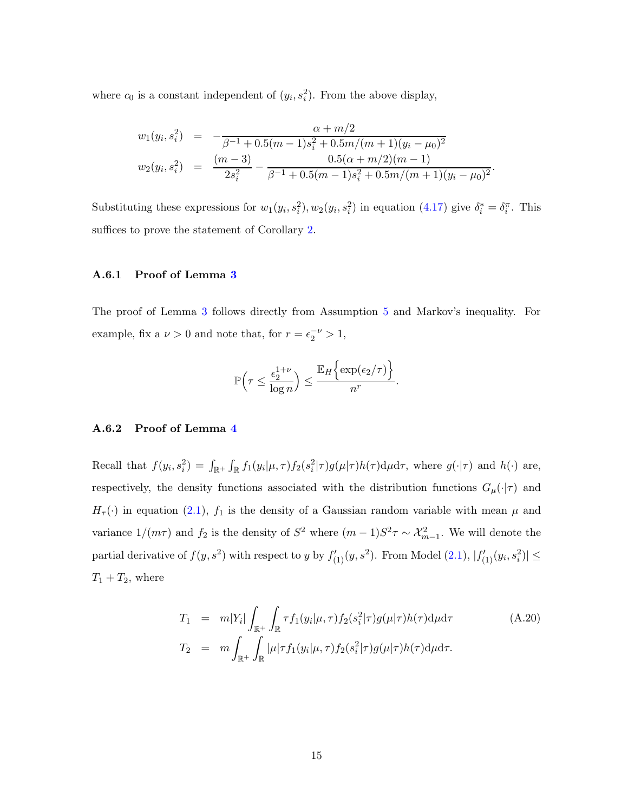where  $c_0$  is a constant independent of  $(y_i, s_i^2)$ . From the above display,

$$
w_1(y_i, s_i^2) = -\frac{\alpha + m/2}{\beta^{-1} + 0.5(m-1)s_i^2 + 0.5m/(m+1)(y_i - \mu_0)^2}
$$
  
\n
$$
w_2(y_i, s_i^2) = \frac{(m-3)}{2s_i^2} - \frac{0.5(\alpha + m/2)(m-1)}{\beta^{-1} + 0.5(m-1)s_i^2 + 0.5m/(m+1)(y_i - \mu_0)^2}.
$$

<span id="page-51-0"></span>Substituting these expressions for  $w_1(y_i, s_i^2), w_2(y_i, s_i^2)$  in equation [\(4.17\)](#page-19-1) give  $\delta_i^* = \delta_i^{\pi}$ . This suffices to prove the statement of Corollary [2.](#page-21-1)

#### A.6.1 Proof of Lemma [3](#page-48-0)

The proof of Lemma [3](#page-48-0) follows directly from Assumption [5](#page-20-2) and Markov's inequality. For example, fix a  $\nu > 0$  and note that, for  $r = \epsilon_2^{-\nu} > 1$ ,

$$
\mathbb{P}\Big(\tau \leq \frac{\epsilon_2^{1+\nu}}{\log n}\Big) \leq \frac{\mathbb{E}_H\Big\{\exp(\epsilon_2/\tau)\Big\}}{n^r}.
$$

## <span id="page-51-1"></span>A.6.2 Proof of Lemma [4](#page-48-3)

Recall that  $f(y_i, s_i^2) = \int_{\mathbb{R}^+} \int_{\mathbb{R}} f_1(y_i | \mu, \tau) f_2(s_i^2 | \tau) g(\mu | \tau) h(\tau) d\mu d\tau$ , where  $g(\cdot | \tau)$  and  $h(\cdot)$  are, respectively, the density functions associated with the distribution functions  $G_{\mu}(\cdot|\tau)$  and  $H_{\tau}(\cdot)$  in equation [\(2.1\)](#page-6-1),  $f_1$  is the density of a Gaussian random variable with mean  $\mu$  and variance  $1/(m\tau)$  and  $f_2$  is the density of  $S^2$  where  $(m-1)S^2\tau \sim \mathcal{X}_{m-1}^2$ . We will denote the partial derivative of  $f(y, s^2)$  with respect to y by  $f'_{(1)}(y, s^2)$ . From Model  $(2.1)$ ,  $|f'_{(1)}(y_i, s_i^2)| \le$  $T_1 + T_2$ , where

<span id="page-51-2"></span>
$$
T_1 = m|Y_i| \int_{\mathbb{R}^+} \int_{\mathbb{R}} \tau f_1(y_i|\mu, \tau) f_2(s_i^2|\tau) g(\mu|\tau) h(\tau) d\mu d\tau
$$
\n
$$
T_2 = m \int_{\mathbb{R}^+} \int_{\mathbb{R}} |\mu| \tau f_1(y_i|\mu, \tau) f_2(s_i^2|\tau) g(\mu|\tau) h(\tau) d\mu d\tau.
$$
\n(A.20)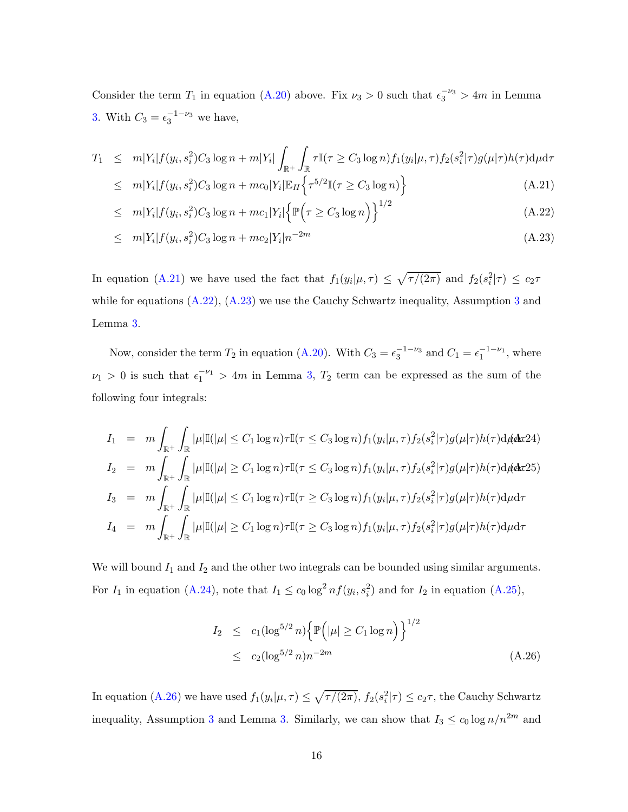Consider the term  $T_1$  in equation [\(A.20\)](#page-51-2) above. Fix  $\nu_3 > 0$  such that  $\epsilon_3^{-\nu_3} > 4m$  in Lemma [3.](#page-48-0) With  $C_3 = \epsilon_3^{-1-\nu_3}$  we have,

<span id="page-52-0"></span>
$$
T_1 \leq m|Y_i| f(y_i, s_i^2) C_3 \log n + m|Y_i| \int_{\mathbb{R}^+} \int_{\mathbb{R}} \tau \mathbb{I}(\tau \geq C_3 \log n) f_1(y_i|\mu, \tau) f_2(s_i^2|\tau) g(\mu|\tau) h(\tau) d\mu d\tau
$$
  

$$
\leq m|Y_i| f(y_i, s_i^2) C_3 \log n + m c_0 |Y_i| \mathbb{E}_H \left\{ \tau^{5/2} \mathbb{I}(\tau \geq C_3 \log n) \right\}
$$
(A.21)

$$
\leq m|Y_i|f(y_i, s_i^2)C_3\log n + mc_1|Y_i|\left\{\mathbb{P}\left(\tau \geq C_3\log n\right)\right\}^{1/2} \tag{A.22}
$$

$$
\leq m|Y_i|f(y_i, s_i^2)C_3\log n + mc_2|Y_i|n^{-2m} \tag{A.23}
$$

In equation [\(A.21\)](#page-52-0) we have used the fact that  $f_1(y_i|\mu,\tau) \leq \sqrt{\tau/(2\pi)}$  and  $f_2(s_i^2|\tau) \leq c_2\tau$ while for equations  $(A.22)$ ,  $(A.23)$  $(A.23)$  $(A.23)$  we use the Cauchy Schwartz inequality, Assumption 3 and Lemma [3.](#page-48-0)

Now, consider the term  $T_2$  in equation [\(A.20\)](#page-51-2). With  $C_3 = \epsilon_3^{-1-\nu_3}$  and  $C_1 = \epsilon_1^{-1-\nu_1}$ , where  $\nu_1 > 0$  is such that  $\epsilon_1^{-\nu_1} > 4m$  in Lemma [3,](#page-48-0)  $T_2$  term can be expressed as the sum of the following four integrals:

<span id="page-52-1"></span>
$$
I_1 = m \int_{\mathbb{R}^+} \int_{\mathbb{R}} |\mu| \mathbb{I}(|\mu| \le C_1 \log n) \tau \mathbb{I}(\tau \le C_3 \log n) f_1(y_i | \mu, \tau) f_2(s_i^2 | \tau) g(\mu | \tau) h(\tau) d\mu \, dx^{2} \, dx
$$
\n
$$
I_2 = m \int_{\mathbb{R}^+} \int_{\mathbb{R}} |\mu| \mathbb{I}(|\mu| \ge C_1 \log n) \tau \mathbb{I}(\tau \le C_3 \log n) f_1(y_i | \mu, \tau) f_2(s_i^2 | \tau) g(\mu | \tau) h(\tau) d\mu \, dx^{2} \, dx
$$
\n
$$
I_3 = m \int_{\mathbb{R}^+} \int_{\mathbb{R}} |\mu| \mathbb{I}(|\mu| \le C_1 \log n) \tau \mathbb{I}(\tau \ge C_3 \log n) f_1(y_i | \mu, \tau) f_2(s_i^2 | \tau) g(\mu | \tau) h(\tau) d\mu \, dx
$$
\n
$$
I_4 = m \int_{\mathbb{R}^+} \int_{\mathbb{R}} |\mu| \mathbb{I}(|\mu| \ge C_1 \log n) \tau \mathbb{I}(\tau \ge C_3 \log n) f_1(y_i | \mu, \tau) f_2(s_i^2 | \tau) g(\mu | \tau) h(\tau) d\mu \, dx
$$

We will bound  $I_1$  and  $I_2$  and the other two integrals can be bounded using similar arguments. For  $I_1$  in equation [\(A.24\)](#page-52-1), note that  $I_1 \le c_0 \log^2 n f(y_i, s_i^2)$  and for  $I_2$  in equation [\(A.25\)](#page-52-1),

<span id="page-52-2"></span>
$$
I_2 \le c_1 (\log^{5/2} n) \left\{ \mathbb{P} \left( |\mu| \ge C_1 \log n \right) \right\}^{1/2}
$$
  
 
$$
\le c_2 (\log^{5/2} n) n^{-2m} \tag{A.26}
$$

In equation [\(A.26\)](#page-52-2) we have used  $f_1(y_i|\mu, \tau) \leq \sqrt{\tau/(2\pi)}$ ,  $f_2(s_i^2|\tau) \leq c_2\tau$ , the Cauchy Schwartz inequality, Assumption [3](#page-20-0) and Lemma [3.](#page-48-0) Similarly, we can show that  $I_3 \leq c_0 \log n/n^{2m}$  and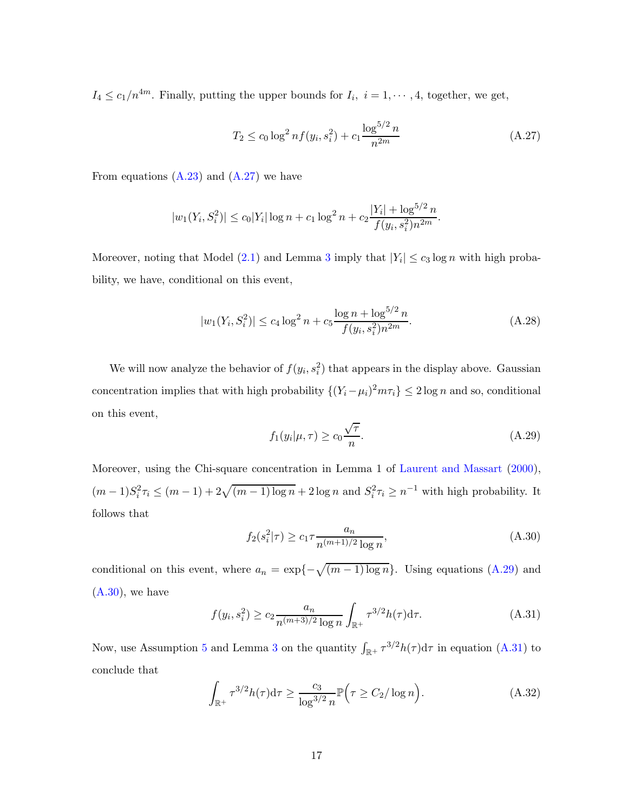$I_4 \leq c_1/n^{4m}$ . Finally, putting the upper bounds for  $I_i$ ,  $i = 1, \dots, 4$ , together, we get,

<span id="page-53-0"></span>
$$
T_2 \le c_0 \log^2 n f(y_i, s_i^2) + c_1 \frac{\log^{5/2} n}{n^{2m}} \tag{A.27}
$$

From equations  $(A.23)$  and  $(A.27)$  we have

$$
|w_1(Y_i, S_i^2)| \le c_0|Y_i| \log n + c_1 \log^2 n + c_2 \frac{|Y_i| + \log^{5/2} n}{f(y_i, s_i^2) n^{2m}}.
$$

Moreover, noting that Model  $(2.1)$  and Lemma [3](#page-48-0) imply that  $|Y_i| \le c_3 \log n$  with high probability, we have, conditional on this event,

<span id="page-53-5"></span>
$$
|w_1(Y_i, S_i^2)| \le c_4 \log^2 n + c_5 \frac{\log n + \log^{5/2} n}{f(y_i, s_i^2) n^{2m}}.
$$
 (A.28)

<span id="page-53-1"></span>We will now analyze the behavior of  $f(y_i, s_i^2)$  that appears in the display above. Gaussian concentration implies that with high probability  $\{(Y_i - \mu_i)^2 m \tau_i\} \leq 2 \log n$  and so, conditional on this event,

$$
f_1(y_i|\mu,\tau) \ge c_0 \frac{\sqrt{\tau}}{n}.\tag{A.29}
$$

<span id="page-53-2"></span>Moreover, using the Chi-square concentration in Lemma 1 of [Laurent and Massart](#page-35-14) [\(2000](#page-35-14)),  $(m-1)S_i^2 \tau_i \leq (m-1) + 2\sqrt{(m-1)\log n} + 2\log n$  and  $S_i^2 \tau_i \geq n^{-1}$  with high probability. It follows that

$$
f_2(s_i^2|\tau) \ge c_1 \tau \frac{a_n}{n^{(m+1)/2} \log n},\tag{A.30}
$$

conditional on this event, where  $a_n = \exp\{-\sqrt{(m-1)\log n}\}\.$  Using equations [\(A.29\)](#page-53-1) and  $(A.30)$ , we have

<span id="page-53-3"></span>
$$
f(y_i, s_i^2) \ge c_2 \frac{a_n}{n^{(m+3)/2} \log n} \int_{\mathbb{R}^+} \tau^{3/2} h(\tau) d\tau.
$$
 (A.31)

Now, use Assumption [5](#page-20-2) and Lemma [3](#page-48-0) on the quantity  $\int_{\mathbb{R}^+} \tau^{3/2} h(\tau) d\tau$  in equation [\(A.31\)](#page-53-3) to conclude that

<span id="page-53-4"></span>
$$
\int_{\mathbb{R}^+} \tau^{3/2} h(\tau) d\tau \ge \frac{c_3}{\log^{3/2} n} \mathbb{P}\left(\tau \ge C_2 / \log n\right). \tag{A.32}
$$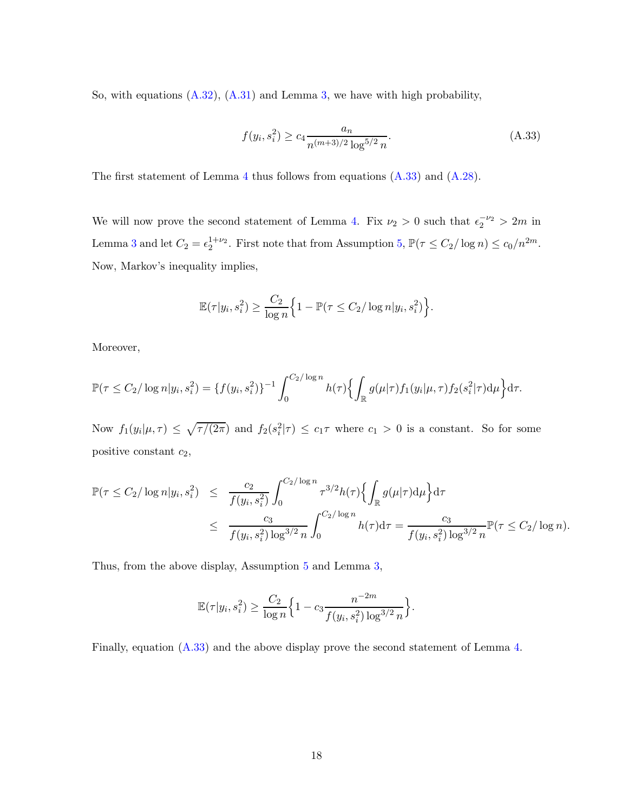So, with equations [\(A.32\)](#page-53-4), [\(A.31\)](#page-53-3) and Lemma [3,](#page-48-0) we have with high probability,

<span id="page-54-0"></span>
$$
f(y_i, s_i^2) \ge c_4 \frac{a_n}{n^{(m+3)/2} \log^{5/2} n}.
$$
\n(A.33)

The first statement of Lemma [4](#page-48-3) thus follows from equations  $(A.33)$  and  $(A.28)$ .

We will now prove the second statement of Lemma [4.](#page-48-3) Fix  $\nu_2 > 0$  such that  $\epsilon_2^{-\nu_2} > 2m$  in Lemma [3](#page-48-0) and let  $C_2 = \epsilon_2^{1+\nu_2}$ . First note that from Assumption [5,](#page-20-2)  $\mathbb{P}(\tau \le C_2/\log n) \le c_0/n^{2m}$ . Now, Markov's inequality implies,

$$
\mathbb{E}(\tau|y_i, s_i^2) \ge \frac{C_2}{\log n} \Big\{ 1 - \mathbb{P}(\tau \le C_2 / \log n | y_i, s_i^2) \Big\}.
$$

Moreover,

$$
\mathbb{P}(\tau \leq C_2/\log n | y_i, s_i^2) = \{f(y_i, s_i^2)\}^{-1} \int_0^{C_2/\log n} h(\tau) \left\{ \int_{\mathbb{R}} g(\mu | \tau) f_1(y_i | \mu, \tau) f_2(s_i^2 | \tau) d\mu \right\} d\tau.
$$

Now  $f_1(y_i|\mu,\tau) \leq \sqrt{\tau/(2\pi)}$  and  $f_2(s_i^2|\tau) \leq c_1\tau$  where  $c_1 > 0$  is a constant. So for some positive constant  $c_2$ ,

$$
\mathbb{P}(\tau \le C_2/\log n | y_i, s_i^2) \le \frac{c_2}{f(y_i, s_i^2)} \int_0^{C_2/\log n} \tau^{3/2} h(\tau) \left\{ \int_{\mathbb{R}} g(\mu | \tau) d\mu \right\} d\tau
$$
  

$$
\le \frac{c_3}{f(y_i, s_i^2) \log^{3/2} n} \int_0^{C_2/\log n} h(\tau) d\tau = \frac{c_3}{f(y_i, s_i^2) \log^{3/2} n} \mathbb{P}(\tau \le C_2/\log n).
$$

Thus, from the above display, Assumption [5](#page-20-2) and Lemma [3,](#page-48-0)

$$
\mathbb{E}(\tau|y_i, s_i^2) \ge \frac{C_2}{\log n} \Big\{ 1 - c_3 \frac{n^{-2m}}{f(y_i, s_i^2) \log^{3/2} n} \Big\}.
$$

Finally, equation [\(A.33\)](#page-54-0) and the above display prove the second statement of Lemma [4.](#page-48-3)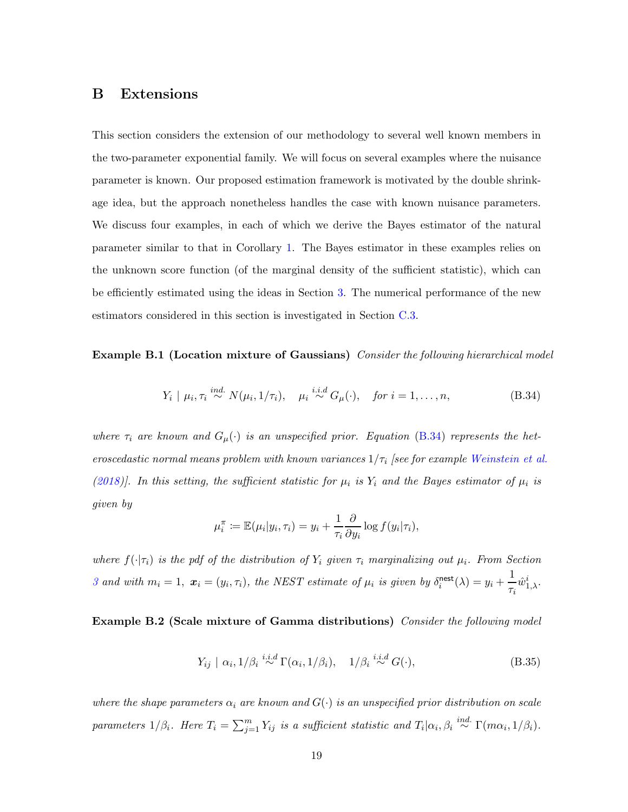## <span id="page-55-0"></span>B Extensions

This section considers the extension of our methodology to several well known members in the two-parameter exponential family. We will focus on several examples where the nuisance parameter is known. Our proposed estimation framework is motivated by the double shrinkage idea, but the approach nonetheless handles the case with known nuisance parameters. We discuss four examples, in each of which we derive the Bayes estimator of the natural parameter similar to that in Corollary [1.](#page-9-2) The Bayes estimator in these examples relies on the unknown score function (of the marginal density of the sufficient statistic), which can be efficiently estimated using the ideas in Section [3.](#page-13-0) The numerical performance of the new estimators considered in this section is investigated in Section [C.3.](#page-62-0)

**Example B.1 (Location mixture of Gaussians)** Consider the following hierarchical model

<span id="page-55-1"></span>
$$
Y_i \mid \mu_i, \tau_i \stackrel{ind.}{\sim} N(\mu_i, 1/\tau_i), \quad \mu_i \stackrel{i.i.d}{\sim} G_\mu(\cdot), \quad \text{for } i = 1, \dots, n,
$$
 (B.34)

where  $\tau_i$  are known and  $G_{\mu}(\cdot)$  is an unspecified prior. Equation [\(B.34\)](#page-55-1) represents the heteroscedastic normal means problem with known variances  $1/\tau_i$  [see for example [Weinstein et al.](#page-36-2) [\(2018](#page-36-2))]. In this setting, the sufficient statistic for  $\mu_i$  is  $Y_i$  and the Bayes estimator of  $\mu_i$  is given by

$$
\mu_i^{\pi} \coloneqq \mathbb{E}(\mu_i|y_i, \tau_i) = y_i + \frac{1}{\tau_i} \frac{\partial}{\partial y_i} \log f(y_i|\tau_i),
$$

where  $f(\cdot|\tau_i)$  is the pdf of the distribution of  $Y_i$  given  $\tau_i$  marginalizing out  $\mu_i$ . From Section [3](#page-13-0) and with  $m_i = 1$ ,  $\mathbf{x}_i = (y_i, \tau_i)$ , the NEST estimate of  $\mu_i$  is given by  $\delta_i^{\text{nest}}$  $\lim_{i}^{n}(\lambda) = y_i + \frac{1}{\tau_i}$  $\frac{1}{\tau_i}\hat{w}_{1,\lambda}^i$ .

<span id="page-55-2"></span>Example B.2 (Scale mixture of Gamma distributions) Consider the following model

$$
Y_{ij} \mid \alpha_i, 1/\beta_i \stackrel{i.i.d}{\sim} \Gamma(\alpha_i, 1/\beta_i), \quad 1/\beta_i \stackrel{i.i.d}{\sim} G(\cdot), \tag{B.35}
$$

where the shape parameters  $\alpha_i$  are known and  $G(\cdot)$  is an unspecified prior distribution on scale parameters  $1/\beta_i$ . Here  $T_i = \sum_{j=1}^m Y_{ij}$  is a sufficient statistic and  $T_i|\alpha_i, \beta_i \stackrel{ind.}{\sim} \Gamma(m\alpha_i, 1/\beta_i)$ .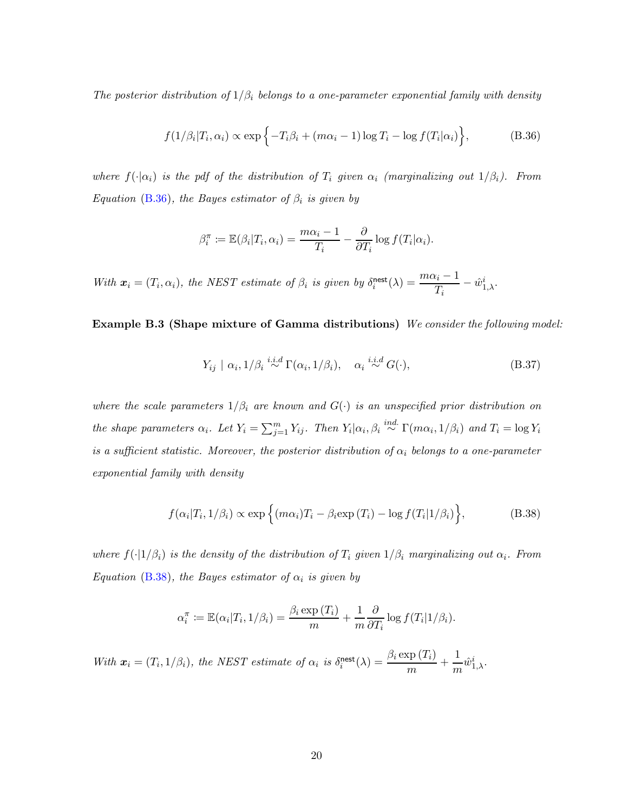The posterior distribution of  $1/\beta_i$  belongs to a one-parameter exponential family with density

$$
f(1/\beta_i|T_i,\alpha_i) \propto \exp\left\{-T_i\beta_i + (m\alpha_i - 1)\log T_i - \log f(T_i|\alpha_i)\right\},\tag{B.36}
$$

where  $f(\cdot|\alpha_i)$  is the pdf of the distribution of  $T_i$  given  $\alpha_i$  (marginalizing out  $1/\beta_i$ ). From Equation [\(B.36\)](#page-56-0), the Bayes estimator of  $\beta_i$  is given by

<span id="page-56-0"></span>
$$
\beta_i^{\pi} \coloneqq \mathbb{E}(\beta_i | T_i, \alpha_i) = \frac{m\alpha_i - 1}{T_i} - \frac{\partial}{\partial T_i} \log f(T_i | \alpha_i).
$$

With  $\mathbf{x}_i = (T_i, \alpha_i)$ , the NEST estimate of  $\beta_i$  is given by  $\delta_i^{\text{nest}}$  $\displaystyle\lim_{i}^{ \mathsf{nest}}(\lambda)=\frac{m\alpha_i-1}{T}$  $\frac{u_i-1}{T_i} - \hat{w}_{1,\lambda}^i$ .

Example B.3 (Shape mixture of Gamma distributions) We consider the following model:

$$
Y_{ij} \mid \alpha_i, 1/\beta_i \stackrel{i.i.d}{\sim} \Gamma(\alpha_i, 1/\beta_i), \quad \alpha_i \stackrel{i.i.d}{\sim} G(\cdot), \tag{B.37}
$$

where the scale parameters  $1/\beta_i$  are known and  $G(\cdot)$  is an unspecified prior distribution on the shape parameters  $\alpha_i$ . Let  $Y_i = \sum_{j=1}^m Y_{ij}$ . Then  $Y_i | \alpha_i, \beta_i \stackrel{ind.}{\sim} \Gamma(m\alpha_i, 1/\beta_i)$  and  $T_i = \log Y_i$ is a sufficient statistic. Moreover, the posterior distribution of  $\alpha_i$  belongs to a one-parameter exponential family with density

<span id="page-56-1"></span>
$$
f(\alpha_i|T_i, 1/\beta_i) \propto \exp\left\{ (m\alpha_i)T_i - \beta_i \exp(T_i) - \log f(T_i|1/\beta_i) \right\},\tag{B.38}
$$

where  $f(\cdot|1/\beta_i)$  is the density of the distribution of  $T_i$  given  $1/\beta_i$  marginalizing out  $\alpha_i$ . From Equation [\(B.38\)](#page-56-1), the Bayes estimator of  $\alpha_i$  is given by

$$
\alpha_i^{\pi} \coloneqq \mathbb{E}(\alpha_i | T_i, 1/\beta_i) = \frac{\beta_i \exp(T_i)}{m} + \frac{1}{m} \frac{\partial}{\partial T_i} \log f(T_i | 1/\beta_i).
$$

<span id="page-56-2"></span>With  $\mathbf{x}_i = (T_i, 1/\beta_i)$ , the NEST estimate of  $\alpha_i$  is  $\delta_i^{\text{nest}}$  $\mathop{a}_{i}^{\text{nest}}(\lambda) = \frac{\beta_{i}\exp{(T_{i})}}{m} + \frac{1}{m}$  $\frac{1}{m}\hat{w}_{1,\lambda}^i$ .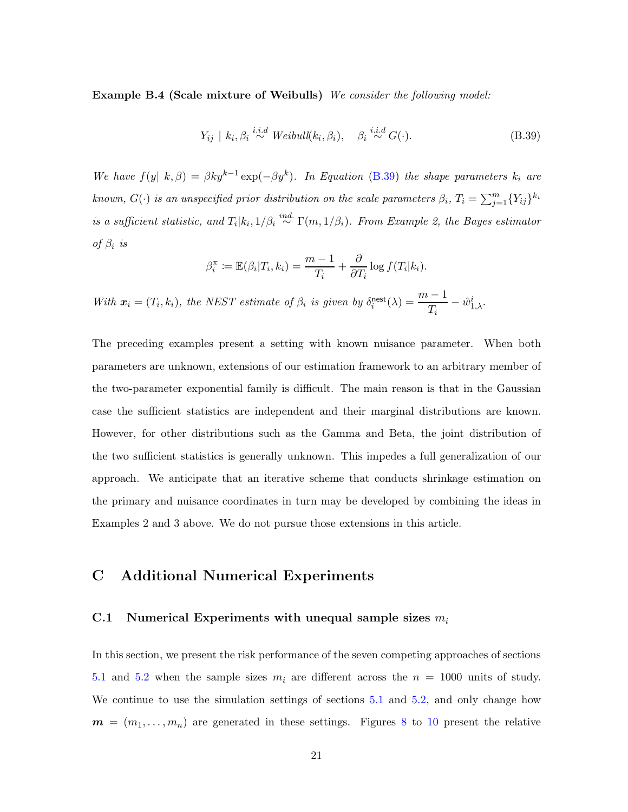Example B.4 (Scale mixture of Weibulls) We consider the following model:

<span id="page-57-2"></span>
$$
Y_{ij} \mid k_i, \beta_i \stackrel{i.i.d}{\sim} Weibull(k_i, \beta_i), \quad \beta_i \stackrel{i.i.d}{\sim} G(\cdot). \tag{B.39}
$$

We have  $f(y \mid k, \beta) = \beta k y^{k-1} \exp(-\beta y^k)$ . In Equation [\(B.39\)](#page-57-2) the shape parameters  $k_i$  are known,  $G(\cdot)$  is an unspecified prior distribution on the scale parameters  $\beta_i$ ,  $T_i = \sum_{j=1}^m \{Y_{ij}\}^{k_i}$ is a sufficient statistic, and  $T_i|k_i,1/\beta_i \stackrel{ind.}{\sim} \Gamma(m,1/\beta_i)$ . From Example 2, the Bayes estimator of  $\beta_i$  is

$$
\beta_i^{\pi} := \mathbb{E}(\beta_i | T_i, k_i) = \frac{m-1}{T_i} + \frac{\partial}{\partial T_i} \log f(T_i | k_i).
$$

With  $\mathbf{x}_i = (T_i, k_i)$ , the NEST estimate of  $\beta_i$  is given by  $\delta_i^{\text{nest}}$  $\frac{\text{nest}}{i}(\lambda) = \frac{m-1}{T}$  $\frac{\overline{I_{i}}-1}{T_{i}}-\hat{w}_{1,\lambda}^{i}.$ 

The preceding examples present a setting with known nuisance parameter. When both parameters are unknown, extensions of our estimation framework to an arbitrary member of the two-parameter exponential family is difficult. The main reason is that in the Gaussian case the sufficient statistics are independent and their marginal distributions are known. However, for other distributions such as the Gamma and Beta, the joint distribution of the two sufficient statistics is generally unknown. This impedes a full generalization of our approach. We anticipate that an iterative scheme that conducts shrinkage estimation on the primary and nuisance coordinates in turn may be developed by combining the ideas in Examples 2 and 3 above. We do not pursue those extensions in this article.

## <span id="page-57-1"></span><span id="page-57-0"></span>C Additional Numerical Experiments

#### C.1 Numerical Experiments with unequal sample sizes  $m_i$

In this section, we present the risk performance of the seven competing approaches of sections [5.1](#page-22-1) and [5.2](#page-27-0) when the sample sizes  $m_i$  are different across the  $n = 1000$  units of study. We continue to use the simulation settings of sections [5.1](#page-22-1) and [5.2,](#page-27-0) and only change how  $m = (m_1, \ldots, m_n)$  are generated in these settings. Figures [8](#page-58-1) to [10](#page-59-0) present the relative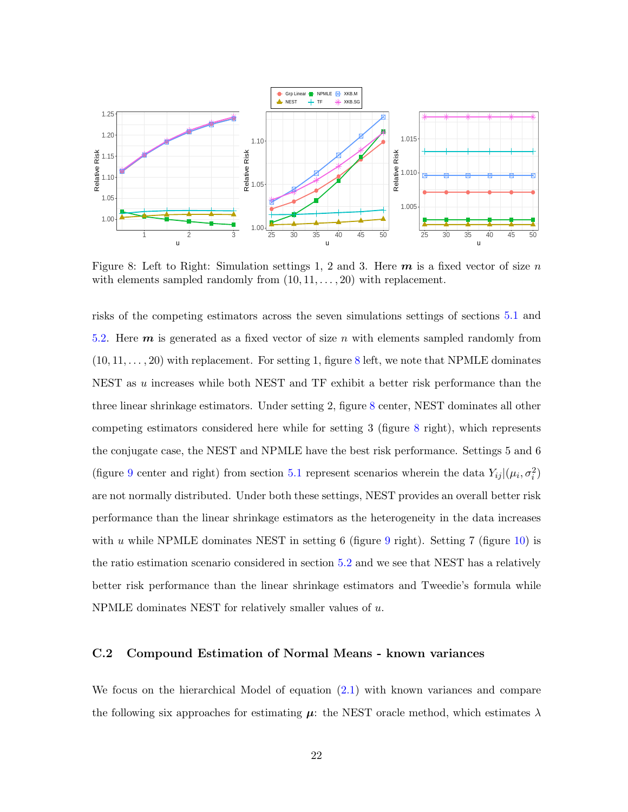<span id="page-58-1"></span>

Figure 8: Left to Right: Simulation settings 1, 2 and 3. Here  $m$  is a fixed vector of size n with elements sampled randomly from  $(10, 11, \ldots, 20)$  with replacement.

risks of the competing estimators across the seven simulations settings of sections [5.1](#page-22-1) and [5.2.](#page-27-0) Here  $m$  is generated as a fixed vector of size n with elements sampled randomly from  $(10, 11, \ldots, 20)$  with replacement. For setting 1, figure [8](#page-58-1) left, we note that NPMLE dominates NEST as u increases while both NEST and TF exhibit a better risk performance than the three linear shrinkage estimators. Under setting 2, figure [8](#page-58-1) center, NEST dominates all other competing estimators considered here while for setting 3 (figure [8](#page-58-1) right), which represents the conjugate case, the NEST and NPMLE have the best risk performance. Settings 5 and 6 (figure [9](#page-59-1) center and right) from section [5.1](#page-22-1) represent scenarios wherein the data  $Y_{ij}|(\mu_i, \sigma_i^2)$ are not normally distributed. Under both these settings, NEST provides an overall better risk performance than the linear shrinkage estimators as the heterogeneity in the data increases with u while NPMLE dominates NEST in setting 6 (figure [9](#page-59-1) right). Setting 7 (figure [10\)](#page-59-0) is the ratio estimation scenario considered in section [5.2](#page-27-0) and we see that NEST has a relatively better risk performance than the linear shrinkage estimators and Tweedie's formula while NPMLE dominates NEST for relatively smaller values of u.

## <span id="page-58-0"></span>C.2 Compound Estimation of Normal Means - known variances

We focus on the hierarchical Model of equation [\(2.1\)](#page-6-1) with known variances and compare the following six approaches for estimating  $\mu$ : the NEST oracle method, which estimates  $\lambda$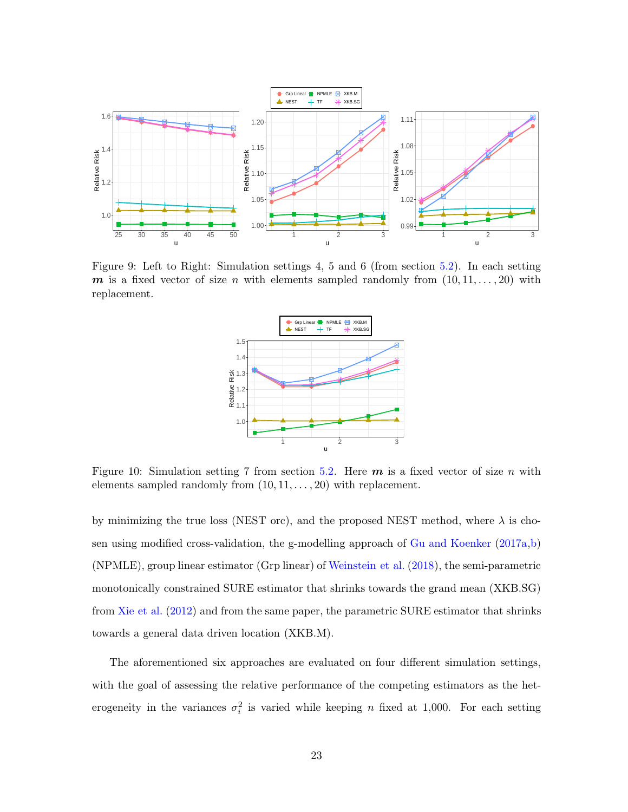<span id="page-59-1"></span>

<span id="page-59-0"></span>Figure 9: Left to Right: Simulation settings 4, 5 and 6 (from section [5.2\)](#page-27-0). In each setting  $\boldsymbol{m}$  is a fixed vector of size n with elements sampled randomly from  $(10, 11, \ldots, 20)$  with replacement.



Figure 10: Simulation setting 7 from section [5.2.](#page-27-0) Here  $m$  is a fixed vector of size n with elements sampled randomly from  $(10, 11, \ldots, 20)$  with replacement.

by minimizing the true loss (NEST orc), and the proposed NEST method, where  $\lambda$  is chosen using modified cross-validation, the g-modelling approach of [Gu and Koenker](#page-34-9) [\(2017a](#page-34-9)[,b](#page-34-12)) (NPMLE), group linear estimator (Grp linear) of [Weinstein et al.](#page-36-2) [\(2018](#page-36-2)), the semi-parametric monotonically constrained SURE estimator that shrinks towards the grand mean (XKB.SG) from [Xie et al.](#page-36-4) [\(2012](#page-36-4)) and from the same paper, the parametric SURE estimator that shrinks towards a general data driven location (XKB.M).

The aforementioned six approaches are evaluated on four different simulation settings, with the goal of assessing the relative performance of the competing estimators as the heterogeneity in the variances  $\sigma_i^2$  is varied while keeping n fixed at 1,000. For each setting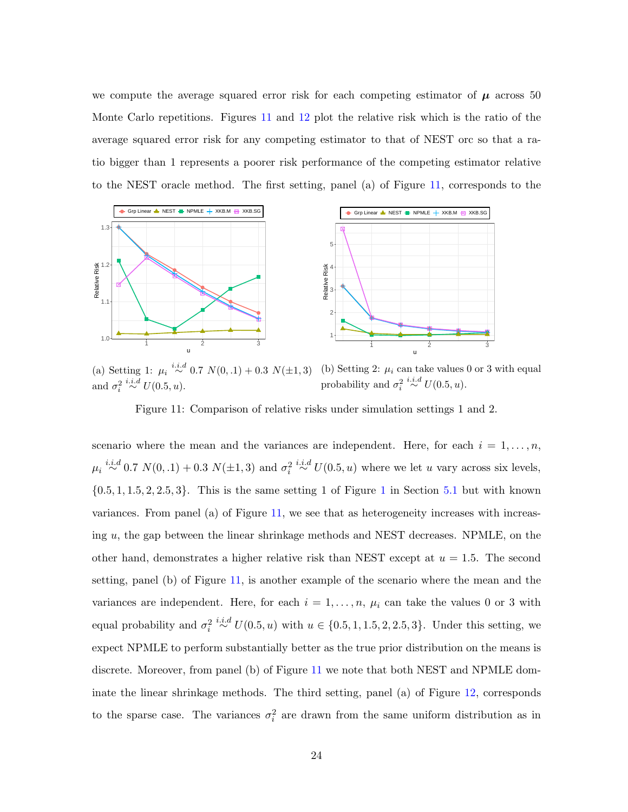we compute the average squared error risk for each competing estimator of  $\mu$  across 50 Monte Carlo repetitions. Figures [11](#page-60-0) and [12](#page-61-0) plot the relative risk which is the ratio of the average squared error risk for any competing estimator to that of NEST orc so that a ratio bigger than 1 represents a poorer risk performance of the competing estimator relative to the NEST oracle method. The first setting, panel (a) of Figure [11,](#page-60-0) corresponds to the

<span id="page-60-0"></span>

(a) Setting 1:  $\mu_i \stackrel{i.i.d}{\sim} 0.7 \ N(0, .1) + 0.3 \ N(\pm 1, 3)$ and  $\sigma_i^2$  $\stackrel{i.i.d}{\sim} U(0.5, u).$ (b) Setting 2:  $\mu_i$  can take values 0 or 3 with equal probability and  $\sigma_i^2$  $\stackrel{i.i.d}{\sim} U(0.5, u).$ 

Figure 11: Comparison of relative risks under simulation settings 1 and 2.

scenario where the mean and the variances are independent. Here, for each  $i = 1, \ldots, n$ ,  $\mu_i \stackrel{i.i.d}{\sim} 0.7 \ N(0, .1) + 0.3 \ N(\pm 1, 3)$  and  $\sigma_i^2 \stackrel{i.i.d}{\sim} U(0.5, u)$  where we let u vary across six levels,  $\{0.5, 1, 1.5, 2, 2.5, 3\}$  $\{0.5, 1, 1.5, 2, 2.5, 3\}$  $\{0.5, 1, 1.5, 2, 2.5, 3\}$ . This is the same setting 1 of Figure 1 in Section [5.1](#page-22-1) but with known variances. From panel (a) of Figure [11,](#page-60-0) we see that as heterogeneity increases with increasing u, the gap between the linear shrinkage methods and NEST decreases. NPMLE, on the other hand, demonstrates a higher relative risk than NEST except at  $u = 1.5$ . The second setting, panel (b) of Figure [11,](#page-60-0) is another example of the scenario where the mean and the variances are independent. Here, for each  $i = 1, \ldots, n$ ,  $\mu_i$  can take the values 0 or 3 with equal probability and  $\sigma_i^2 \stackrel{i.i.d}{\sim} U(0.5, u)$  with  $u \in \{0.5, 1, 1.5, 2, 2.5, 3\}$ . Under this setting, we expect NPMLE to perform substantially better as the true prior distribution on the means is discrete. Moreover, from panel (b) of Figure [11](#page-60-0) we note that both NEST and NPMLE dominate the linear shrinkage methods. The third setting, panel (a) of Figure [12,](#page-61-0) corresponds to the sparse case. The variances  $\sigma_i^2$  are drawn from the same uniform distribution as in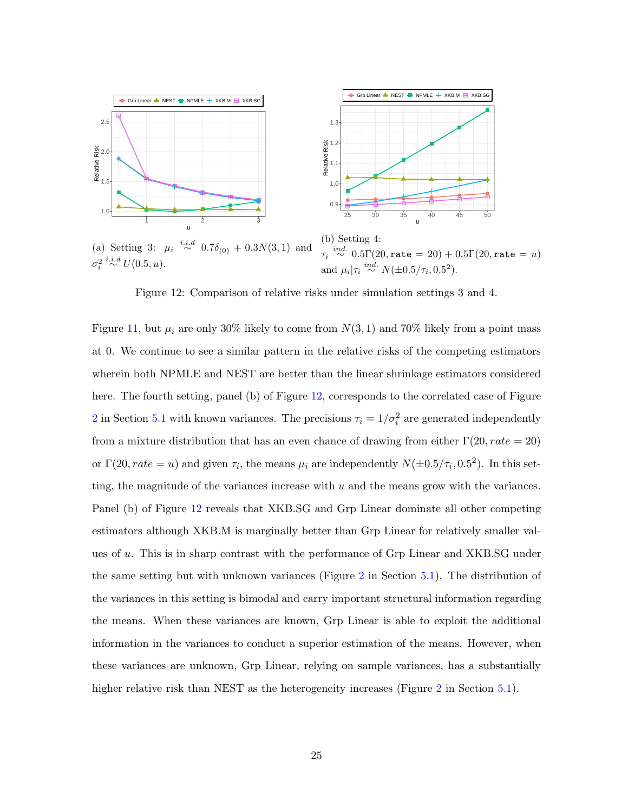<span id="page-61-0"></span>

(a) Setting 3:  $\mu_i \stackrel{i.i.d}{\sim} 0.7\delta_{(0)} + 0.3N(3,1)$  and  $\sigma_i^2$  $\stackrel{i.i.d}{\sim} U(0.5, u).$  $\tau_i \stackrel{ind.}{\sim} 0.5 \Gamma(20, \mathtt{rate} = 20) + 0.5 \Gamma(20, \mathtt{rate} = u)$ and  $\mu_i|\tau_i \stackrel{ind.}{\sim} N(\pm 0.5/\tau_i, 0.5^2)$ .

Figure 12: Comparison of relative risks under simulation settings 3 and 4.

Figure [11,](#page-60-0) but  $\mu_i$  are only 30% likely to come from  $N(3, 1)$  and 70% likely from a point mass at 0. We continue to see a similar pattern in the relative risks of the competing estimators wherein both NPMLE and NEST are better than the linear shrinkage estimators considered here. The fourth setting, panel (b) of Figure [12,](#page-61-0) corresponds to the correlated case of Figure [2](#page-24-1) in Section [5.1](#page-22-1) with known variances. The precisions  $\tau_i = 1/\sigma_i^2$  are generated independently from a mixture distribution that has an even chance of drawing from either  $\Gamma(20, rate = 20)$ or  $\Gamma(20, rate = u)$  and given  $\tau_i$ , the means  $\mu_i$  are independently  $N(\pm 0.5/\tau_i, 0.5^2)$ . In this setting, the magnitude of the variances increase with  $u$  and the means grow with the variances. Panel (b) of Figure [12](#page-61-0) reveals that XKB.SG and Grp Linear dominate all other competing estimators although XKB.M is marginally better than Grp Linear for relatively smaller values of u. This is in sharp contrast with the performance of Grp Linear and XKB.SG under the same setting but with unknown variances (Figure [2](#page-24-1) in Section [5.1\)](#page-22-1). The distribution of the variances in this setting is bimodal and carry important structural information regarding the means. When these variances are known, Grp Linear is able to exploit the additional information in the variances to conduct a superior estimation of the means. However, when these variances are unknown, Grp Linear, relying on sample variances, has a substantially higher relative risk than NEST as the heterogeneity increases (Figure [2](#page-24-1) in Section [5.1\)](#page-22-1).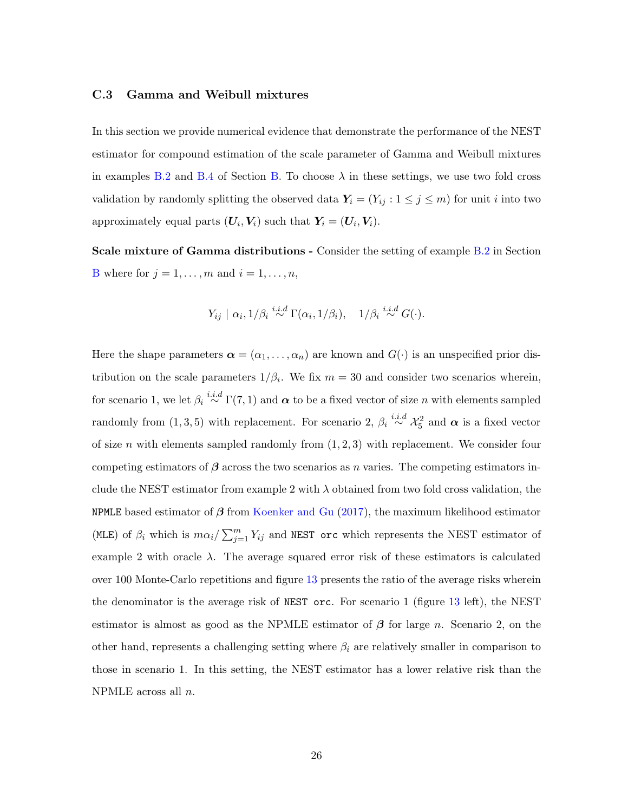#### <span id="page-62-0"></span>C.3 Gamma and Weibull mixtures

In this section we provide numerical evidence that demonstrate the performance of the NEST estimator for compound estimation of the scale parameter of Gamma and Weibull mixtures in examples [B.2](#page-55-2) and [B.4](#page-56-2) of Section [B.](#page-55-0) To choose  $\lambda$  in these settings, we use two fold cross validation by randomly splitting the observed data  $Y_i = (Y_{ij} : 1 \le j \le m)$  for unit i into two approximately equal parts  $(U_i, V_i)$  such that  $Y_i = (U_i, V_i)$ .

Scale mixture of Gamma distributions - Consider the setting of example [B.2](#page-55-2) in Section [B](#page-55-0) where for  $j = 1, \ldots, m$  and  $i = 1, \ldots, n$ ,

$$
Y_{ij} | \alpha_i, 1/\beta_i \stackrel{i.i.d}{\sim} \Gamma(\alpha_i, 1/\beta_i), \quad 1/\beta_i \stackrel{i.i.d}{\sim} G(\cdot).
$$

Here the shape parameters  $\boldsymbol{\alpha} = (\alpha_1, \dots, \alpha_n)$  are known and  $G(\cdot)$  is an unspecified prior distribution on the scale parameters  $1/\beta_i$ . We fix  $m = 30$  and consider two scenarios wherein, for scenario 1, we let  $\beta_i \stackrel{i.i.d}{\sim} \Gamma(7,1)$  and  $\alpha$  to be a fixed vector of size n with elements sampled randomly from  $(1,3,5)$  with replacement. For scenario 2,  $\beta_i \stackrel{i.i.d}{\sim} \mathcal{X}_5^2$  and  $\alpha$  is a fixed vector of size n with elements sampled randomly from  $(1, 2, 3)$  with replacement. We consider four competing estimators of  $\beta$  across the two scenarios as n varies. The competing estimators include the NEST estimator from example 2 with  $\lambda$  obtained from two fold cross validation, the NPMLE based estimator of  $\beta$  from [Koenker and Gu](#page-35-13) [\(2017\)](#page-35-13), the maximum likelihood estimator (MLE) of  $\beta_i$  which is  $m\alpha_i/\sum_{j=1}^m Y_{ij}$  and NEST orc which represents the NEST estimator of example 2 with oracle  $\lambda$ . The average squared error risk of these estimators is calculated over 100 Monte-Carlo repetitions and figure [13](#page-63-0) presents the ratio of the average risks wherein the denominator is the average risk of NEST orc. For scenario 1 (figure [13](#page-63-0) left), the NEST estimator is almost as good as the NPMLE estimator of  $\beta$  for large n. Scenario 2, on the other hand, represents a challenging setting where  $\beta_i$  are relatively smaller in comparison to those in scenario 1. In this setting, the NEST estimator has a lower relative risk than the NPMLE across all n.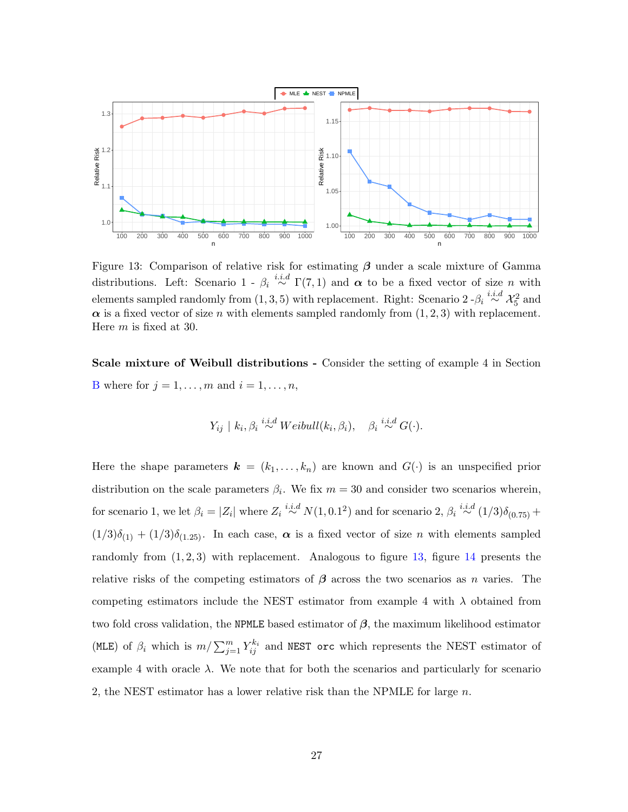<span id="page-63-0"></span>

Figure 13: Comparison of relative risk for estimating  $\beta$  under a scale mixture of Gamma distributions. Left: Scenario 1 -  $\beta_i \stackrel{i.i.d}{\sim} \Gamma(7,1)$  and  $\alpha$  to be a fixed vector of size n with elements sampled randomly from  $(1,3,5)$  with replacement. Right: Scenario 2 - $\beta_i \stackrel{i.i.d}{\sim} \mathcal{X}_5^2$  and  $\alpha$  is a fixed vector of size n with elements sampled randomly from  $(1, 2, 3)$  with replacement. Here m is fixed at 30.

Scale mixture of Weibull distributions - Consider the setting of example 4 in Section [B](#page-55-0) where for  $j = 1, \ldots, m$  and  $i = 1, \ldots, n$ ,

$$
Y_{ij} \mid k_i, \beta_i \stackrel{i.i.d}{\sim} Weibull(k_i, \beta_i), \quad \beta_i \stackrel{i.i.d}{\sim} G(\cdot).
$$

Here the shape parameters  $\mathbf{k} = (k_1, \ldots, k_n)$  are known and  $G(\cdot)$  is an unspecified prior distribution on the scale parameters  $\beta_i$ . We fix  $m = 30$  and consider two scenarios wherein, for scenario 1, we let  $\beta_i = |Z_i|$  where  $Z_i \stackrel{i.i.d}{\sim} N(1, 0.1^2)$  and for scenario 2,  $\beta_i \stackrel{i.i.d}{\sim} (1/3)\delta_{(0.75)} +$  $(1/3)\delta_{(1)} + (1/3)\delta_{(1.25)}$ . In each case,  $\alpha$  is a fixed vector of size n with elements sampled randomly from  $(1, 2, 3)$  with replacement. Analogous to figure [13,](#page-63-0) figure [14](#page-64-0) presents the relative risks of the competing estimators of  $\beta$  across the two scenarios as n varies. The competing estimators include the NEST estimator from example 4 with  $\lambda$  obtained from two fold cross validation, the NPMLE based estimator of  $\beta$ , the maximum likelihood estimator (MLE) of  $\beta_i$  which is  $m/\sum_{j=1}^m Y_{ij}^{k_i}$  and NEST orc which represents the NEST estimator of example 4 with oracle  $\lambda$ . We note that for both the scenarios and particularly for scenario 2, the NEST estimator has a lower relative risk than the NPMLE for large  $n$ .